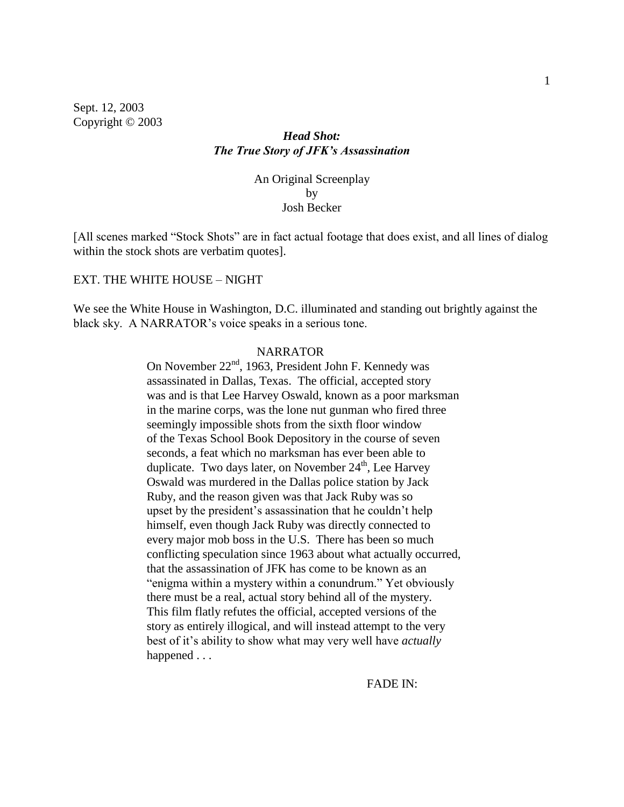Sept. 12, 2003 Copyright © 2003

## *Head Shot: The True Story of JFK's Assassination*

## An Original Screenplay by Josh Becker

[All scenes marked "Stock Shots" are in fact actual footage that does exist, and all lines of dialog within the stock shots are verbatim quotes].

### EXT. THE WHITE HOUSE – NIGHT

We see the White House in Washington, D.C. illuminated and standing out brightly against the black sky. A NARRATOR's voice speaks in a serious tone.

#### NARRATOR

On November  $22<sup>nd</sup>$ , 1963, President John F. Kennedy was assassinated in Dallas, Texas. The official, accepted story was and is that Lee Harvey Oswald, known as a poor marksman in the marine corps, was the lone nut gunman who fired three seemingly impossible shots from the sixth floor window of the Texas School Book Depository in the course of seven seconds, a feat which no marksman has ever been able to duplicate. Two days later, on November  $24<sup>th</sup>$ , Lee Harvey Oswald was murdered in the Dallas police station by Jack Ruby, and the reason given was that Jack Ruby was so upset by the president's assassination that he couldn't help himself, even though Jack Ruby was directly connected to every major mob boss in the U.S. There has been so much conflicting speculation since 1963 about what actually occurred, that the assassination of JFK has come to be known as an "enigma within a mystery within a conundrum." Yet obviously there must be a real, actual story behind all of the mystery. This film flatly refutes the official, accepted versions of the story as entirely illogical, and will instead attempt to the very best of it's ability to show what may very well have *actually* happened . . .

FADE IN: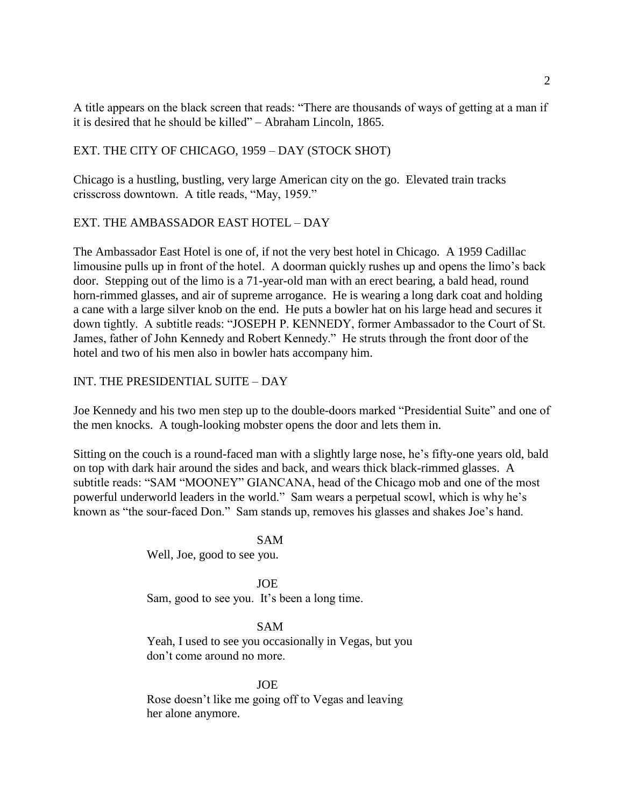A title appears on the black screen that reads: "There are thousands of ways of getting at a man if it is desired that he should be killed" – Abraham Lincoln, 1865.

## EXT. THE CITY OF CHICAGO, 1959 – DAY (STOCK SHOT)

Chicago is a hustling, bustling, very large American city on the go. Elevated train tracks crisscross downtown. A title reads, "May, 1959."

## EXT. THE AMBASSADOR EAST HOTEL – DAY

The Ambassador East Hotel is one of, if not the very best hotel in Chicago. A 1959 Cadillac limousine pulls up in front of the hotel. A doorman quickly rushes up and opens the limo"s back door. Stepping out of the limo is a 71-year-old man with an erect bearing, a bald head, round horn-rimmed glasses, and air of supreme arrogance. He is wearing a long dark coat and holding a cane with a large silver knob on the end. He puts a bowler hat on his large head and secures it down tightly. A subtitle reads: "JOSEPH P. KENNEDY, former Ambassador to the Court of St. James, father of John Kennedy and Robert Kennedy." He struts through the front door of the hotel and two of his men also in bowler hats accompany him.

## INT. THE PRESIDENTIAL SUITE – DAY

Joe Kennedy and his two men step up to the double-doors marked "Presidential Suite" and one of the men knocks. A tough-looking mobster opens the door and lets them in.

Sitting on the couch is a round-faced man with a slightly large nose, he's fifty-one years old, bald on top with dark hair around the sides and back, and wears thick black-rimmed glasses. A subtitle reads: "SAM "MOONEY" GIANCANA, head of the Chicago mob and one of the most powerful underworld leaders in the world." Sam wears a perpetual scowl, which is why he"s known as "the sour-faced Don." Sam stands up, removes his glasses and shakes Joe"s hand.

SAM

Well, Joe, good to see you.

JOE Sam, good to see you. It's been a long time.

SAM Yeah, I used to see you occasionally in Vegas, but you don"t come around no more.

JOE Rose doesn"t like me going off to Vegas and leaving her alone anymore.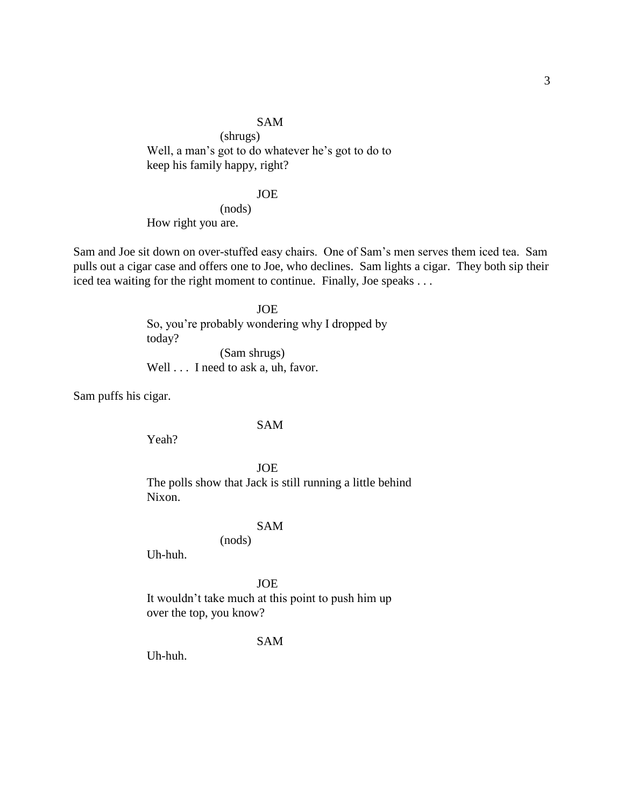## SAM

(shrugs) Well, a man's got to do whatever he's got to do to keep his family happy, right?

#### JOE

(nods)

How right you are.

Sam and Joe sit down on over-stuffed easy chairs. One of Sam"s men serves them iced tea. Sam pulls out a cigar case and offers one to Joe, who declines. Sam lights a cigar. They both sip their iced tea waiting for the right moment to continue. Finally, Joe speaks . . .

> JOE So, you"re probably wondering why I dropped by today? (Sam shrugs) Well . . . I need to ask a, uh, favor.

Sam puffs his cigar.

### SAM

Yeah?

JOE The polls show that Jack is still running a little behind Nixon.

### SAM

(nods)

Uh-huh.

### JOE

It wouldn"t take much at this point to push him up over the top, you know?

## SAM

Uh-huh.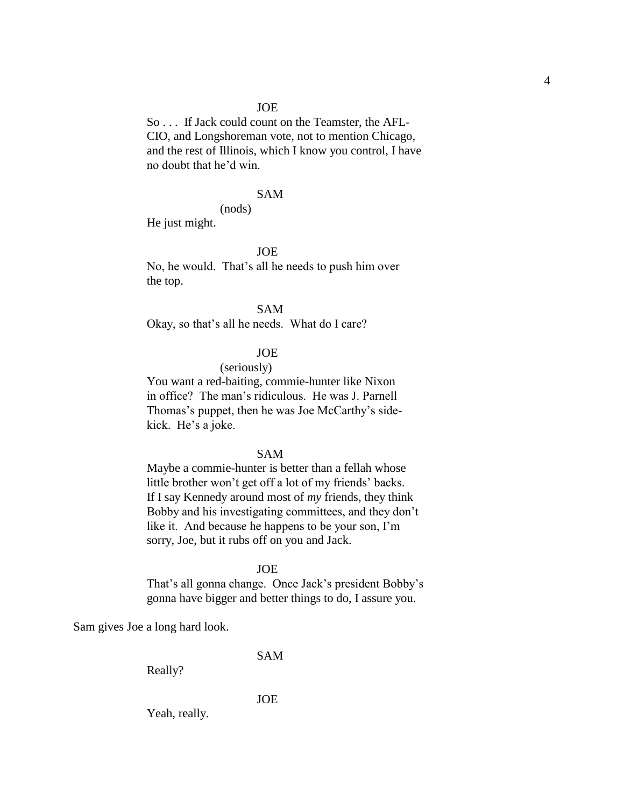#### JOE

So . . . If Jack could count on the Teamster, the AFL-CIO, and Longshoreman vote, not to mention Chicago, and the rest of Illinois, which I know you control, I have no doubt that he"d win.

#### SAM

(nods)

He just might.

## JOE

No, he would. That's all he needs to push him over the top.

### SAM

Okay, so that's all he needs. What do I care?

#### JOE

(seriously)

You want a red-baiting, commie-hunter like Nixon in office? The man"s ridiculous. He was J. Parnell Thomas's puppet, then he was Joe McCarthy's sidekick. He's a joke.

#### SAM

Maybe a commie-hunter is better than a fellah whose little brother won't get off a lot of my friends' backs. If I say Kennedy around most of *my* friends, they think Bobby and his investigating committees, and they don"t like it. And because he happens to be your son, I"m sorry, Joe, but it rubs off on you and Jack.

#### JOE

That's all gonna change. Once Jack's president Bobby's gonna have bigger and better things to do, I assure you.

Sam gives Joe a long hard look.

SAM

Really?

#### JOE

Yeah, really.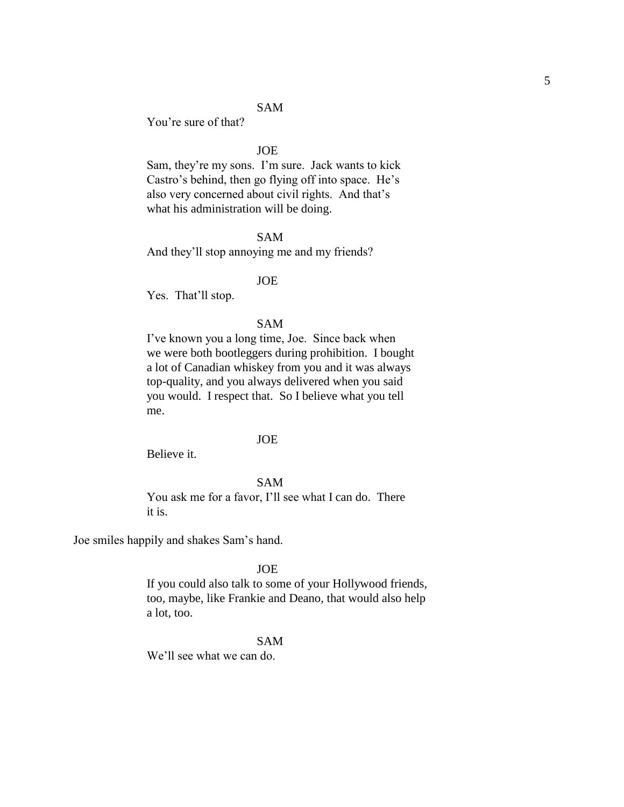### SAM

You"re sure of that?

## JOE

Sam, they"re my sons. I"m sure. Jack wants to kick Castro's behind, then go flying off into space. He's also very concerned about civil rights. And that"s what his administration will be doing.

SAM And they"ll stop annoying me and my friends?

### JOE

Yes. That'll stop.

### SAM

I"ve known you a long time, Joe. Since back when we were both bootleggers during prohibition. I bought a lot of Canadian whiskey from you and it was always top-quality, and you always delivered when you said you would. I respect that. So I believe what you tell me.

### JOE

Believe it.

### SAM

You ask me for a favor, I"ll see what I can do. There it is.

Joe smiles happily and shakes Sam"s hand.

#### JOE

If you could also talk to some of your Hollywood friends, too, maybe, like Frankie and Deano, that would also help a lot, too.

#### SAM

We"ll see what we can do.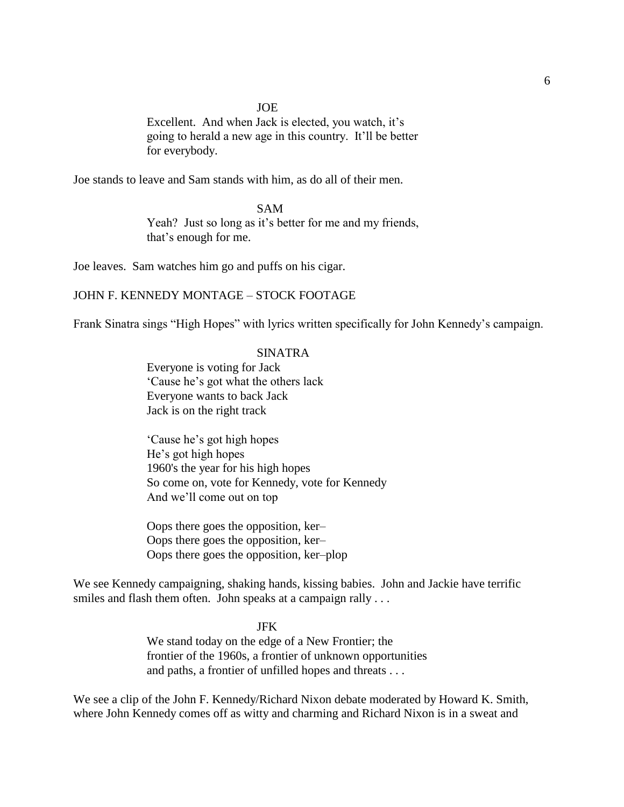Excellent. And when Jack is elected, you watch, it's going to herald a new age in this country. It"ll be better for everybody.

Joe stands to leave and Sam stands with him, as do all of their men.

SAM

Yeah? Just so long as it's better for me and my friends, that"s enough for me.

Joe leaves. Sam watches him go and puffs on his cigar.

#### JOHN F. KENNEDY MONTAGE – STOCK FOOTAGE

Frank Sinatra sings "High Hopes" with lyrics written specifically for John Kennedy"s campaign.

## SINATRA

Everyone is voting for Jack "Cause he"s got what the others lack Everyone wants to back Jack Jack is on the right track

"Cause he"s got high hopes He's got high hopes 1960's the year for his high hopes So come on, vote for Kennedy, vote for Kennedy And we"ll come out on top

Oops there goes the opposition, ker– Oops there goes the opposition, ker– Oops there goes the opposition, ker–plop

We see Kennedy campaigning, shaking hands, kissing babies. John and Jackie have terrific smiles and flash them often. John speaks at a campaign rally . . .

### JFK

We stand today on the edge of a New Frontier; the frontier of the 1960s, a frontier of unknown opportunities and paths, a frontier of unfilled hopes and threats . . .

We see a clip of the John F. Kennedy/Richard Nixon debate moderated by Howard K. Smith, where John Kennedy comes off as witty and charming and Richard Nixon is in a sweat and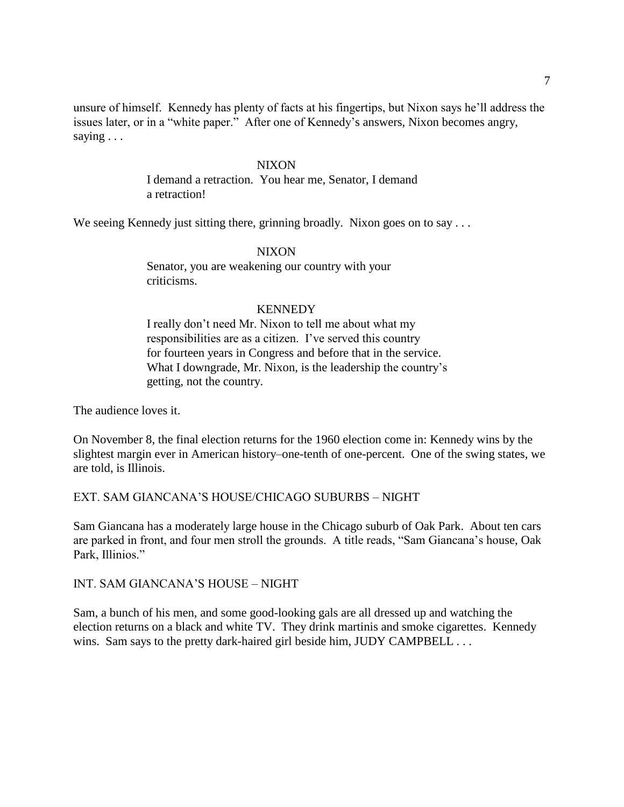unsure of himself. Kennedy has plenty of facts at his fingertips, but Nixon says he"ll address the issues later, or in a "white paper." After one of Kennedy's answers, Nixon becomes angry, saying . . .

#### **NIXON**

I demand a retraction. You hear me, Senator, I demand a retraction!

We seeing Kennedy just sitting there, grinning broadly. Nixon goes on to say ...

#### NIXON

Senator, you are weakening our country with your criticisms.

#### **KENNEDY**

I really don"t need Mr. Nixon to tell me about what my responsibilities are as a citizen. I've served this country for fourteen years in Congress and before that in the service. What I downgrade, Mr. Nixon, is the leadership the country"s getting, not the country.

The audience loves it.

On November 8, the final election returns for the 1960 election come in: Kennedy wins by the slightest margin ever in American history–one-tenth of one-percent. One of the swing states, we are told, is Illinois.

### EXT. SAM GIANCANA"S HOUSE/CHICAGO SUBURBS – NIGHT

Sam Giancana has a moderately large house in the Chicago suburb of Oak Park. About ten cars are parked in front, and four men stroll the grounds. A title reads, "Sam Giancana"s house, Oak Park, Illinios."

INT. SAM GIANCANA"S HOUSE – NIGHT

Sam, a bunch of his men, and some good-looking gals are all dressed up and watching the election returns on a black and white TV. They drink martinis and smoke cigarettes. Kennedy wins. Sam says to the pretty dark-haired girl beside him, JUDY CAMPBELL . . .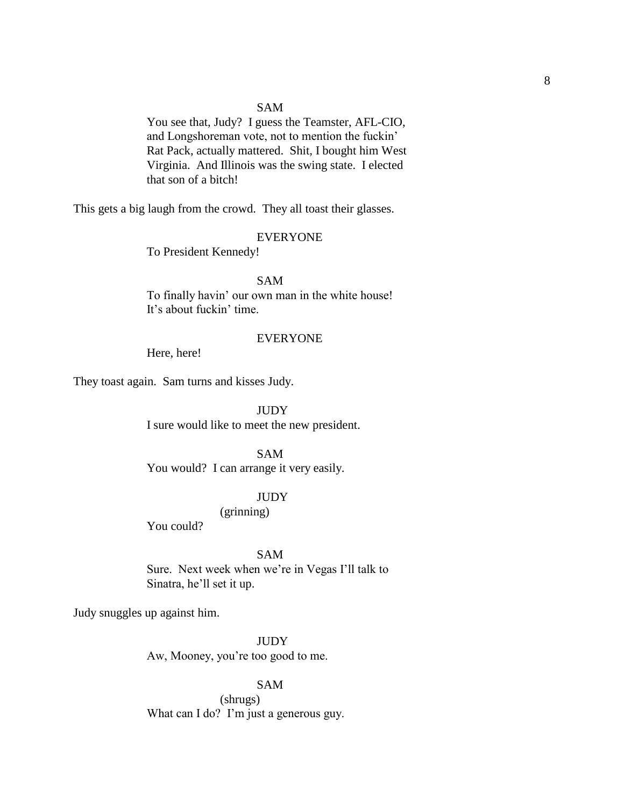### SAM

You see that, Judy? I guess the Teamster, AFL-CIO, and Longshoreman vote, not to mention the fuckin' Rat Pack, actually mattered. Shit, I bought him West Virginia. And Illinois was the swing state. I elected that son of a bitch!

This gets a big laugh from the crowd. They all toast their glasses.

#### EVERYONE

To President Kennedy!

#### SAM

To finally havin" our own man in the white house! It's about fuckin' time.

### EVERYONE

Here, here!

They toast again. Sam turns and kisses Judy.

**JUDY** I sure would like to meet the new president.

SAM

You would? I can arrange it very easily.

### **JUDY**

(grinning)

You could?

SAM

Sure. Next week when we"re in Vegas I"ll talk to Sinatra, he'll set it up.

Judy snuggles up against him.

JUDY Aw, Mooney, you"re too good to me.

SAM

(shrugs) What can I do? I'm just a generous guy.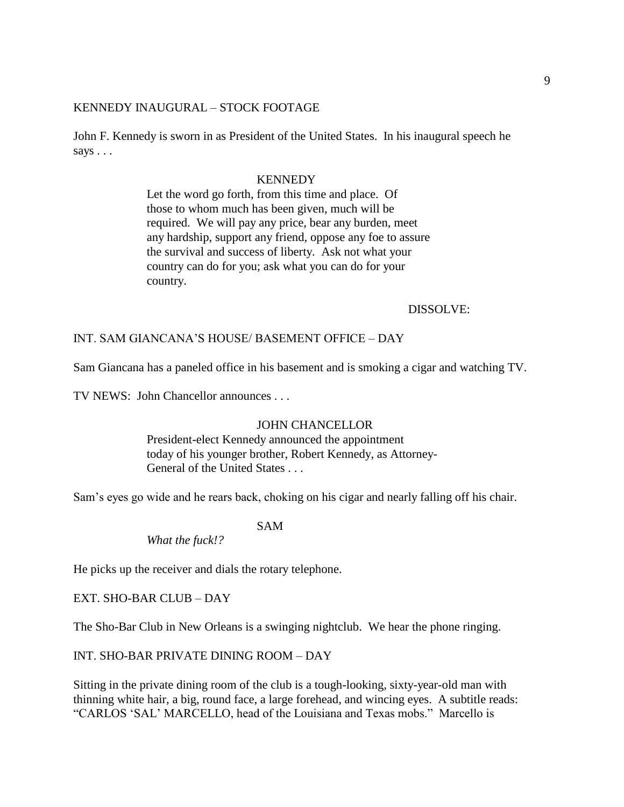## KENNEDY INAUGURAL – STOCK FOOTAGE

John F. Kennedy is sworn in as President of the United States. In his inaugural speech he says . . .

### **KENNEDY**

Let the word go forth, from this time and place. Of those to whom much has been given, much will be required. We will pay any price, bear any burden, meet any hardship, support any friend, oppose any foe to assure the survival and success of liberty. Ask not what your country can do for you; ask what you can do for your country.

### DISSOLVE:

## INT. SAM GIANCANA"S HOUSE/ BASEMENT OFFICE – DAY

Sam Giancana has a paneled office in his basement and is smoking a cigar and watching TV.

TV NEWS: John Chancellor announces . . .

### JOHN CHANCELLOR

President-elect Kennedy announced the appointment today of his younger brother, Robert Kennedy, as Attorney-General of the United States . . .

Sam"s eyes go wide and he rears back, choking on his cigar and nearly falling off his chair.

SAM

*What the fuck!?*

He picks up the receiver and dials the rotary telephone.

EXT. SHO-BAR CLUB – DAY

The Sho-Bar Club in New Orleans is a swinging nightclub. We hear the phone ringing.

## INT. SHO-BAR PRIVATE DINING ROOM – DAY

Sitting in the private dining room of the club is a tough-looking, sixty-year-old man with thinning white hair, a big, round face, a large forehead, and wincing eyes. A subtitle reads: "CARLOS "SAL" MARCELLO, head of the Louisiana and Texas mobs." Marcello is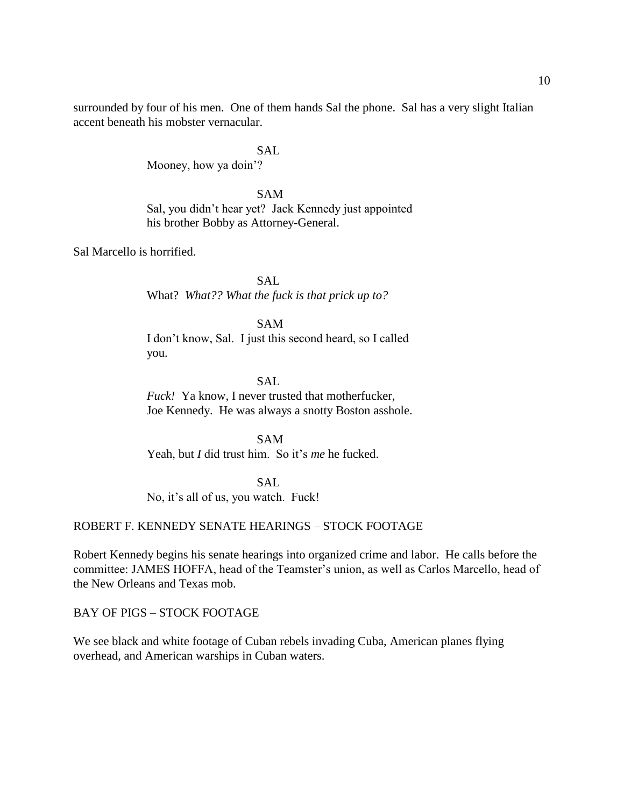surrounded by four of his men. One of them hands Sal the phone. Sal has a very slight Italian accent beneath his mobster vernacular.

> SAL Mooney, how ya doin"?

> > SAM

Sal, you didn"t hear yet? Jack Kennedy just appointed his brother Bobby as Attorney-General.

Sal Marcello is horrified.

SAL What? *What?? What the fuck is that prick up to?*

SAM

I don"t know, Sal. I just this second heard, so I called you.

SAL

*Fuck!* Ya know, I never trusted that motherfucker, Joe Kennedy. He was always a snotty Boston asshole.

SAM Yeah, but *I* did trust him. So it's *me* he fucked.

SAL

No, it's all of us, you watch. Fuck!

## ROBERT F. KENNEDY SENATE HEARINGS – STOCK FOOTAGE

Robert Kennedy begins his senate hearings into organized crime and labor. He calls before the committee: JAMES HOFFA, head of the Teamster"s union, as well as Carlos Marcello, head of the New Orleans and Texas mob.

BAY OF PIGS – STOCK FOOTAGE

We see black and white footage of Cuban rebels invading Cuba, American planes flying overhead, and American warships in Cuban waters.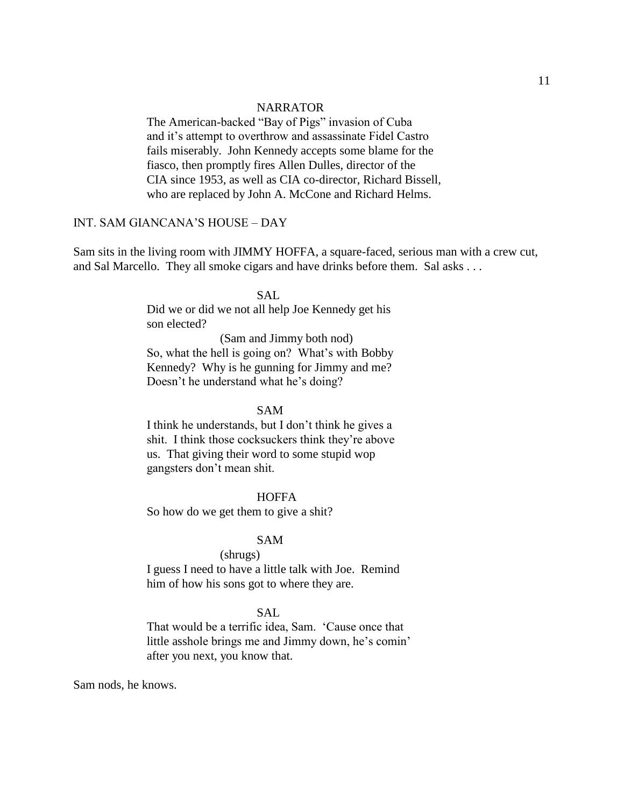#### **NARRATOR**

The American-backed "Bay of Pigs" invasion of Cuba and it"s attempt to overthrow and assassinate Fidel Castro fails miserably. John Kennedy accepts some blame for the fiasco, then promptly fires Allen Dulles, director of the CIA since 1953, as well as CIA co-director, Richard Bissell, who are replaced by John A. McCone and Richard Helms.

#### INT. SAM GIANCANA"S HOUSE – DAY

Sam sits in the living room with JIMMY HOFFA, a square-faced, serious man with a crew cut, and Sal Marcello. They all smoke cigars and have drinks before them. Sal asks . . .

SAL

Did we or did we not all help Joe Kennedy get his son elected?

(Sam and Jimmy both nod) So, what the hell is going on? What"s with Bobby Kennedy? Why is he gunning for Jimmy and me? Doesn't he understand what he's doing?

#### SAM

I think he understands, but I don"t think he gives a shit. I think those cocksuckers think they"re above us. That giving their word to some stupid wop gangsters don"t mean shit.

#### HOFFA

So how do we get them to give a shit?

#### SAM

#### (shrugs)

I guess I need to have a little talk with Joe. Remind him of how his sons got to where they are.

## SAL

That would be a terrific idea, Sam. "Cause once that little asshole brings me and Jimmy down, he's comin' after you next, you know that.

Sam nods, he knows.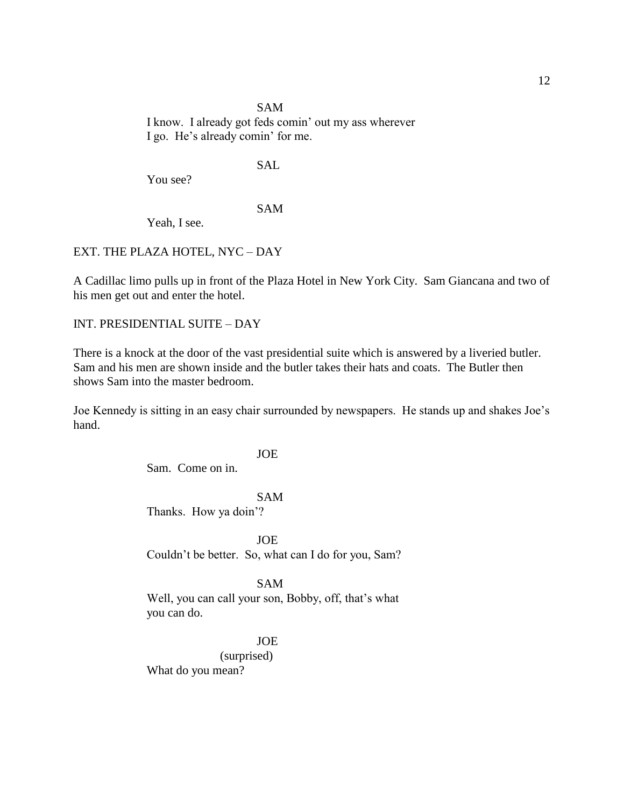SAM I know. I already got feds comin" out my ass wherever I go. He's already comin' for me.

## SAL

You see?

## SAM

Yeah, I see.

## EXT. THE PLAZA HOTEL, NYC – DAY

A Cadillac limo pulls up in front of the Plaza Hotel in New York City. Sam Giancana and two of his men get out and enter the hotel.

### INT. PRESIDENTIAL SUITE – DAY

There is a knock at the door of the vast presidential suite which is answered by a liveried butler. Sam and his men are shown inside and the butler takes their hats and coats. The Butler then shows Sam into the master bedroom.

Joe Kennedy is sitting in an easy chair surrounded by newspapers. He stands up and shakes Joe"s hand.

## JOE

Sam. Come on in.

### SAM

Thanks. How ya doin'?

**JOE** 

Couldn"t be better. So, what can I do for you, Sam?

## SAM

Well, you can call your son, Bobby, off, that's what you can do.

#### JOE

(surprised) What do you mean?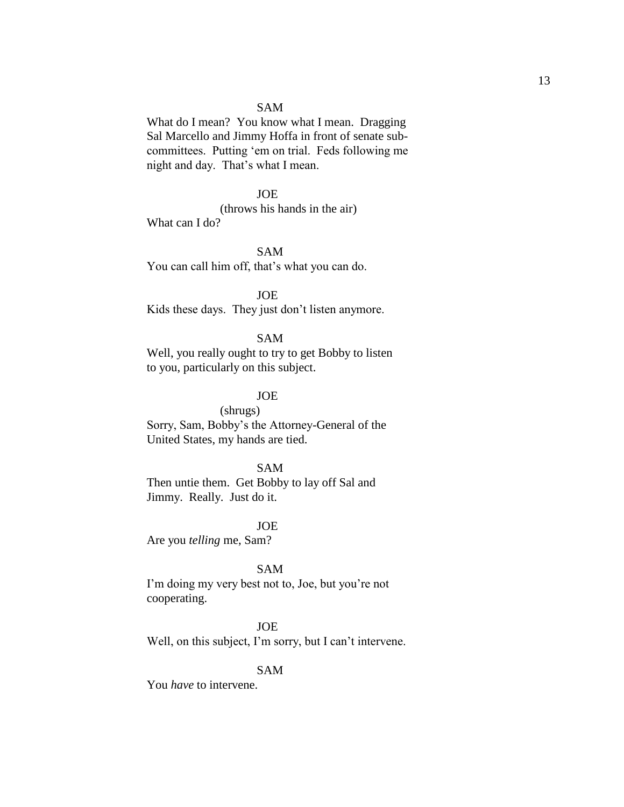#### SAM

What do I mean? You know what I mean. Dragging Sal Marcello and Jimmy Hoffa in front of senate subcommittees. Putting "em on trial. Feds following me night and day. That"s what I mean.

#### JOE

(throws his hands in the air)

What can I do?

SAM You can call him off, that's what you can do.

JOE Kids these days. They just don't listen anymore.

SAM

Well, you really ought to try to get Bobby to listen to you, particularly on this subject.

#### JOE

(shrugs) Sorry, Sam, Bobby"s the Attorney-General of the United States, my hands are tied.

#### SAM

Then untie them. Get Bobby to lay off Sal and Jimmy. Really. Just do it.

#### JOE

Are you *telling* me, Sam?

#### SAM

I'm doing my very best not to, Joe, but you're not cooperating.

JOE Well, on this subject, I'm sorry, but I can't intervene.

#### SAM

You *have* to intervene.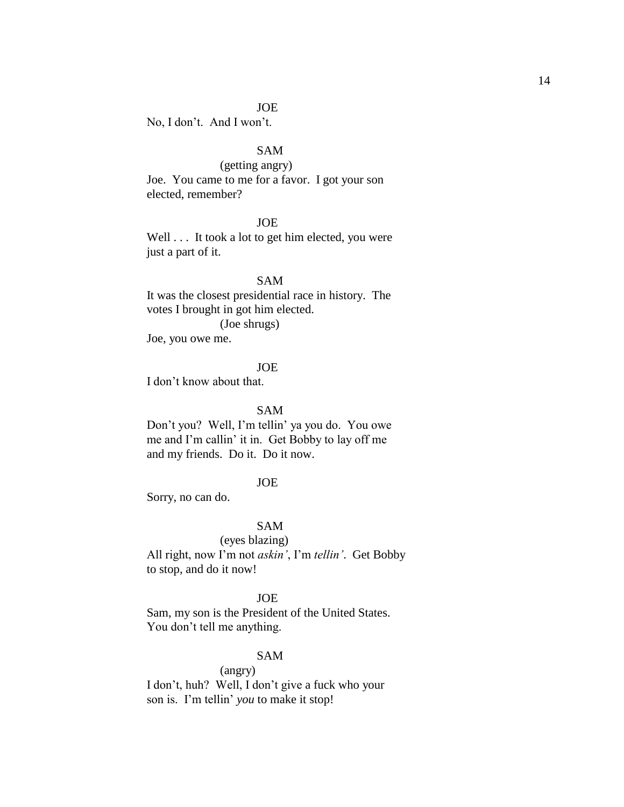No, I don't. And I won't.

## SAM

(getting angry) Joe. You came to me for a favor. I got your son elected, remember?

### JOE

Well . . . It took a lot to get him elected, you were just a part of it.

#### SAM

It was the closest presidential race in history. The votes I brought in got him elected.

(Joe shrugs)

Joe, you owe me.

#### JOE

I don"t know about that.

### SAM

Don"t you? Well, I"m tellin" ya you do. You owe me and I"m callin" it in. Get Bobby to lay off me and my friends. Do it. Do it now.

#### JOE

Sorry, no can do.

## SAM

(eyes blazing) All right, now I"m not *askin'*, I"m *tellin'*. Get Bobby to stop, and do it now!

#### JOE

Sam, my son is the President of the United States. You don"t tell me anything.

## SAM

(angry)

I don"t, huh? Well, I don"t give a fuck who your son is. I"m tellin" *you* to make it stop!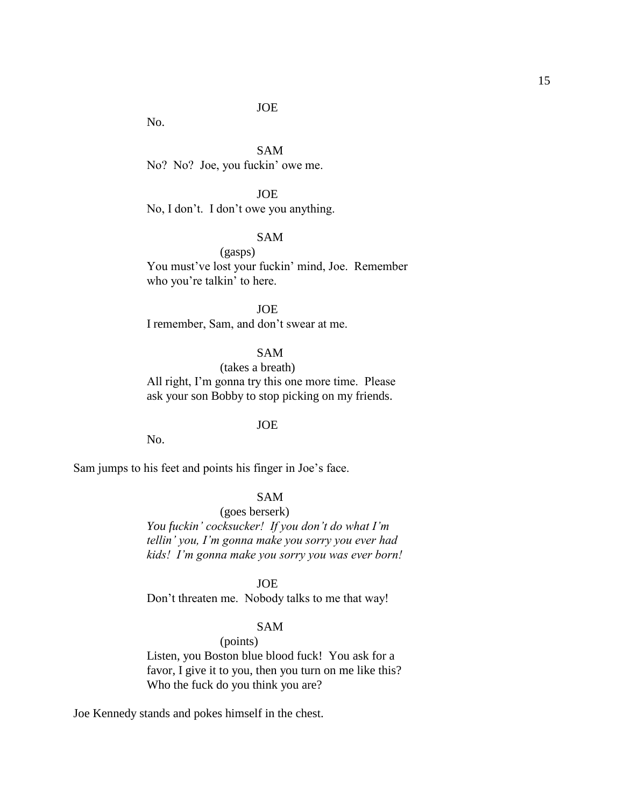### JOE

No.

SAM No? No? Joe, you fuckin' owe me.

JOE

No, I don"t. I don"t owe you anything.

### SAM

(gasps) You must've lost your fuckin' mind, Joe. Remember who you're talkin' to here.

JOE I remember, Sam, and don"t swear at me.

#### SAM

(takes a breath)

All right, I'm gonna try this one more time. Please ask your son Bobby to stop picking on my friends.

### JOE

No.

Sam jumps to his feet and points his finger in Joe"s face.

## SAM

## (goes berserk)

*You fuckin' cocksucker! If you don't do what I'm tellin' you, I'm gonna make you sorry you ever had kids! I'm gonna make you sorry you was ever born!*

JOE

Don"t threaten me. Nobody talks to me that way!

### SAM

(points)

Listen, you Boston blue blood fuck! You ask for a favor, I give it to you, then you turn on me like this? Who the fuck do you think you are?

Joe Kennedy stands and pokes himself in the chest.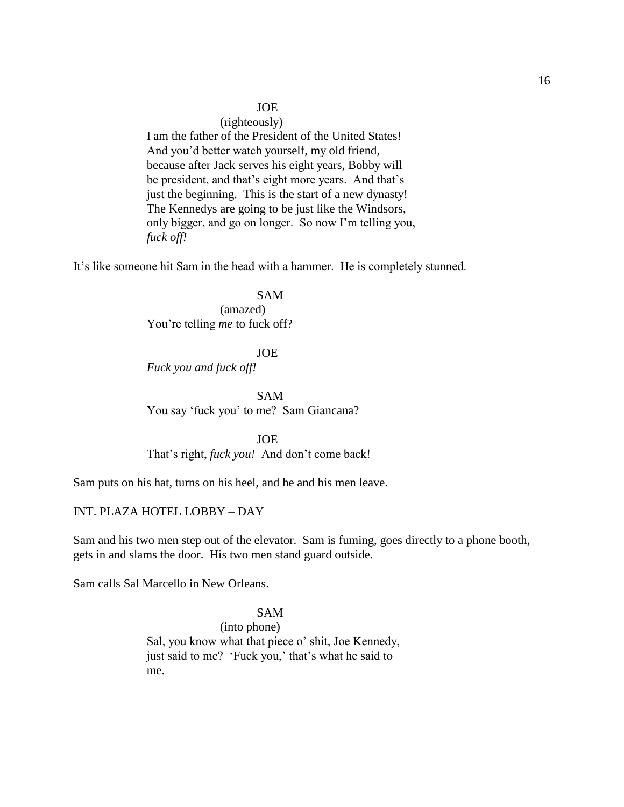## JOE

(righteously)

I am the father of the President of the United States! And you"d better watch yourself, my old friend, because after Jack serves his eight years, Bobby will be president, and that's eight more years. And that's just the beginning. This is the start of a new dynasty! The Kennedys are going to be just like the Windsors, only bigger, and go on longer. So now I"m telling you, *fuck off!*

It's like someone hit Sam in the head with a hammer. He is completely stunned.

#### SAM

(amazed) You"re telling *me* to fuck off?

## JOE

*Fuck you and fuck off!*

SAM You say "fuck you" to me? Sam Giancana?

JOE

That's right, *fuck you!* And don't come back!

Sam puts on his hat, turns on his heel, and he and his men leave.

### INT. PLAZA HOTEL LOBBY – DAY

Sam and his two men step out of the elevator. Sam is fuming, goes directly to a phone booth, gets in and slams the door. His two men stand guard outside.

Sam calls Sal Marcello in New Orleans.

SAM

(into phone) Sal, you know what that piece o' shit, Joe Kennedy, just said to me? 'Fuck you,' that's what he said to me.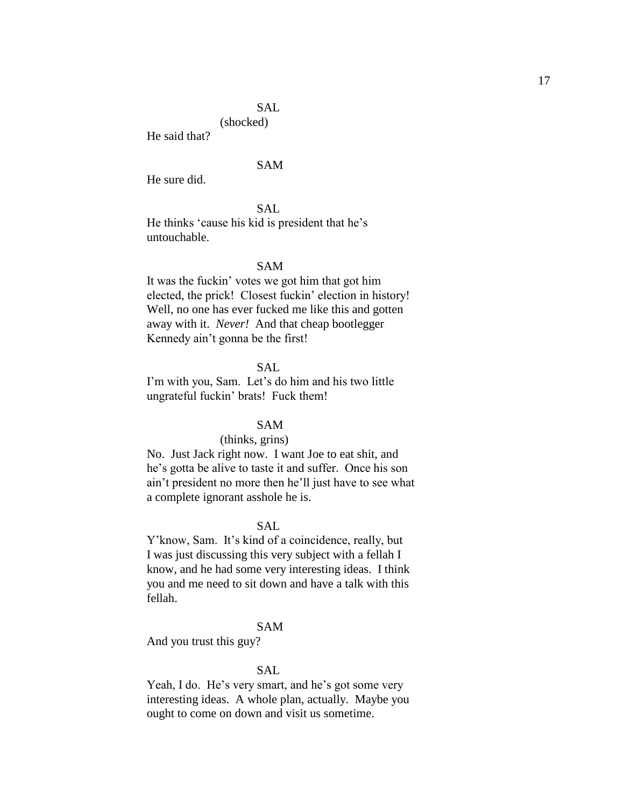#### SAL

### (shocked)

He said that?

### SAM

He sure did.

### SAL

He thinks "cause his kid is president that he"s untouchable.

#### SAM

It was the fuckin" votes we got him that got him elected, the prick! Closest fuckin' election in history! Well, no one has ever fucked me like this and gotten away with it. *Never!* And that cheap bootlegger Kennedy ain"t gonna be the first!

#### SAL

I'm with you, Sam. Let's do him and his two little ungrateful fuckin" brats! Fuck them!

#### SAM

## (thinks, grins)

No. Just Jack right now. I want Joe to eat shit, and he"s gotta be alive to taste it and suffer. Once his son ain"t president no more then he"ll just have to see what a complete ignorant asshole he is.

#### SAL

Y' know, Sam. It's kind of a coincidence, really, but I was just discussing this very subject with a fellah I know, and he had some very interesting ideas. I think you and me need to sit down and have a talk with this fellah.

## SAM

And you trust this guy?

#### SAL.

Yeah, I do. He's very smart, and he's got some very interesting ideas. A whole plan, actually. Maybe you ought to come on down and visit us sometime.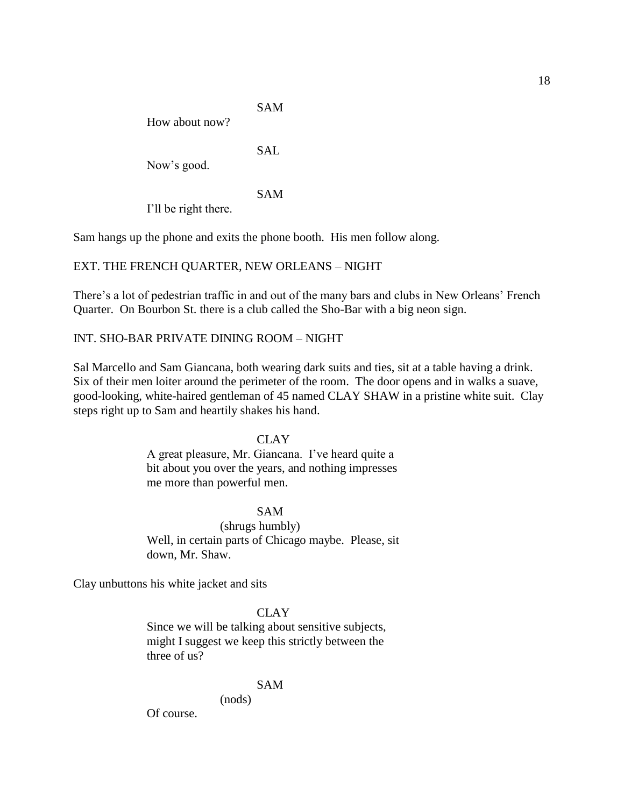SAM

SAL

How about now?

Now's good.

SAM

I"ll be right there.

Sam hangs up the phone and exits the phone booth. His men follow along.

EXT. THE FRENCH QUARTER, NEW ORLEANS – NIGHT

There's a lot of pedestrian traffic in and out of the many bars and clubs in New Orleans' French Quarter. On Bourbon St. there is a club called the Sho-Bar with a big neon sign.

## INT. SHO-BAR PRIVATE DINING ROOM – NIGHT

Sal Marcello and Sam Giancana, both wearing dark suits and ties, sit at a table having a drink. Six of their men loiter around the perimeter of the room. The door opens and in walks a suave, good-looking, white-haired gentleman of 45 named CLAY SHAW in a pristine white suit. Clay steps right up to Sam and heartily shakes his hand.

CLAY

A great pleasure, Mr. Giancana. I"ve heard quite a bit about you over the years, and nothing impresses me more than powerful men.

## SAM

(shrugs humbly) Well, in certain parts of Chicago maybe. Please, sit down, Mr. Shaw.

Clay unbuttons his white jacket and sits

**CLAY** 

Since we will be talking about sensitive subjects, might I suggest we keep this strictly between the three of us?

SAM

(nods)

Of course.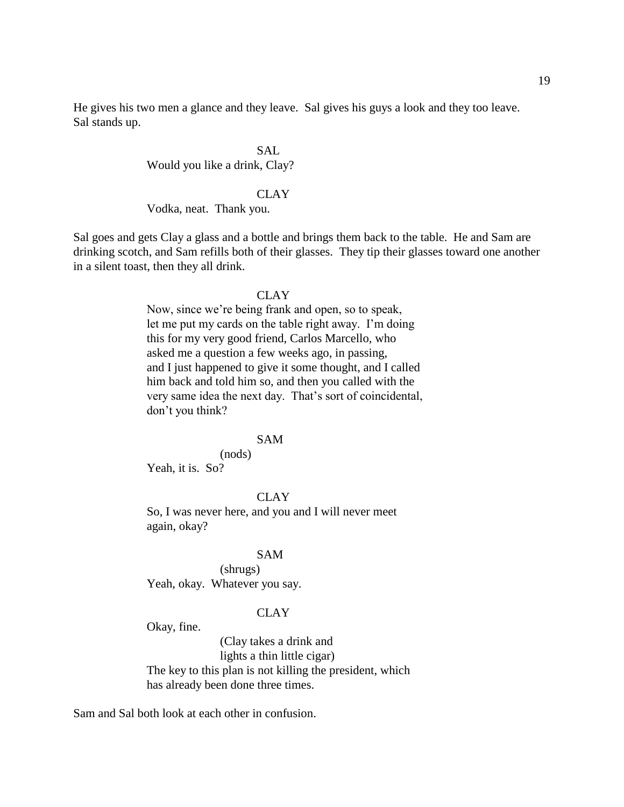He gives his two men a glance and they leave. Sal gives his guys a look and they too leave. Sal stands up.

> SAL Would you like a drink, Clay?

#### CLAY

Vodka, neat. Thank you.

Sal goes and gets Clay a glass and a bottle and brings them back to the table. He and Sam are drinking scotch, and Sam refills both of their glasses. They tip their glasses toward one another in a silent toast, then they all drink.

#### **CLAY**

Now, since we"re being frank and open, so to speak, let me put my cards on the table right away. I"m doing this for my very good friend, Carlos Marcello, who asked me a question a few weeks ago, in passing, and I just happened to give it some thought, and I called him back and told him so, and then you called with the very same idea the next day. That"s sort of coincidental, don"t you think?

### SAM

(nods) Yeah, it is. So?

#### **CLAY**

So, I was never here, and you and I will never meet again, okay?

## SAM

(shrugs) Yeah, okay. Whatever you say.

## **CLAY**

Okay, fine.

(Clay takes a drink and lights a thin little cigar) The key to this plan is not killing the president, which has already been done three times.

Sam and Sal both look at each other in confusion.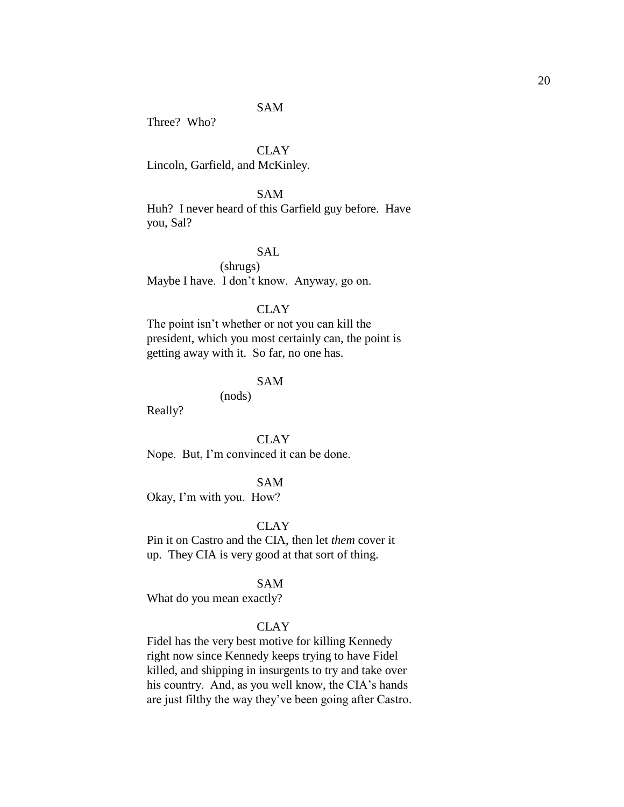Three? Who?

**CLAY** Lincoln, Garfield, and McKinley.

SAM

Huh? I never heard of this Garfield guy before. Have you, Sal?

SAL

(shrugs) Maybe I have. I don"t know. Anyway, go on.

## **CLAY**

The point isn"t whether or not you can kill the president, which you most certainly can, the point is getting away with it. So far, no one has.

SAM

(nods)

Really?

CLAY Nope. But, I"m convinced it can be done.

SAM

Okay, I'm with you. How?

**CLAY** 

Pin it on Castro and the CIA, then let *them* cover it up. They CIA is very good at that sort of thing.

SAM

What do you mean exactly?

### CLAY

Fidel has the very best motive for killing Kennedy right now since Kennedy keeps trying to have Fidel killed, and shipping in insurgents to try and take over his country. And, as you well know, the CIA's hands are just filthy the way they"ve been going after Castro.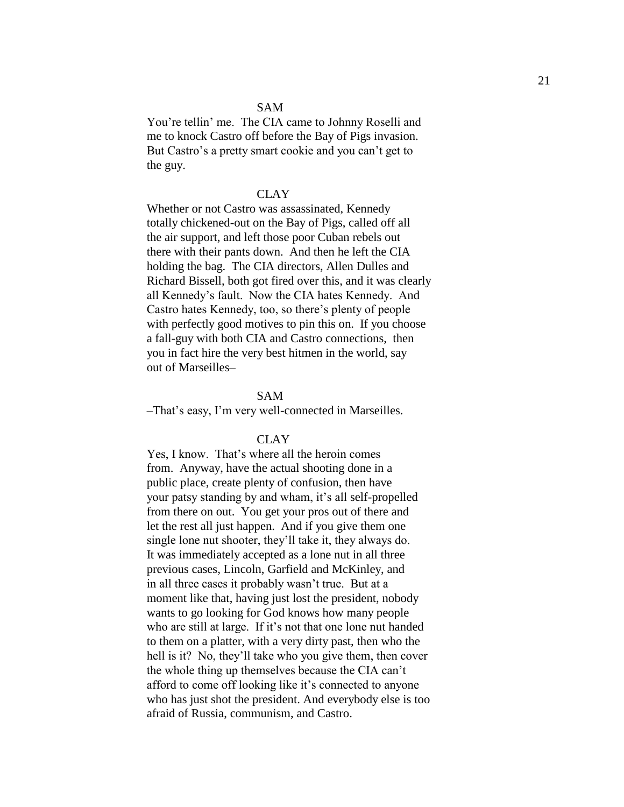#### SAM

You"re tellin" me. The CIA came to Johnny Roselli and me to knock Castro off before the Bay of Pigs invasion. But Castro's a pretty smart cookie and you can't get to the guy.

#### CLAY

Whether or not Castro was assassinated, Kennedy totally chickened-out on the Bay of Pigs, called off all the air support, and left those poor Cuban rebels out there with their pants down. And then he left the CIA holding the bag. The CIA directors, Allen Dulles and Richard Bissell, both got fired over this, and it was clearly all Kennedy"s fault. Now the CIA hates Kennedy. And Castro hates Kennedy, too, so there"s plenty of people with perfectly good motives to pin this on. If you choose a fall-guy with both CIA and Castro connections, then you in fact hire the very best hitmen in the world, say out of Marseilles–

#### SAM

–That"s easy, I"m very well-connected in Marseilles.

### CLAY

Yes, I know. That's where all the heroin comes from. Anyway, have the actual shooting done in a public place, create plenty of confusion, then have your patsy standing by and wham, it's all self-propelled from there on out. You get your pros out of there and let the rest all just happen. And if you give them one single lone nut shooter, they"ll take it, they always do. It was immediately accepted as a lone nut in all three previous cases, Lincoln, Garfield and McKinley, and in all three cases it probably wasn"t true. But at a moment like that, having just lost the president, nobody wants to go looking for God knows how many people who are still at large. If it's not that one lone nut handed to them on a platter, with a very dirty past, then who the hell is it? No, they'll take who you give them, then cover the whole thing up themselves because the CIA can"t afford to come off looking like it's connected to anyone who has just shot the president. And everybody else is too afraid of Russia, communism, and Castro.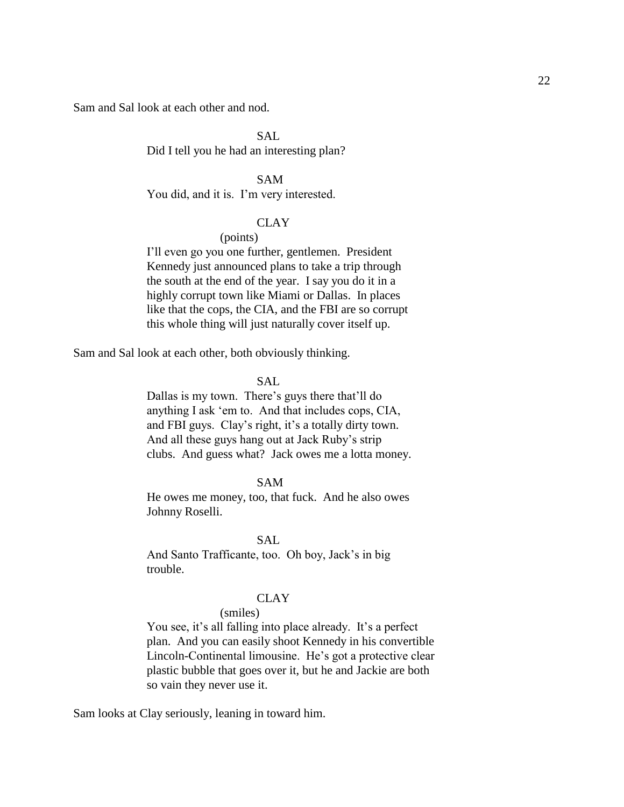Sam and Sal look at each other and nod.

SAL Did I tell you he had an interesting plan?

## SAM

You did, and it is. I'm very interested.

### **CLAY**

### (points)

I"ll even go you one further, gentlemen. President Kennedy just announced plans to take a trip through the south at the end of the year. I say you do it in a highly corrupt town like Miami or Dallas. In places like that the cops, the CIA, and the FBI are so corrupt this whole thing will just naturally cover itself up.

Sam and Sal look at each other, both obviously thinking.

#### SAL

Dallas is my town. There"s guys there that"ll do anything I ask "em to. And that includes cops, CIA, and FBI guys. Clay's right, it's a totally dirty town. And all these guys hang out at Jack Ruby"s strip clubs. And guess what? Jack owes me a lotta money.

## SAM

He owes me money, too, that fuck. And he also owes Johnny Roselli.

### SAL

And Santo Trafficante, too. Oh boy, Jack"s in big trouble.

#### **CLAY**

### (smiles)

You see, it's all falling into place already. It's a perfect plan. And you can easily shoot Kennedy in his convertible Lincoln-Continental limousine. He"s got a protective clear plastic bubble that goes over it, but he and Jackie are both so vain they never use it.

Sam looks at Clay seriously, leaning in toward him.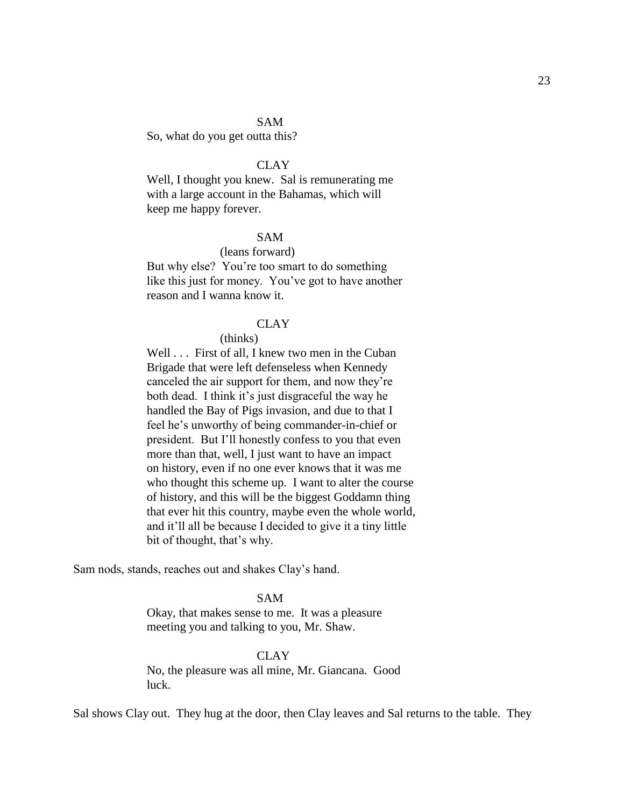### SAM

So, what do you get outta this?

## CLAY

Well, I thought you knew. Sal is remunerating me with a large account in the Bahamas, which will keep me happy forever.

## SAM

## (leans forward) But why else? You"re too smart to do something like this just for money. You've got to have another reason and I wanna know it.

### **CLAY**

(thinks)

Well . . . First of all, I knew two men in the Cuban Brigade that were left defenseless when Kennedy canceled the air support for them, and now they"re both dead. I think it's just disgraceful the way he handled the Bay of Pigs invasion, and due to that I feel he's unworthy of being commander-in-chief or president. But I"ll honestly confess to you that even more than that, well, I just want to have an impact on history, even if no one ever knows that it was me who thought this scheme up. I want to alter the course of history, and this will be the biggest Goddamn thing that ever hit this country, maybe even the whole world, and it"ll all be because I decided to give it a tiny little bit of thought, that's why.

Sam nods, stands, reaches out and shakes Clay"s hand.

#### SAM

Okay, that makes sense to me. It was a pleasure meeting you and talking to you, Mr. Shaw.

## **CLAY**

No, the pleasure was all mine, Mr. Giancana. Good luck.

Sal shows Clay out. They hug at the door, then Clay leaves and Sal returns to the table. They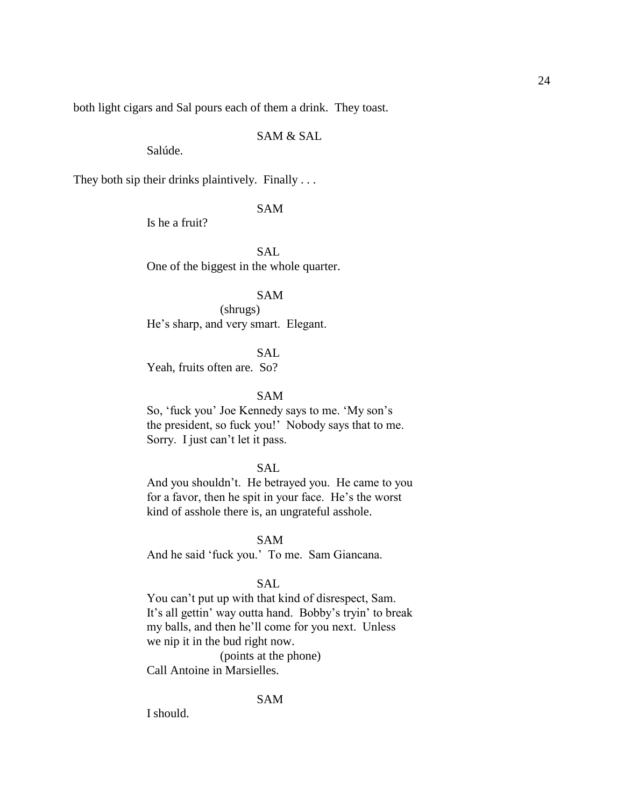both light cigars and Sal pours each of them a drink. They toast.

## SAM & SAL

Salúde.

They both sip their drinks plaintively. Finally ...

## SAM

Is he a fruit?

SAL One of the biggest in the whole quarter.

#### SAM

(shrugs) He's sharp, and very smart. Elegant.

SAL Yeah, fruits often are. So?

#### SAM

So, "fuck you" Joe Kennedy says to me. "My son"s the president, so fuck you!' Nobody says that to me. Sorry. I just can't let it pass.

#### SAL

And you shouldn"t. He betrayed you. He came to you for a favor, then he spit in your face. He's the worst kind of asshole there is, an ungrateful asshole.

SAM And he said "fuck you." To me. Sam Giancana.

#### SAL

You can"t put up with that kind of disrespect, Sam. It's all gettin' way outta hand. Bobby's tryin' to break my balls, and then he"ll come for you next. Unless we nip it in the bud right now.

(points at the phone) Call Antoine in Marsielles.

SAM

I should.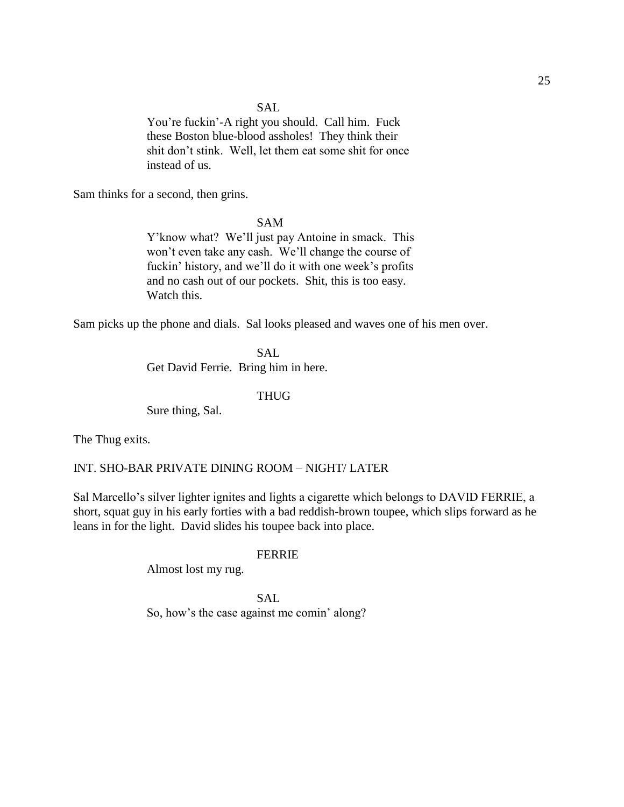#### SAL

You"re fuckin"-A right you should. Call him. Fuck these Boston blue-blood assholes! They think their shit don"t stink. Well, let them eat some shit for once instead of us.

Sam thinks for a second, then grins.

### SAM

Y' know what? We'll just pay Antoine in smack. This won"t even take any cash. We"ll change the course of fuckin' history, and we'll do it with one week's profits and no cash out of our pockets. Shit, this is too easy. Watch this.

Sam picks up the phone and dials. Sal looks pleased and waves one of his men over.

SAL Get David Ferrie. Bring him in here.

### THUG

Sure thing, Sal.

The Thug exits.

### INT. SHO-BAR PRIVATE DINING ROOM – NIGHT/ LATER

Sal Marcello's silver lighter ignites and lights a cigarette which belongs to DAVID FERRIE, a short, squat guy in his early forties with a bad reddish-brown toupee, which slips forward as he leans in for the light. David slides his toupee back into place.

### FERRIE

Almost lost my rug.

SAL So, how's the case against me comin' along?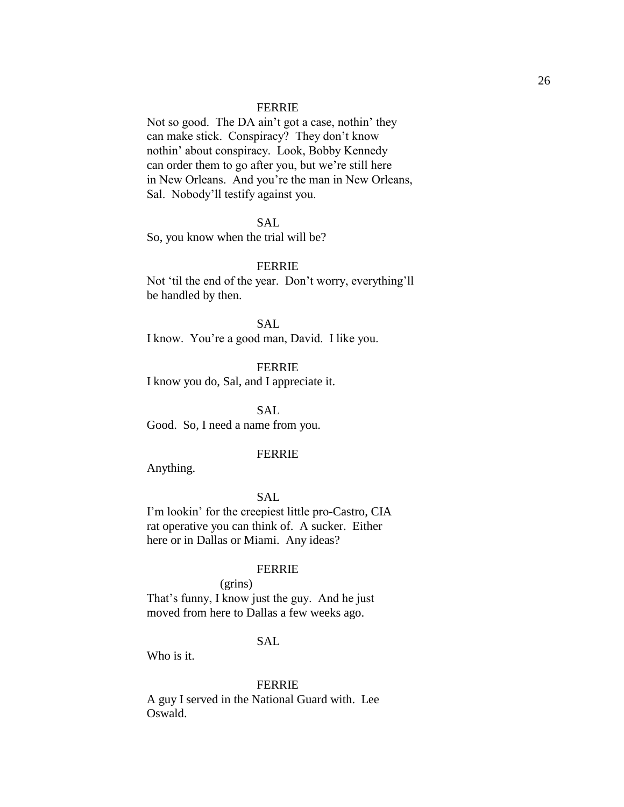#### FERRIE

Not so good. The DA ain't got a case, nothin' they can make stick. Conspiracy? They don"t know nothin" about conspiracy. Look, Bobby Kennedy can order them to go after you, but we"re still here in New Orleans. And you"re the man in New Orleans, Sal. Nobody"ll testify against you.

#### SAL

So, you know when the trial will be?

#### FERRIE

Not 'til the end of the year. Don't worry, everything'll be handled by then.

SAL

I know. You"re a good man, David. I like you.

FERRIE

I know you do, Sal, and I appreciate it.

SAL Good. So, I need a name from you.

#### FERRIE

Anything.

#### SAL

I'm lookin' for the creepiest little pro-Castro, CIA rat operative you can think of. A sucker. Either here or in Dallas or Miami. Any ideas?

#### FERRIE

(grins)

That's funny, I know just the guy. And he just moved from here to Dallas a few weeks ago.

### SAL

Who is it.

#### FERRIE

A guy I served in the National Guard with. Lee Oswald.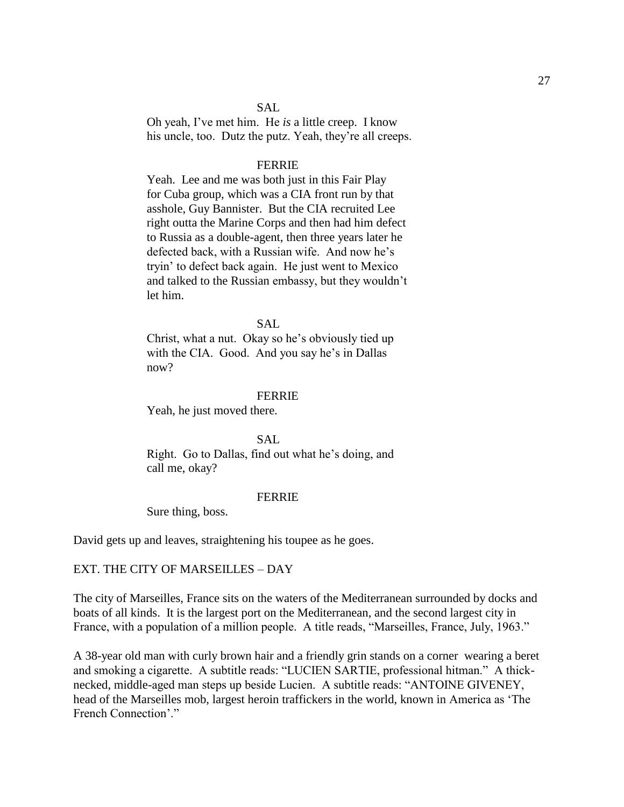### SAL

Oh yeah, I"ve met him. He *is* a little creep. I know his uncle, too. Dutz the putz. Yeah, they're all creeps.

### **FERRIE**

Yeah. Lee and me was both just in this Fair Play for Cuba group, which was a CIA front run by that asshole, Guy Bannister. But the CIA recruited Lee right outta the Marine Corps and then had him defect to Russia as a double-agent, then three years later he defected back, with a Russian wife. And now he's tryin" to defect back again. He just went to Mexico and talked to the Russian embassy, but they wouldn"t let him.

SAL

Christ, what a nut. Okay so he"s obviously tied up with the CIA. Good. And you say he's in Dallas now?

#### FERRIE

Yeah, he just moved there.

SAL

Right. Go to Dallas, find out what he's doing, and call me, okay?

#### FERRIE

Sure thing, boss.

David gets up and leaves, straightening his toupee as he goes.

### EXT. THE CITY OF MARSEILLES – DAY

The city of Marseilles, France sits on the waters of the Mediterranean surrounded by docks and boats of all kinds. It is the largest port on the Mediterranean, and the second largest city in France, with a population of a million people. A title reads, "Marseilles, France, July, 1963."

A 38-year old man with curly brown hair and a friendly grin stands on a corner wearing a beret and smoking a cigarette. A subtitle reads: "LUCIEN SARTIE, professional hitman." A thicknecked, middle-aged man steps up beside Lucien. A subtitle reads: "ANTOINE GIVENEY, head of the Marseilles mob, largest heroin traffickers in the world, known in America as "The French Connection'."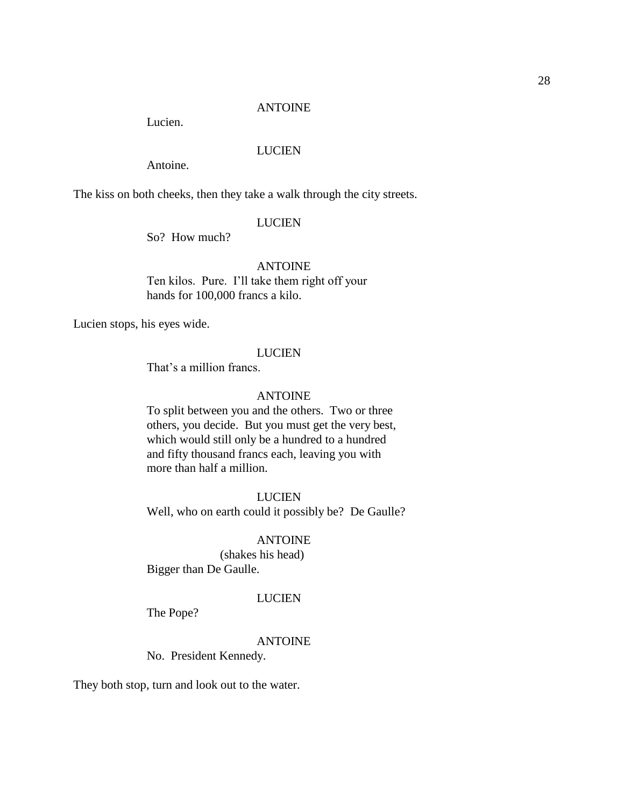#### ANTOINE

Lucien.

## LUCIEN

Antoine.

The kiss on both cheeks, then they take a walk through the city streets.

#### LUCIEN

So? How much?

## ANTOINE

Ten kilos. Pure. I"ll take them right off your hands for 100,000 francs a kilo.

Lucien stops, his eyes wide.

## LUCIEN

That's a million francs.

#### ANTOINE

To split between you and the others. Two or three others, you decide. But you must get the very best, which would still only be a hundred to a hundred and fifty thousand francs each, leaving you with more than half a million.

#### LUCIEN

Well, who on earth could it possibly be? De Gaulle?

#### ANTOINE

(shakes his head) Bigger than De Gaulle.

#### LUCIEN

The Pope?

### ANTOINE

No. President Kennedy.

They both stop, turn and look out to the water.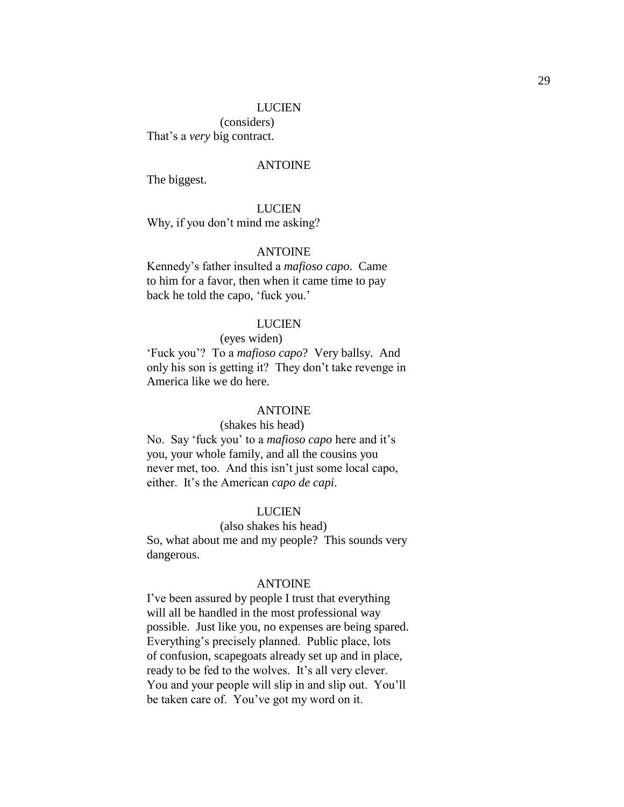#### LUCIEN

(considers) That's a *very* big contract.

#### ANTOINE

The biggest.

## LUCIEN

Why, if you don't mind me asking?

#### ANTOINE

Kennedy"s father insulted a *mafioso capo*. Came to him for a favor, then when it came time to pay back he told the capo, 'fuck you.'

### LUCIEN

### (eyes widen)

"Fuck you"? To a *mafioso capo*? Very ballsy. And only his son is getting it? They don"t take revenge in America like we do here.

### ANTOINE

#### (shakes his head)

No. Say "fuck you" to a *mafioso capo* here and it"s you, your whole family, and all the cousins you never met, too. And this isn't just some local capo, either. It"s the American *capo de capi*.

### LUCIEN

(also shakes his head) So, what about me and my people? This sounds very

dangerous.

#### ANTOINE

I've been assured by people I trust that everything will all be handled in the most professional way possible. Just like you, no expenses are being spared. Everything"s precisely planned. Public place, lots of confusion, scapegoats already set up and in place, ready to be fed to the wolves. It's all very clever. You and your people will slip in and slip out. You"ll be taken care of. You"ve got my word on it.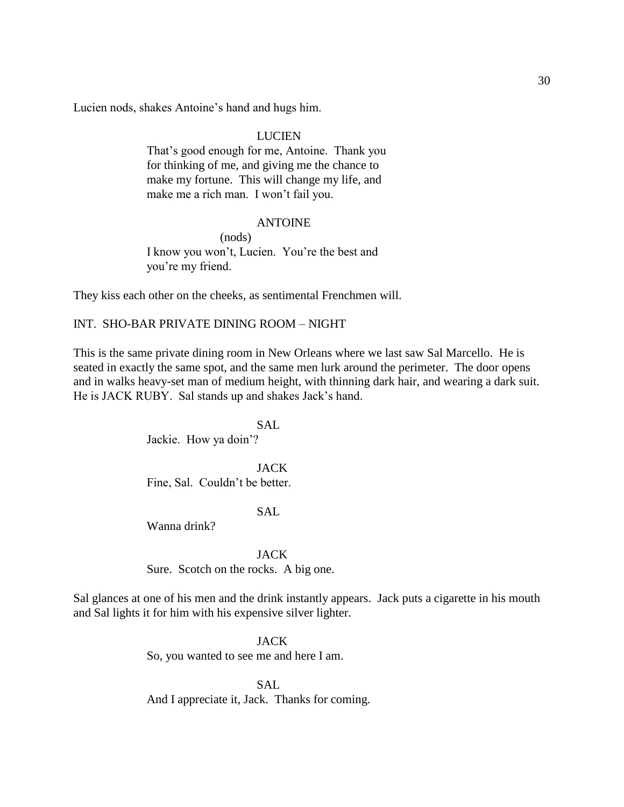Lucien nods, shakes Antoine's hand and hugs him.

## LUCIEN

That"s good enough for me, Antoine. Thank you for thinking of me, and giving me the chance to make my fortune. This will change my life, and make me a rich man. I won"t fail you.

#### ANTOINE

(nods) I know you won"t, Lucien. You"re the best and you"re my friend.

They kiss each other on the cheeks, as sentimental Frenchmen will.

### INT. SHO-BAR PRIVATE DINING ROOM – NIGHT

This is the same private dining room in New Orleans where we last saw Sal Marcello. He is seated in exactly the same spot, and the same men lurk around the perimeter. The door opens and in walks heavy-set man of medium height, with thinning dark hair, and wearing a dark suit. He is JACK RUBY. Sal stands up and shakes Jack's hand.

> SAL Jackie. How ya doin"?

JACK Fine, Sal. Couldn"t be better.

### SAL

Wanna drink?

**JACK** 

Sure. Scotch on the rocks. A big one.

Sal glances at one of his men and the drink instantly appears. Jack puts a cigarette in his mouth and Sal lights it for him with his expensive silver lighter.

> JACK So, you wanted to see me and here I am.

SAL And I appreciate it, Jack. Thanks for coming.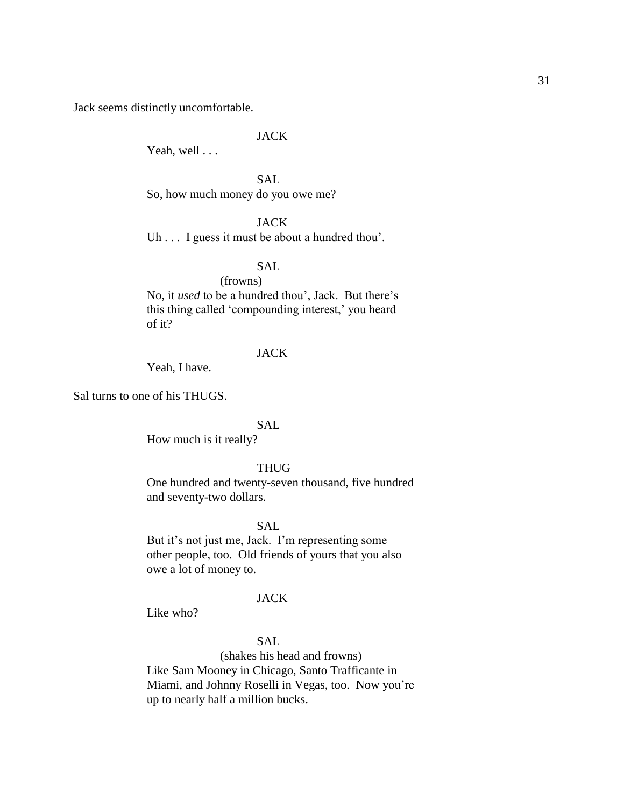Jack seems distinctly uncomfortable.

## JACK

Yeah, well . . .

SAL So, how much money do you owe me?

JACK

Uh . . . I guess it must be about a hundred thou'.

### SAL

(frowns)

No, it *used* to be a hundred thou", Jack. But there"s this thing called 'compounding interest,' you heard of it?

## JACK

Yeah, I have.

Sal turns to one of his THUGS.

#### SAL

How much is it really?

#### THUG

One hundred and twenty-seven thousand, five hundred and seventy-two dollars.

SAL

But it's not just me, Jack. I'm representing some other people, too. Old friends of yours that you also owe a lot of money to.

#### JACK

Like who?

## SAL

(shakes his head and frowns) Like Sam Mooney in Chicago, Santo Trafficante in Miami, and Johnny Roselli in Vegas, too. Now you"re up to nearly half a million bucks.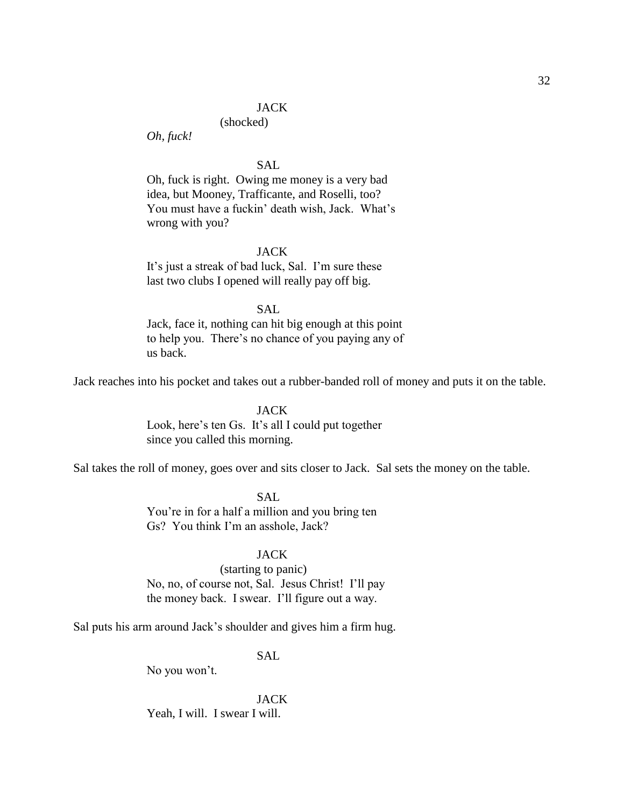#### JACK

## (shocked)

*Oh, fuck!*

#### SAL

Oh, fuck is right. Owing me money is a very bad idea, but Mooney, Trafficante, and Roselli, too? You must have a fuckin' death wish, Jack. What's wrong with you?

## JACK

It's just a streak of bad luck, Sal. I'm sure these last two clubs I opened will really pay off big.

SAL

Jack, face it, nothing can hit big enough at this point to help you. There"s no chance of you paying any of us back.

Jack reaches into his pocket and takes out a rubber-banded roll of money and puts it on the table.

JACK Look, here's ten Gs. It's all I could put together since you called this morning.

Sal takes the roll of money, goes over and sits closer to Jack. Sal sets the money on the table.

SAL You're in for a half a million and you bring ten Gs? You think I'm an asshole, Jack?

### JACK

(starting to panic) No, no, of course not, Sal. Jesus Christ! I"ll pay the money back. I swear. I"ll figure out a way.

Sal puts his arm around Jack"s shoulder and gives him a firm hug.

SAL

No you won"t.

JACK Yeah, I will. I swear I will.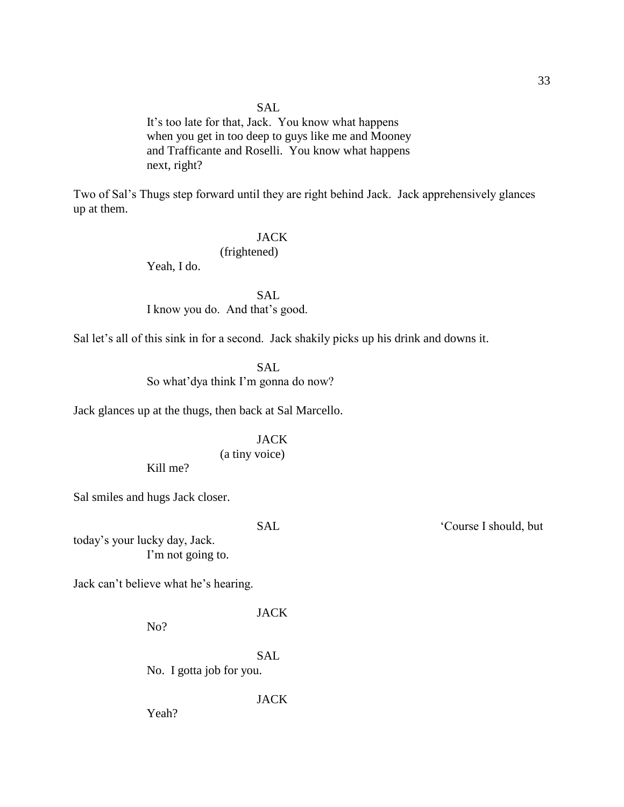### SAL

It's too late for that, Jack. You know what happens when you get in too deep to guys like me and Mooney and Trafficante and Roselli. You know what happens next, right?

Two of Sal's Thugs step forward until they are right behind Jack. Jack apprehensively glances up at them.

## JACK

(frightened)

Yeah, I do.

SAL I know you do. And that"s good.

Sal let's all of this sink in for a second. Jack shakily picks up his drink and downs it.

SAL So what"dya think I"m gonna do now?

Jack glances up at the thugs, then back at Sal Marcello.

## JACK

(a tiny voice)

Kill me?

Sal smiles and hugs Jack closer.

today"s your lucky day, Jack. I'm not going to.

Jack can"t believe what he"s hearing.

JACK

No?

SAL

No. I gotta job for you.

JACK

Yeah?

SAL 'Course I should, but

33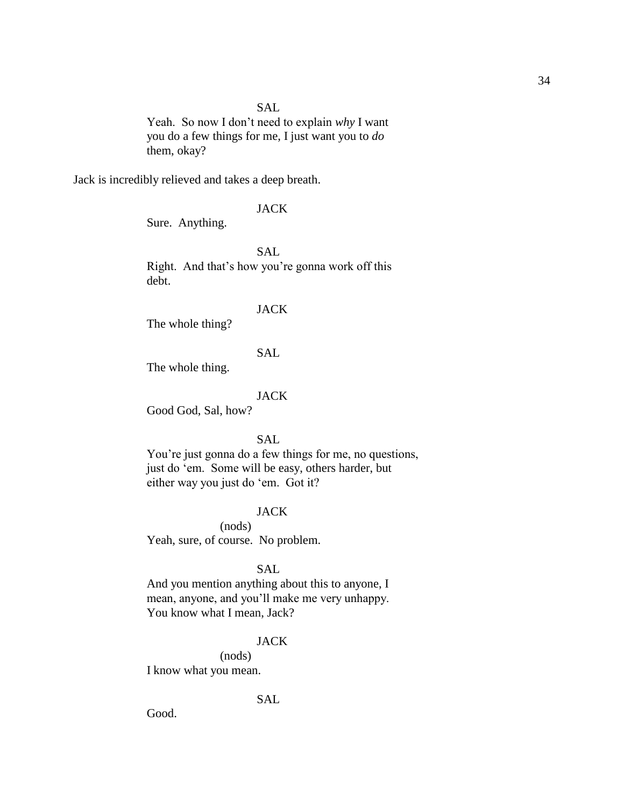### SAL

Yeah. So now I don"t need to explain *why* I want you do a few things for me, I just want you to *do* them, okay?

Jack is incredibly relieved and takes a deep breath.

## JACK

Sure. Anything.

SAL

Right. And that"s how you"re gonna work off this debt.

## JACK

The whole thing?

## SAL

The whole thing.

#### JACK

Good God, Sal, how?

## SAL

You're just gonna do a few things for me, no questions, just do "em. Some will be easy, others harder, but either way you just do "em. Got it?

### JACK

(nods) Yeah, sure, of course. No problem.

#### SAL

And you mention anything about this to anyone, I mean, anyone, and you"ll make me very unhappy. You know what I mean, Jack?

#### JACK

(nods) I know what you mean.

#### SAL

Good.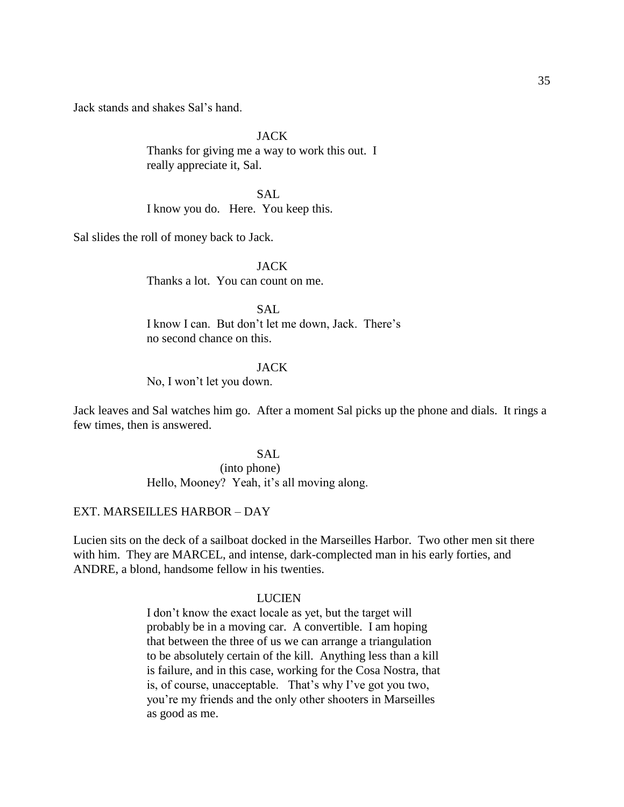Jack stands and shakes Sal"s hand.

JACK Thanks for giving me a way to work this out. I really appreciate it, Sal.

SAL I know you do. Here. You keep this.

Sal slides the roll of money back to Jack.

JACK Thanks a lot. You can count on me.

SAL I know I can. But don"t let me down, Jack. There"s no second chance on this.

#### JACK

No, I won"t let you down.

Jack leaves and Sal watches him go. After a moment Sal picks up the phone and dials. It rings a few times, then is answered.

## SAL

(into phone) Hello, Mooney? Yeah, it's all moving along.

# EXT. MARSEILLES HARBOR – DAY

Lucien sits on the deck of a sailboat docked in the Marseilles Harbor. Two other men sit there with him. They are MARCEL, and intense, dark-complected man in his early forties, and ANDRE, a blond, handsome fellow in his twenties.

#### LUCIEN

I don"t know the exact locale as yet, but the target will probably be in a moving car. A convertible. I am hoping that between the three of us we can arrange a triangulation to be absolutely certain of the kill. Anything less than a kill is failure, and in this case, working for the Cosa Nostra, that is, of course, unacceptable. That's why I've got you two, you"re my friends and the only other shooters in Marseilles as good as me.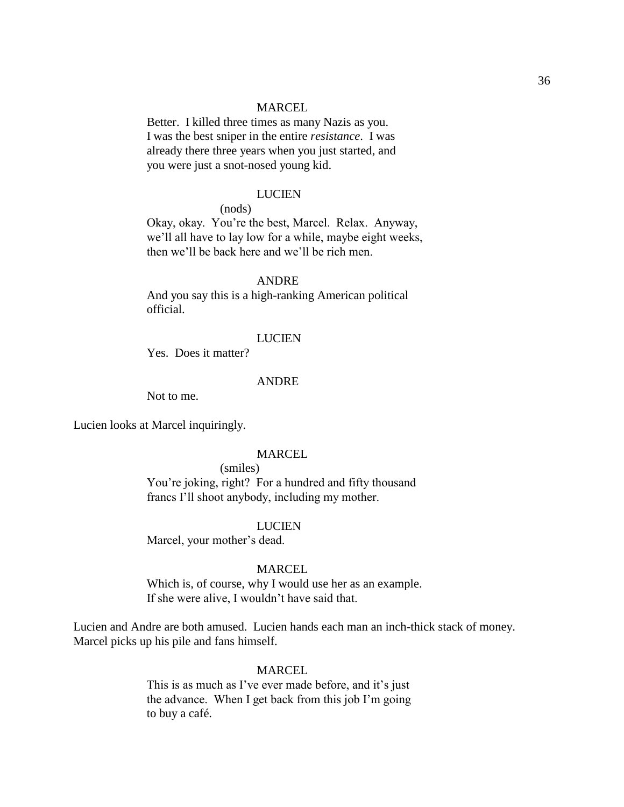#### MARCEL

Better. I killed three times as many Nazis as you. I was the best sniper in the entire *resistance*. I was already there three years when you just started, and you were just a snot-nosed young kid.

#### **LUCIEN**

(nods)

Okay, okay. You"re the best, Marcel. Relax. Anyway, we"ll all have to lay low for a while, maybe eight weeks, then we"ll be back here and we"ll be rich men.

### ANDRE

And you say this is a high-ranking American political official.

## LUCIEN

Yes. Does it matter?

### ANDRE

Not to me.

Lucien looks at Marcel inquiringly.

## MARCEL

(smiles)

You"re joking, right? For a hundred and fifty thousand francs I'll shoot anybody, including my mother.

#### LUCIEN

Marcel, your mother's dead.

#### MARCEL

Which is, of course, why I would use her as an example. If she were alive, I wouldn"t have said that.

Lucien and Andre are both amused. Lucien hands each man an inch-thick stack of money. Marcel picks up his pile and fans himself.

#### MARCEL.

This is as much as I've ever made before, and it's just the advance. When I get back from this job I"m going to buy a café.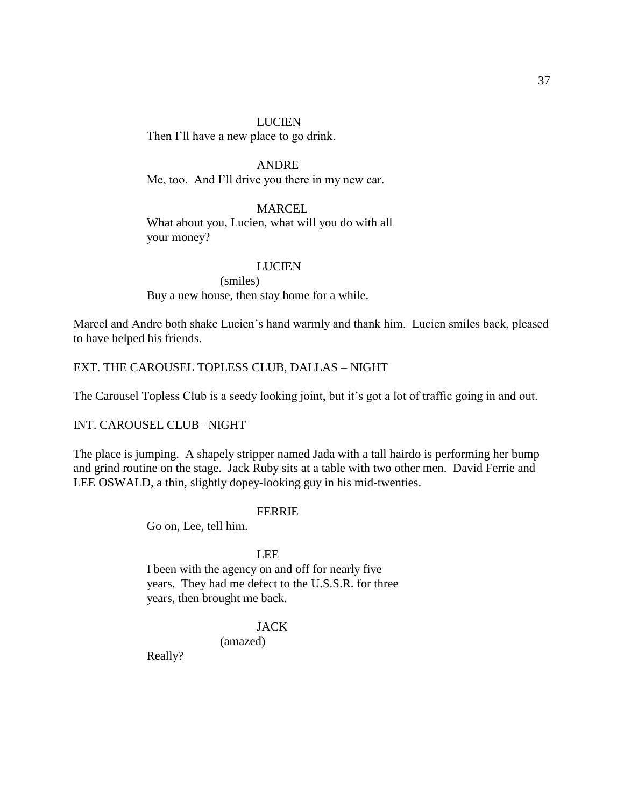### LUCIEN

Then I'll have a new place to go drink.

ANDRE Me, too. And I"ll drive you there in my new car.

### MARCEL

What about you, Lucien, what will you do with all your money?

#### LUCIEN

(smiles) Buy a new house, then stay home for a while.

Marcel and Andre both shake Lucien"s hand warmly and thank him. Lucien smiles back, pleased to have helped his friends.

### EXT. THE CAROUSEL TOPLESS CLUB, DALLAS – NIGHT

The Carousel Topless Club is a seedy looking joint, but it's got a lot of traffic going in and out.

### INT. CAROUSEL CLUB– NIGHT

The place is jumping. A shapely stripper named Jada with a tall hairdo is performing her bump and grind routine on the stage. Jack Ruby sits at a table with two other men. David Ferrie and LEE OSWALD, a thin, slightly dopey-looking guy in his mid-twenties.

#### FERRIE

Go on, Lee, tell him.

LEE

I been with the agency on and off for nearly five years. They had me defect to the U.S.S.R. for three years, then brought me back.

#### JACK

(amazed)

Really?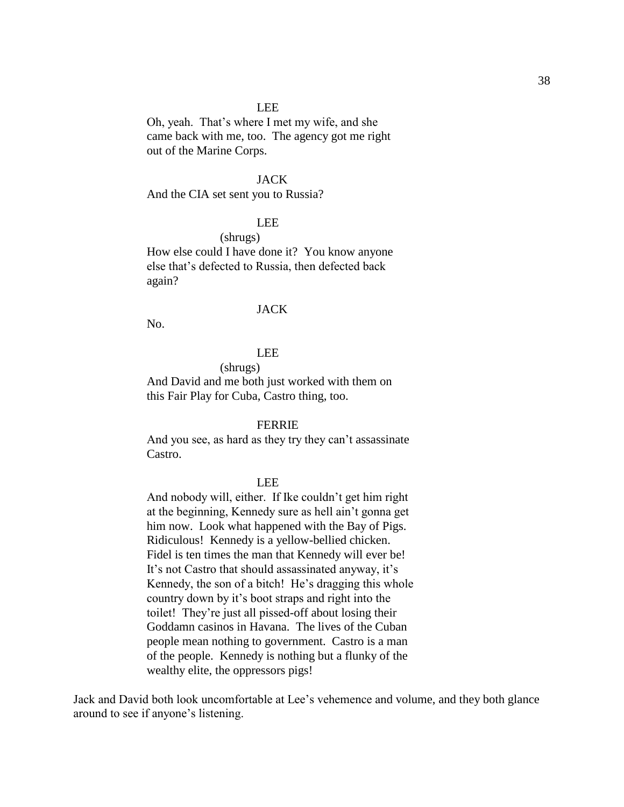#### LEE

Oh, yeah. That"s where I met my wife, and she came back with me, too. The agency got me right out of the Marine Corps.

#### JACK

And the CIA set sent you to Russia?

#### LEE

```
(shrugs)
```
How else could I have done it? You know anyone else that"s defected to Russia, then defected back again?

### JACK

No.

### LEE

(shrugs)

And David and me both just worked with them on this Fair Play for Cuba, Castro thing, too.

#### FERRIE

And you see, as hard as they try they can't assassinate Castro.

#### LEE

And nobody will, either. If Ike couldn"t get him right at the beginning, Kennedy sure as hell ain"t gonna get him now. Look what happened with the Bay of Pigs. Ridiculous! Kennedy is a yellow-bellied chicken. Fidel is ten times the man that Kennedy will ever be! It's not Castro that should assassinated anyway, it's Kennedy, the son of a bitch! He's dragging this whole country down by it"s boot straps and right into the toilet! They"re just all pissed-off about losing their Goddamn casinos in Havana. The lives of the Cuban people mean nothing to government. Castro is a man of the people. Kennedy is nothing but a flunky of the wealthy elite, the oppressors pigs!

Jack and David both look uncomfortable at Lee"s vehemence and volume, and they both glance around to see if anyone"s listening.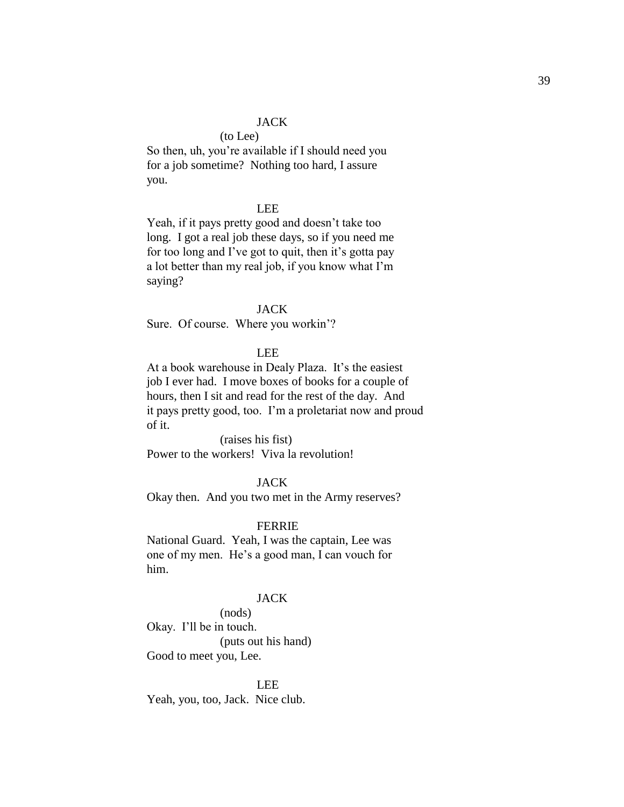### JACK

#### (to Lee)

So then, uh, you"re available if I should need you for a job sometime? Nothing too hard, I assure you.

### LEE

Yeah, if it pays pretty good and doesn"t take too long. I got a real job these days, so if you need me for too long and I've got to quit, then it's gotta pay a lot better than my real job, if you know what I"m saying?

#### JACK

Sure. Of course. Where you workin'?

### LEE

At a book warehouse in Dealy Plaza. It's the easiest job I ever had. I move boxes of books for a couple of hours, then I sit and read for the rest of the day. And it pays pretty good, too. I"m a proletariat now and proud of it.

(raises his fist) Power to the workers! Viva la revolution!

### JACK

Okay then. And you two met in the Army reserves?

#### FERRIE

National Guard. Yeah, I was the captain, Lee was one of my men. He"s a good man, I can vouch for him.

#### JACK

#### (nods)

Okay. I'll be in touch. (puts out his hand) Good to meet you, Lee.

LEE

Yeah, you, too, Jack. Nice club.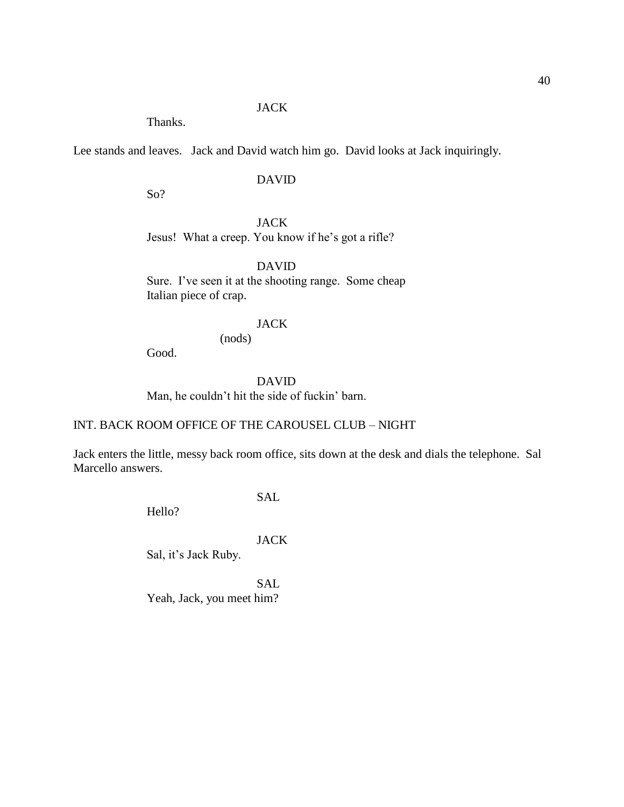### **JACK**

Thanks.

Lee stands and leaves. Jack and David watch him go. David looks at Jack inquiringly.

### DAVID

So?

JACK Jesus! What a creep. You know if he's got a rifle?

DAVID

Sure. I've seen it at the shooting range. Some cheap Italian piece of crap.

#### JACK

(nods)

Good.

### DAVID

Man, he couldn't hit the side of fuckin' barn.

### INT. BACK ROOM OFFICE OF THE CAROUSEL CLUB – NIGHT

Jack enters the little, messy back room office, sits down at the desk and dials the telephone. Sal Marcello answers.

SAL

Hello?

JACK

Sal, it's Jack Ruby.

SAL Yeah, Jack, you meet him?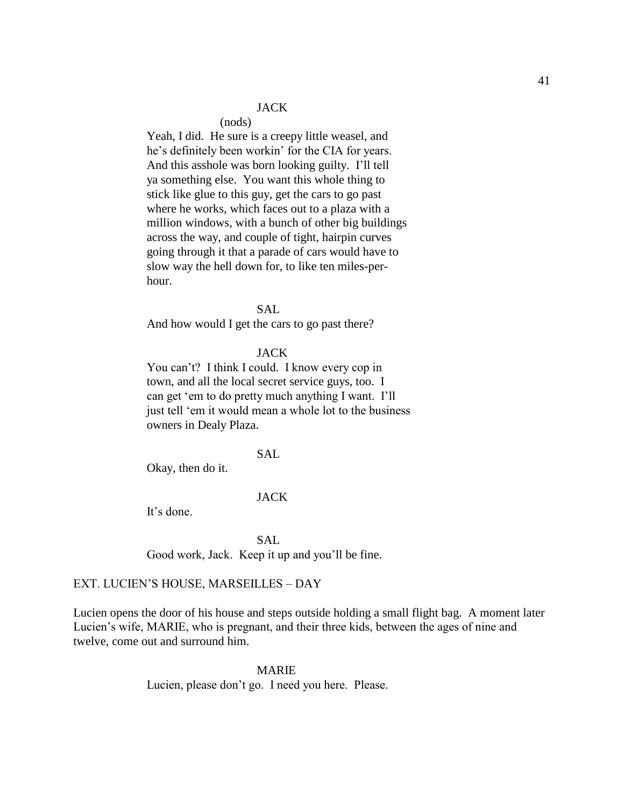### JACK

(nods)

Yeah, I did. He sure is a creepy little weasel, and he's definitely been workin' for the CIA for years. And this asshole was born looking guilty. I"ll tell ya something else. You want this whole thing to stick like glue to this guy, get the cars to go past where he works, which faces out to a plaza with a million windows, with a bunch of other big buildings across the way, and couple of tight, hairpin curves going through it that a parade of cars would have to slow way the hell down for, to like ten miles-perhour.

SAL

And how would I get the cars to go past there?

### JACK

You can't? I think I could. I know every cop in town, and all the local secret service guys, too. I can get "em to do pretty much anything I want. I"ll just tell 'em it would mean a whole lot to the business owners in Dealy Plaza.

### SAL

Okay, then do it.

#### JACK

It's done.

SAL.

Good work, Jack. Keep it up and you"ll be fine.

#### EXT. LUCIEN"S HOUSE, MARSEILLES – DAY

Lucien opens the door of his house and steps outside holding a small flight bag. A moment later Lucien's wife, MARIE, who is pregnant, and their three kids, between the ages of nine and twelve, come out and surround him.

#### MARIE

Lucien, please don"t go. I need you here. Please.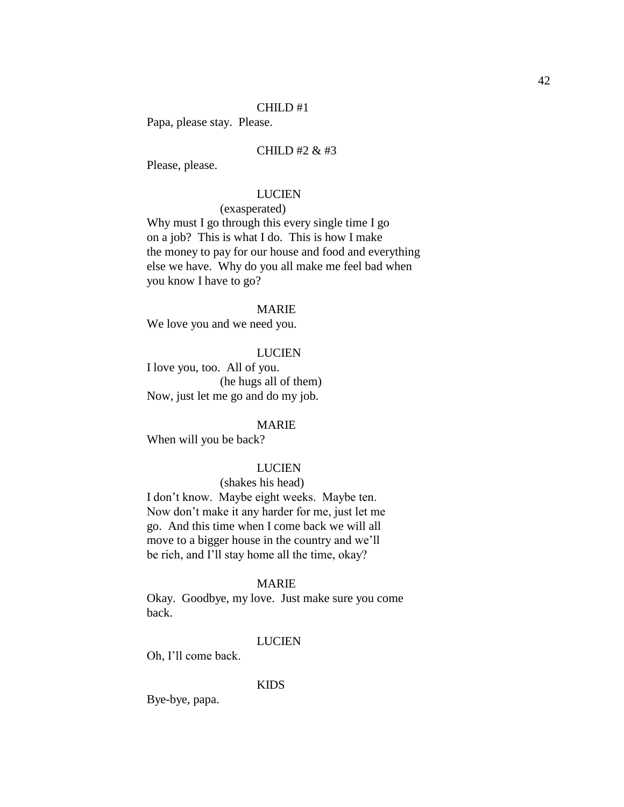#### CHILD #1

Papa, please stay. Please.

### CHILD #2 & #3

Please, please.

### LUCIEN

### (exasperated)

Why must I go through this every single time I go on a job? This is what I do. This is how I make the money to pay for our house and food and everything else we have. Why do you all make me feel bad when you know I have to go?

#### MARIE

We love you and we need you.

### LUCIEN

I love you, too. All of you. (he hugs all of them) Now, just let me go and do my job.

#### MARIE

When will you be back?

#### LUCIEN

#### (shakes his head)

I don"t know. Maybe eight weeks. Maybe ten. Now don"t make it any harder for me, just let me go. And this time when I come back we will all move to a bigger house in the country and we"ll be rich, and I"ll stay home all the time, okay?

#### MARIE

Okay. Goodbye, my love. Just make sure you come back.

#### LUCIEN

Oh, I"ll come back.

#### KIDS

Bye-bye, papa.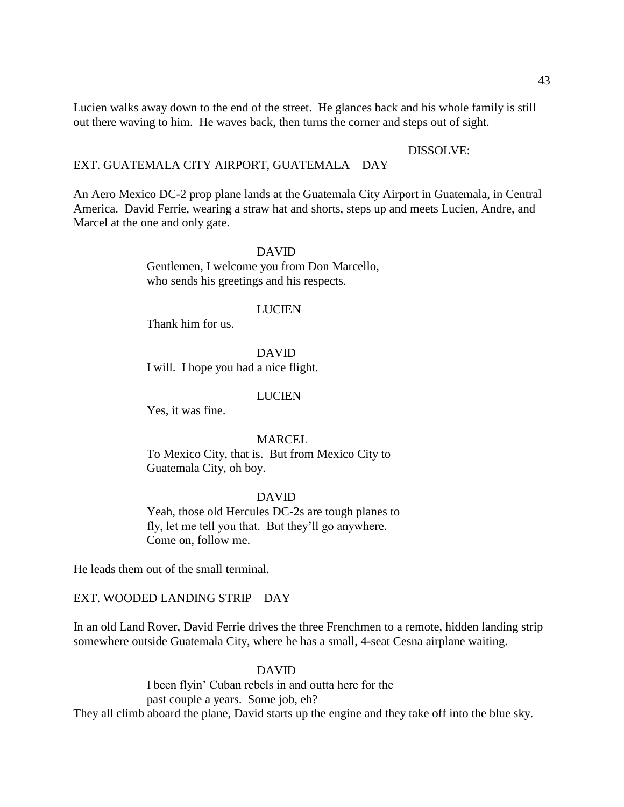Lucien walks away down to the end of the street. He glances back and his whole family is still out there waving to him. He waves back, then turns the corner and steps out of sight.

### DISSOLVE:

#### EXT. GUATEMALA CITY AIRPORT, GUATEMALA – DAY

An Aero Mexico DC-2 prop plane lands at the Guatemala City Airport in Guatemala, in Central America. David Ferrie, wearing a straw hat and shorts, steps up and meets Lucien, Andre, and Marcel at the one and only gate.

### DAVID

Gentlemen, I welcome you from Don Marcello, who sends his greetings and his respects.

#### LUCIEN

Thank him for us.

DAVID I will. I hope you had a nice flight.

#### LUCIEN

Yes, it was fine.

#### MARCEL.

To Mexico City, that is. But from Mexico City to Guatemala City, oh boy.

#### DAVID

Yeah, those old Hercules DC-2s are tough planes to fly, let me tell you that. But they"ll go anywhere. Come on, follow me.

He leads them out of the small terminal.

#### EXT. WOODED LANDING STRIP – DAY

In an old Land Rover, David Ferrie drives the three Frenchmen to a remote, hidden landing strip somewhere outside Guatemala City, where he has a small, 4-seat Cesna airplane waiting.

#### DAVID

I been flyin" Cuban rebels in and outta here for the past couple a years. Some job, eh? They all climb aboard the plane, David starts up the engine and they take off into the blue sky.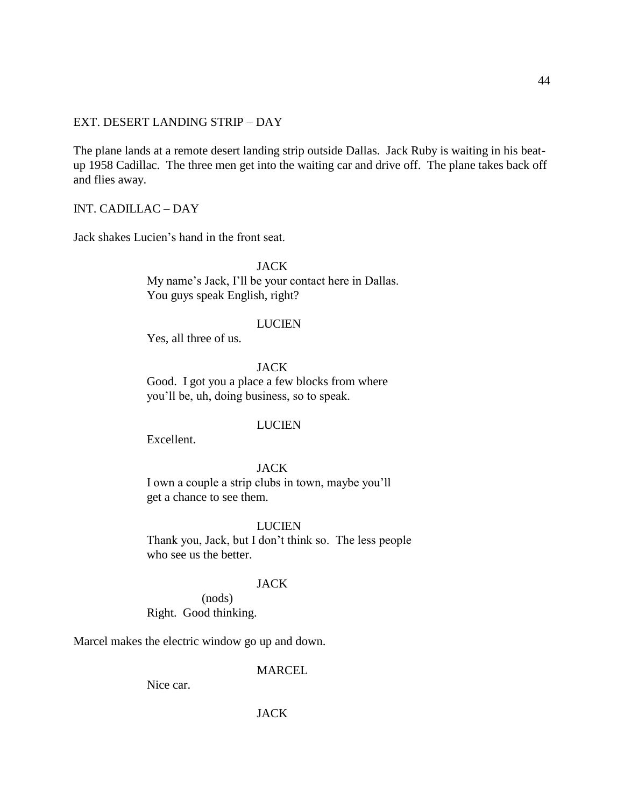#### EXT. DESERT LANDING STRIP – DAY

The plane lands at a remote desert landing strip outside Dallas. Jack Ruby is waiting in his beatup 1958 Cadillac. The three men get into the waiting car and drive off. The plane takes back off and flies away.

### INT. CADILLAC – DAY

Jack shakes Lucien"s hand in the front seat.

JACK

My name"s Jack, I"ll be your contact here in Dallas. You guys speak English, right?

#### LUCIEN

Yes, all three of us.

JACK

Good. I got you a place a few blocks from where you"ll be, uh, doing business, so to speak.

#### LUCIEN

Excellent.

# JACK

I own a couple a strip clubs in town, maybe you"ll get a chance to see them.

#### LUCIEN

Thank you, Jack, but I don"t think so. The less people who see us the better.

### JACK

(nods) Right. Good thinking.

Marcel makes the electric window go up and down.

MARCEL

Nice car.

JACK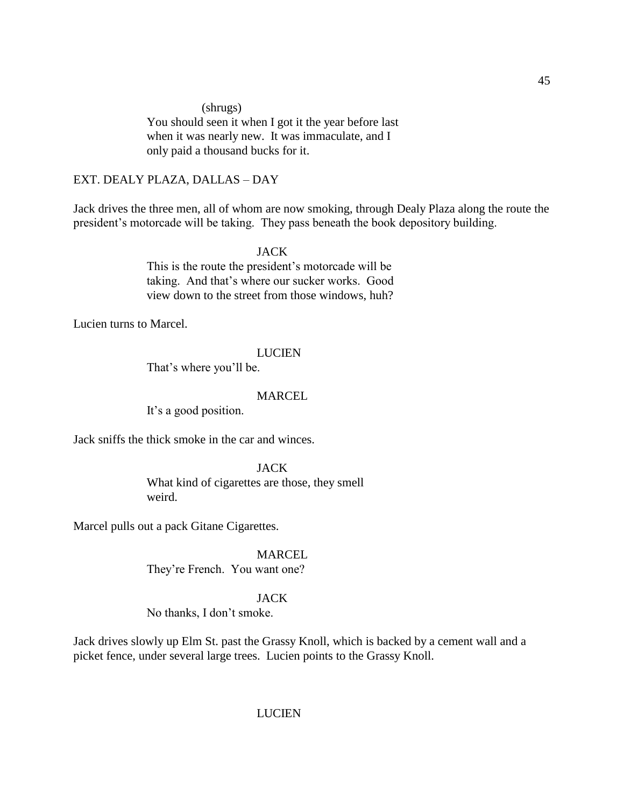(shrugs) You should seen it when I got it the year before last when it was nearly new. It was immaculate, and I only paid a thousand bucks for it.

### EXT. DEALY PLAZA, DALLAS – DAY

Jack drives the three men, all of whom are now smoking, through Dealy Plaza along the route the president's motorcade will be taking. They pass beneath the book depository building.

#### JACK

This is the route the president's motorcade will be taking. And that"s where our sucker works. Good view down to the street from those windows, huh?

Lucien turns to Marcel.

### LUCIEN

That's where you'll be.

#### MARCEL

It's a good position.

Jack sniffs the thick smoke in the car and winces.

JACK What kind of cigarettes are those, they smell weird.

Marcel pulls out a pack Gitane Cigarettes.

MARCEL They're French. You want one?

#### JACK

No thanks, I don"t smoke.

Jack drives slowly up Elm St. past the Grassy Knoll, which is backed by a cement wall and a picket fence, under several large trees. Lucien points to the Grassy Knoll.

### **LUCIEN**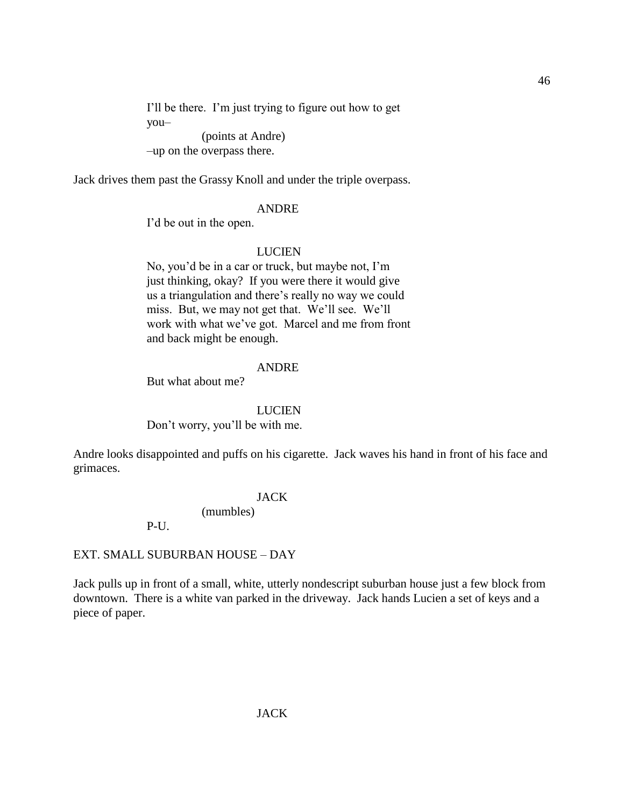I"ll be there. I"m just trying to figure out how to get you–

(points at Andre) –up on the overpass there.

Jack drives them past the Grassy Knoll and under the triple overpass.

### ANDRE

I'd be out in the open.

### LUCIEN

No, you"d be in a car or truck, but maybe not, I"m just thinking, okay? If you were there it would give us a triangulation and there"s really no way we could miss. But, we may not get that. We"ll see. We"ll work with what we"ve got. Marcel and me from front and back might be enough.

#### ANDRE

But what about me?

### LUCIEN

Don"t worry, you"ll be with me.

Andre looks disappointed and puffs on his cigarette. Jack waves his hand in front of his face and grimaces.

### JACK

(mumbles)

P-U.

### EXT. SMALL SUBURBAN HOUSE – DAY

Jack pulls up in front of a small, white, utterly nondescript suburban house just a few block from downtown. There is a white van parked in the driveway. Jack hands Lucien a set of keys and a piece of paper.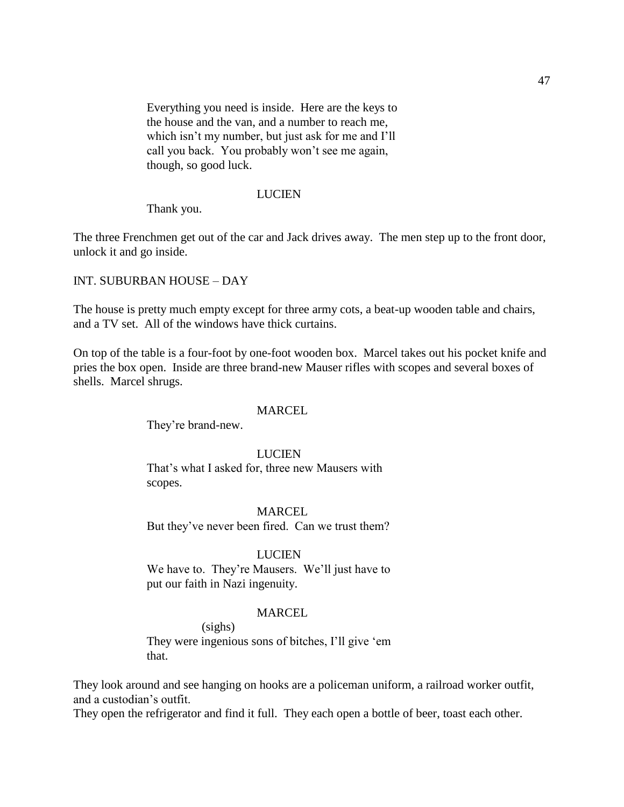Everything you need is inside. Here are the keys to the house and the van, and a number to reach me, which isn't my number, but just ask for me and I'll call you back. You probably won"t see me again, though, so good luck.

#### LUCIEN

Thank you.

The three Frenchmen get out of the car and Jack drives away. The men step up to the front door, unlock it and go inside.

### INT. SUBURBAN HOUSE – DAY

The house is pretty much empty except for three army cots, a beat-up wooden table and chairs, and a TV set. All of the windows have thick curtains.

On top of the table is a four-foot by one-foot wooden box. Marcel takes out his pocket knife and pries the box open. Inside are three brand-new Mauser rifles with scopes and several boxes of shells. Marcel shrugs.

#### MARCEL

They're brand-new.

### LUCIEN

That"s what I asked for, three new Mausers with scopes.

#### MARCEL

But they"ve never been fired. Can we trust them?

#### LUCIEN

We have to. They're Mausers. We'll just have to put our faith in Nazi ingenuity.

#### MARCEL

(sighs) They were ingenious sons of bitches, I'll give 'em that.

They look around and see hanging on hooks are a policeman uniform, a railroad worker outfit, and a custodian"s outfit.

They open the refrigerator and find it full. They each open a bottle of beer, toast each other.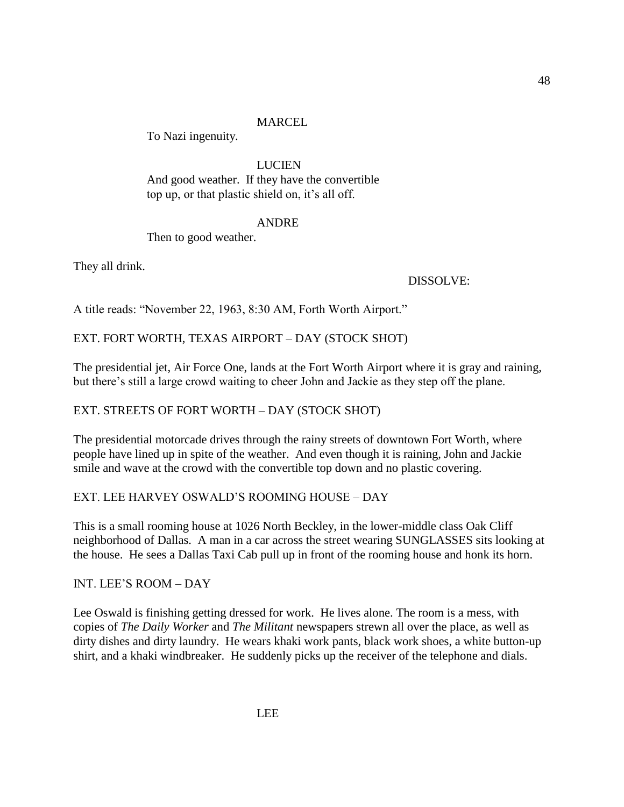### MARCEL

To Nazi ingenuity.

**LUCIEN** And good weather. If they have the convertible top up, or that plastic shield on, it's all off.

#### ANDRE

Then to good weather.

They all drink.

#### DISSOLVE:

A title reads: "November 22, 1963, 8:30 AM, Forth Worth Airport."

### EXT. FORT WORTH, TEXAS AIRPORT – DAY (STOCK SHOT)

The presidential jet, Air Force One, lands at the Fort Worth Airport where it is gray and raining, but there"s still a large crowd waiting to cheer John and Jackie as they step off the plane.

### EXT. STREETS OF FORT WORTH – DAY (STOCK SHOT)

The presidential motorcade drives through the rainy streets of downtown Fort Worth, where people have lined up in spite of the weather. And even though it is raining, John and Jackie smile and wave at the crowd with the convertible top down and no plastic covering.

### EXT. LEE HARVEY OSWALD"S ROOMING HOUSE – DAY

This is a small rooming house at 1026 North Beckley, in the lower-middle class Oak Cliff neighborhood of Dallas. A man in a car across the street wearing SUNGLASSES sits looking at the house. He sees a Dallas Taxi Cab pull up in front of the rooming house and honk its horn.

INT. LEE"S ROOM – DAY

Lee Oswald is finishing getting dressed for work. He lives alone. The room is a mess, with copies of *The Daily Worker* and *The Militant* newspapers strewn all over the place, as well as dirty dishes and dirty laundry. He wears khaki work pants, black work shoes, a white button-up shirt, and a khaki windbreaker. He suddenly picks up the receiver of the telephone and dials.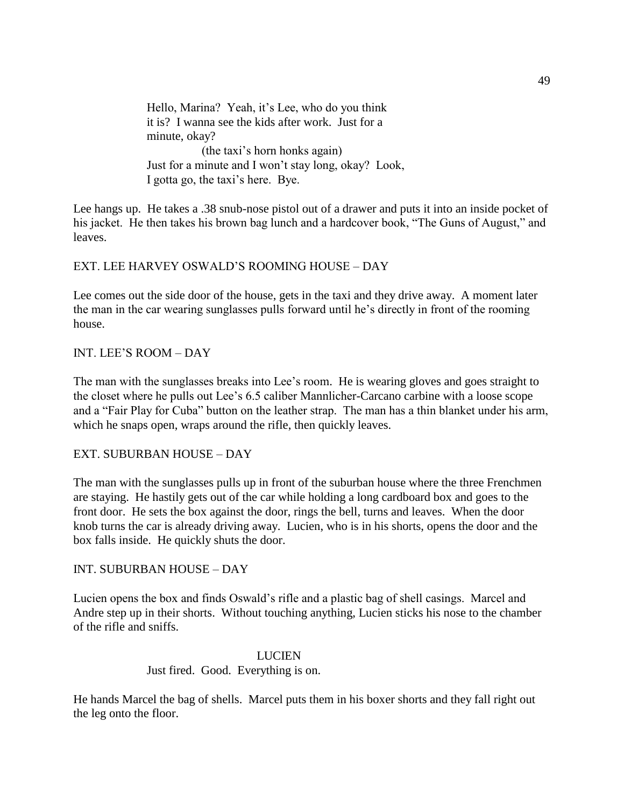Hello, Marina? Yeah, it's Lee, who do you think it is? I wanna see the kids after work. Just for a minute, okay? (the taxi"s horn honks again) Just for a minute and I won"t stay long, okay? Look, I gotta go, the taxi"s here. Bye.

Lee hangs up. He takes a .38 snub-nose pistol out of a drawer and puts it into an inside pocket of his jacket. He then takes his brown bag lunch and a hardcover book, "The Guns of August," and leaves.

EXT. LEE HARVEY OSWALD"S ROOMING HOUSE – DAY

Lee comes out the side door of the house, gets in the taxi and they drive away. A moment later the man in the car wearing sunglasses pulls forward until he"s directly in front of the rooming house.

### INT. LEE"S ROOM – DAY

The man with the sunglasses breaks into Lee's room. He is wearing gloves and goes straight to the closet where he pulls out Lee"s 6.5 caliber Mannlicher-Carcano carbine with a loose scope and a "Fair Play for Cuba" button on the leather strap. The man has a thin blanket under his arm, which he snaps open, wraps around the rifle, then quickly leaves.

### EXT. SUBURBAN HOUSE – DAY

The man with the sunglasses pulls up in front of the suburban house where the three Frenchmen are staying. He hastily gets out of the car while holding a long cardboard box and goes to the front door. He sets the box against the door, rings the bell, turns and leaves. When the door knob turns the car is already driving away. Lucien, who is in his shorts, opens the door and the box falls inside. He quickly shuts the door.

#### INT. SUBURBAN HOUSE – DAY

Lucien opens the box and finds Oswald"s rifle and a plastic bag of shell casings. Marcel and Andre step up in their shorts. Without touching anything, Lucien sticks his nose to the chamber of the rifle and sniffs.

## LUCIEN Just fired. Good. Everything is on.

He hands Marcel the bag of shells. Marcel puts them in his boxer shorts and they fall right out the leg onto the floor.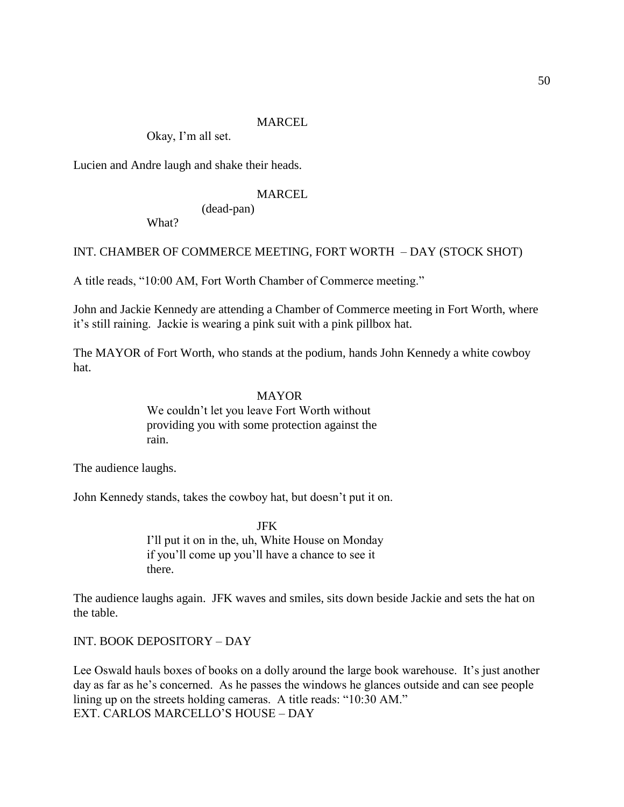#### MARCEL

### Okay, I'm all set.

Lucien and Andre laugh and shake their heads.

#### MARCEL

(dead-pan)

What?

### INT. CHAMBER OF COMMERCE MEETING, FORT WORTH – DAY (STOCK SHOT)

A title reads, "10:00 AM, Fort Worth Chamber of Commerce meeting."

John and Jackie Kennedy are attending a Chamber of Commerce meeting in Fort Worth, where it"s still raining. Jackie is wearing a pink suit with a pink pillbox hat.

The MAYOR of Fort Worth, who stands at the podium, hands John Kennedy a white cowboy hat.

#### MAYOR

We couldn"t let you leave Fort Worth without providing you with some protection against the rain.

The audience laughs.

John Kennedy stands, takes the cowboy hat, but doesn"t put it on.

JFK I"ll put it on in the, uh, White House on Monday if you"ll come up you"ll have a chance to see it there.

The audience laughs again. JFK waves and smiles, sits down beside Jackie and sets the hat on the table.

#### INT. BOOK DEPOSITORY – DAY

Lee Oswald hauls boxes of books on a dolly around the large book warehouse. It's just another day as far as he's concerned. As he passes the windows he glances outside and can see people lining up on the streets holding cameras. A title reads: "10:30 AM." EXT. CARLOS MARCELLO"S HOUSE – DAY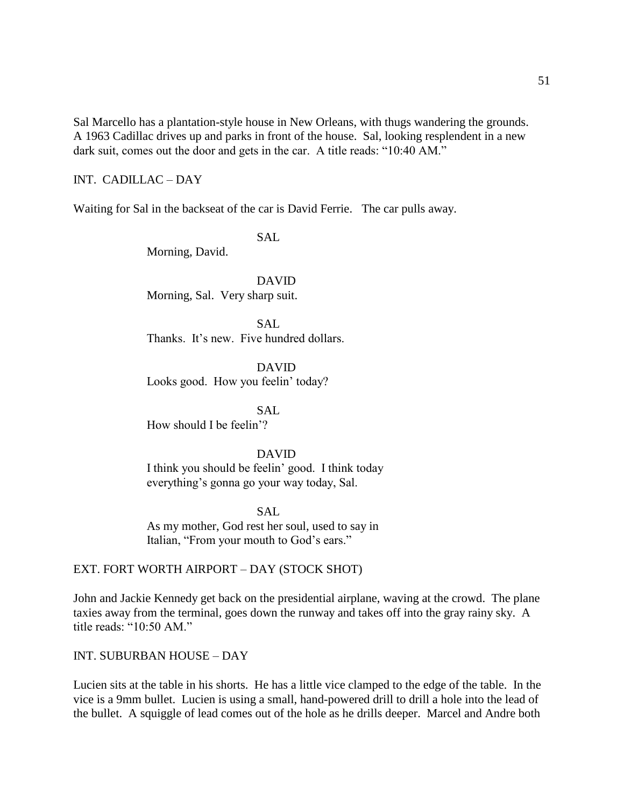Sal Marcello has a plantation-style house in New Orleans, with thugs wandering the grounds. A 1963 Cadillac drives up and parks in front of the house. Sal, looking resplendent in a new dark suit, comes out the door and gets in the car. A title reads: "10:40 AM."

INT. CADILLAC – DAY

Waiting for Sal in the backseat of the car is David Ferrie. The car pulls away.

SAL

Morning, David.

DAVID Morning, Sal. Very sharp suit.

SAL Thanks. It's new. Five hundred dollars.

DAVID Looks good. How you feelin' today?

SAL. How should I be feelin"?

DAVID

I think you should be feelin" good. I think today everything's gonna go your way today, Sal.

SAL

As my mother, God rest her soul, used to say in Italian, "From your mouth to God's ears."

EXT. FORT WORTH AIRPORT – DAY (STOCK SHOT)

John and Jackie Kennedy get back on the presidential airplane, waving at the crowd. The plane taxies away from the terminal, goes down the runway and takes off into the gray rainy sky. A title reads: "10:50 AM."

INT. SUBURBAN HOUSE – DAY

Lucien sits at the table in his shorts. He has a little vice clamped to the edge of the table. In the vice is a 9mm bullet. Lucien is using a small, hand-powered drill to drill a hole into the lead of the bullet. A squiggle of lead comes out of the hole as he drills deeper. Marcel and Andre both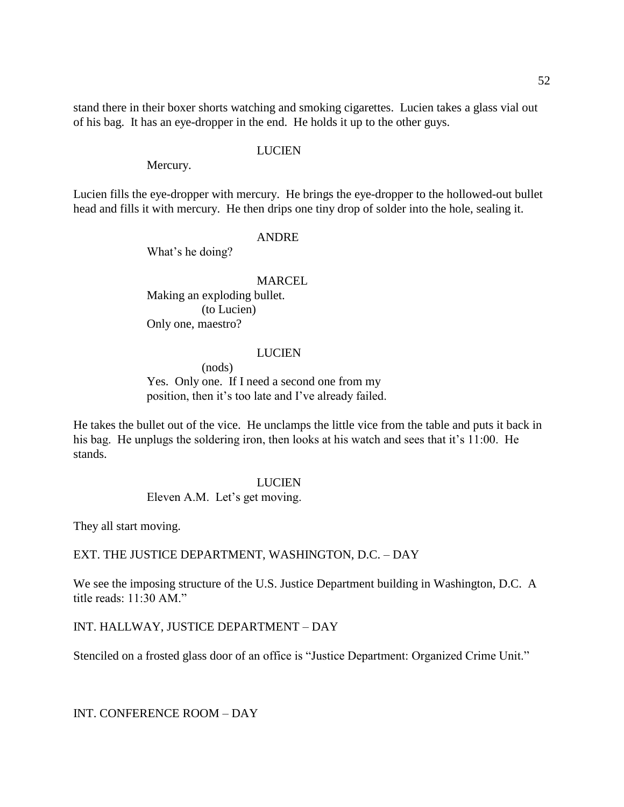stand there in their boxer shorts watching and smoking cigarettes. Lucien takes a glass vial out of his bag. It has an eye-dropper in the end. He holds it up to the other guys.

#### LUCIEN

Mercury.

Lucien fills the eye-dropper with mercury. He brings the eye-dropper to the hollowed-out bullet head and fills it with mercury. He then drips one tiny drop of solder into the hole, sealing it.

#### ANDRE

What's he doing?

#### MARCEL

Making an exploding bullet. (to Lucien) Only one, maestro?

### LUCIEN

(nods) Yes. Only one. If I need a second one from my position, then it's too late and I've already failed.

He takes the bullet out of the vice. He unclamps the little vice from the table and puts it back in his bag. He unplugs the soldering iron, then looks at his watch and sees that it's 11:00. He stands.

#### LUCIEN

Eleven A.M. Let's get moving.

They all start moving.

### EXT. THE JUSTICE DEPARTMENT, WASHINGTON, D.C. – DAY

We see the imposing structure of the U.S. Justice Department building in Washington, D.C. A title reads: 11:30 AM."

INT. HALLWAY, JUSTICE DEPARTMENT – DAY

Stenciled on a frosted glass door of an office is "Justice Department: Organized Crime Unit."

INT. CONFERENCE ROOM – DAY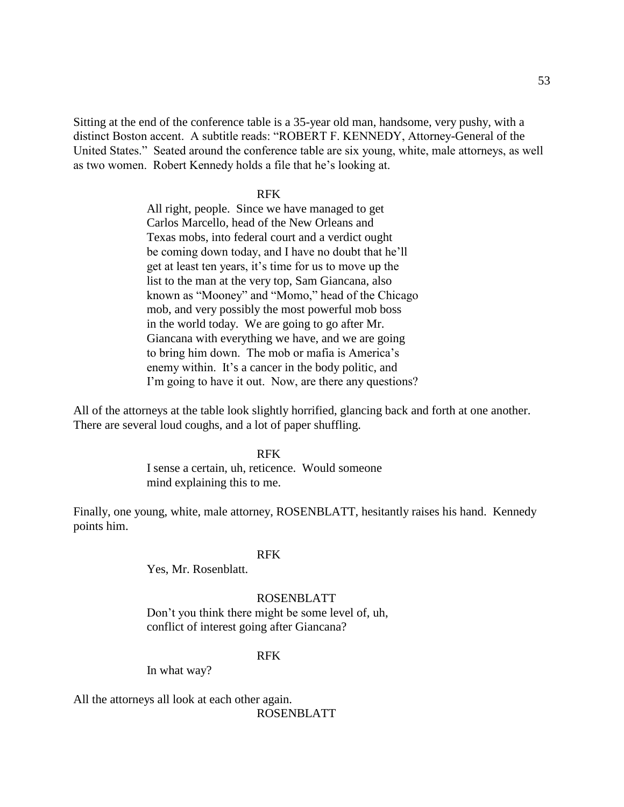Sitting at the end of the conference table is a 35-year old man, handsome, very pushy, with a distinct Boston accent. A subtitle reads: "ROBERT F. KENNEDY, Attorney-General of the United States." Seated around the conference table are six young, white, male attorneys, as well as two women. Robert Kennedy holds a file that he"s looking at.

#### RFK

All right, people. Since we have managed to get Carlos Marcello, head of the New Orleans and Texas mobs, into federal court and a verdict ought be coming down today, and I have no doubt that he"ll get at least ten years, it"s time for us to move up the list to the man at the very top, Sam Giancana, also known as "Mooney" and "Momo," head of the Chicago mob, and very possibly the most powerful mob boss in the world today. We are going to go after Mr. Giancana with everything we have, and we are going to bring him down. The mob or mafia is America's enemy within. It's a cancer in the body politic, and I'm going to have it out. Now, are there any questions?

All of the attorneys at the table look slightly horrified, glancing back and forth at one another. There are several loud coughs, and a lot of paper shuffling.

### RFK

I sense a certain, uh, reticence. Would someone mind explaining this to me.

Finally, one young, white, male attorney, ROSENBLATT, hesitantly raises his hand. Kennedy points him.

### RFK

Yes, Mr. Rosenblatt.

#### ROSENBLATT

Don"t you think there might be some level of, uh, conflict of interest going after Giancana?

### RFK

In what way?

All the attorneys all look at each other again. ROSENBLATT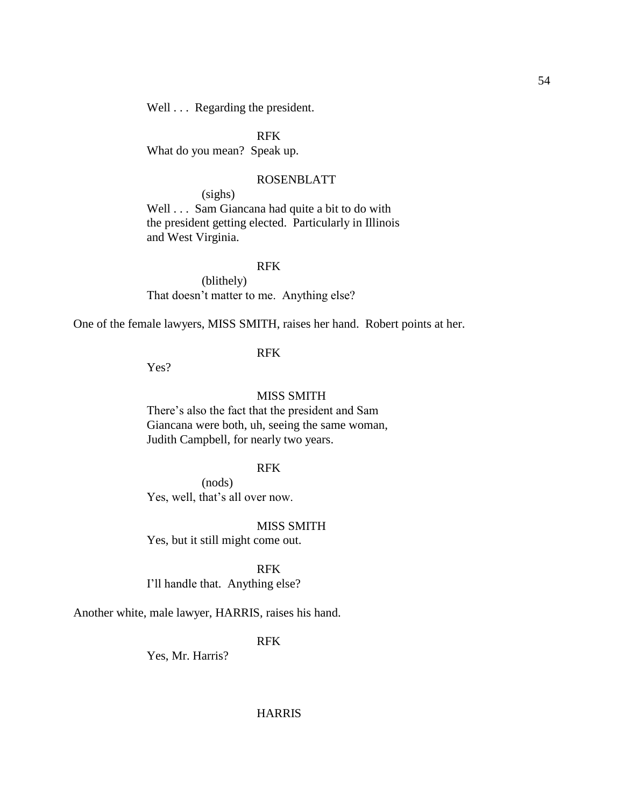Well . . . Regarding the president.

RFK What do you mean? Speak up.

### ROSENBLATT

(sighs)

Well . . . Sam Giancana had quite a bit to do with the president getting elected. Particularly in Illinois and West Virginia.

#### RFK

(blithely) That doesn't matter to me. Anything else?

One of the female lawyers, MISS SMITH, raises her hand. Robert points at her.

### RFK

Yes?

#### MISS SMITH

There's also the fact that the president and Sam Giancana were both, uh, seeing the same woman, Judith Campbell, for nearly two years.

#### RFK

(nods) Yes, well, that's all over now.

#### MISS SMITH

Yes, but it still might come out.

RFK I"ll handle that. Anything else?

Another white, male lawyer, HARRIS, raises his hand.

### RFK

Yes, Mr. Harris?

### **HARRIS**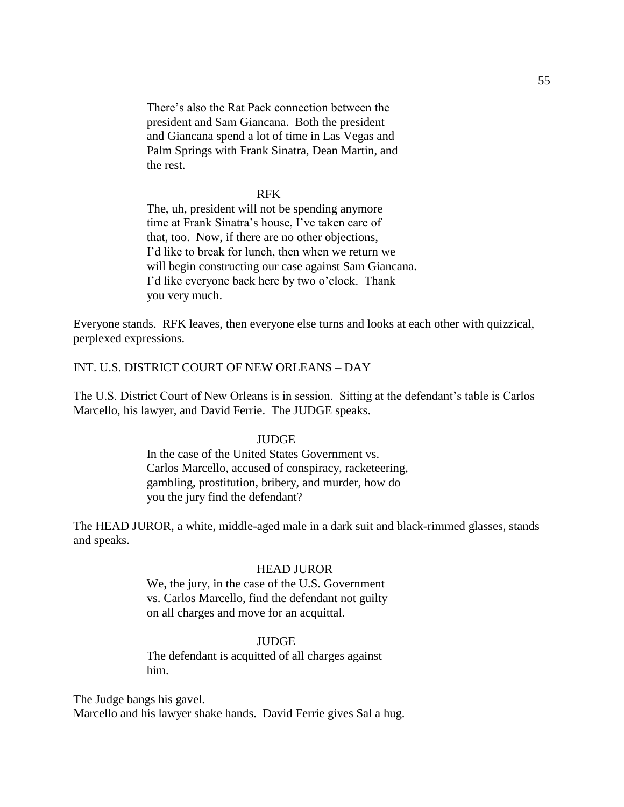There"s also the Rat Pack connection between the president and Sam Giancana. Both the president and Giancana spend a lot of time in Las Vegas and Palm Springs with Frank Sinatra, Dean Martin, and the rest.

#### RFK

The, uh, president will not be spending anymore time at Frank Sinatra's house, I've taken care of that, too. Now, if there are no other objections, I"d like to break for lunch, then when we return we will begin constructing our case against Sam Giancana. I'd like everyone back here by two o'clock. Thank you very much.

Everyone stands. RFK leaves, then everyone else turns and looks at each other with quizzical, perplexed expressions.

INT. U.S. DISTRICT COURT OF NEW ORLEANS – DAY

The U.S. District Court of New Orleans is in session. Sitting at the defendant"s table is Carlos Marcello, his lawyer, and David Ferrie. The JUDGE speaks.

#### **JUDGE**

In the case of the United States Government vs. Carlos Marcello, accused of conspiracy, racketeering, gambling, prostitution, bribery, and murder, how do you the jury find the defendant?

The HEAD JUROR, a white, middle-aged male in a dark suit and black-rimmed glasses, stands and speaks.

#### HEAD JUROR

We, the jury, in the case of the U.S. Government vs. Carlos Marcello, find the defendant not guilty on all charges and move for an acquittal.

#### JUDGE

The defendant is acquitted of all charges against him.

The Judge bangs his gavel. Marcello and his lawyer shake hands. David Ferrie gives Sal a hug.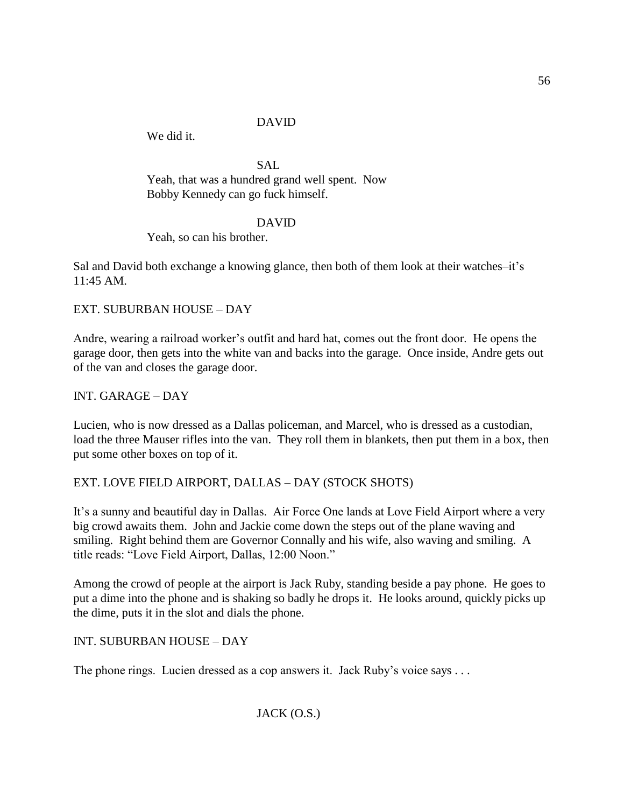### DAVID

We did it.

SAL. Yeah, that was a hundred grand well spent. Now Bobby Kennedy can go fuck himself.

### DAVID

Yeah, so can his brother.

Sal and David both exchange a knowing glance, then both of them look at their watches-it's 11:45 AM.

### EXT. SUBURBAN HOUSE – DAY

Andre, wearing a railroad worker"s outfit and hard hat, comes out the front door. He opens the garage door, then gets into the white van and backs into the garage. Once inside, Andre gets out of the van and closes the garage door.

### INT. GARAGE – DAY

Lucien, who is now dressed as a Dallas policeman, and Marcel, who is dressed as a custodian, load the three Mauser rifles into the van. They roll them in blankets, then put them in a box, then put some other boxes on top of it.

### EXT. LOVE FIELD AIRPORT, DALLAS – DAY (STOCK SHOTS)

It's a sunny and beautiful day in Dallas. Air Force One lands at Love Field Airport where a very big crowd awaits them. John and Jackie come down the steps out of the plane waving and smiling. Right behind them are Governor Connally and his wife, also waving and smiling. A title reads: "Love Field Airport, Dallas, 12:00 Noon."

Among the crowd of people at the airport is Jack Ruby, standing beside a pay phone. He goes to put a dime into the phone and is shaking so badly he drops it. He looks around, quickly picks up the dime, puts it in the slot and dials the phone.

### INT. SUBURBAN HOUSE – DAY

The phone rings. Lucien dressed as a cop answers it. Jack Ruby's voice says ...

### JACK (O.S.)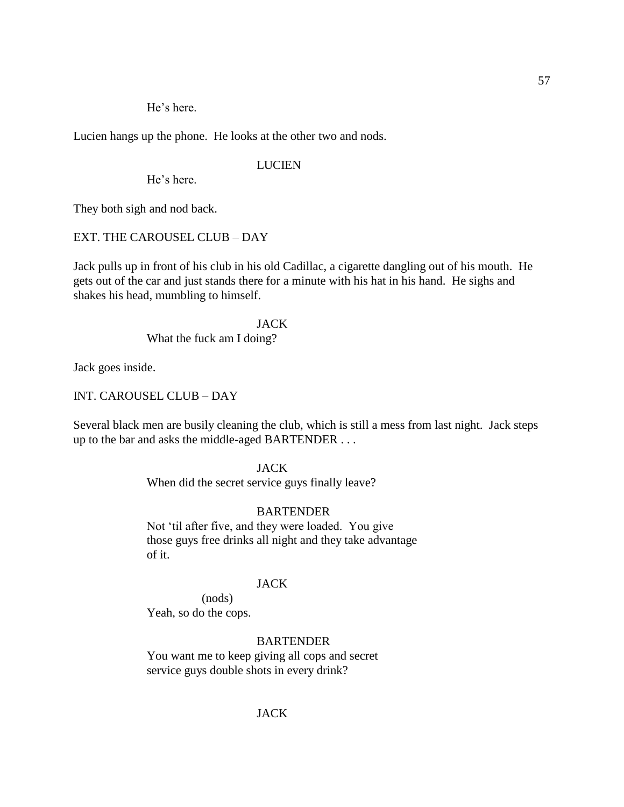He's here.

Lucien hangs up the phone. He looks at the other two and nods.

#### LUCIEN

He's here.

They both sigh and nod back.

### EXT. THE CAROUSEL CLUB – DAY

Jack pulls up in front of his club in his old Cadillac, a cigarette dangling out of his mouth. He gets out of the car and just stands there for a minute with his hat in his hand. He sighs and shakes his head, mumbling to himself.

> JACK What the fuck am I doing?

Jack goes inside.

INT. CAROUSEL CLUB – DAY

Several black men are busily cleaning the club, which is still a mess from last night. Jack steps up to the bar and asks the middle-aged BARTENDER . . .

#### JACK

When did the secret service guys finally leave?

#### BARTENDER

Not "til after five, and they were loaded. You give those guys free drinks all night and they take advantage of it.

### JACK

(nods) Yeah, so do the cops.

### BARTENDER

You want me to keep giving all cops and secret service guys double shots in every drink?

### JACK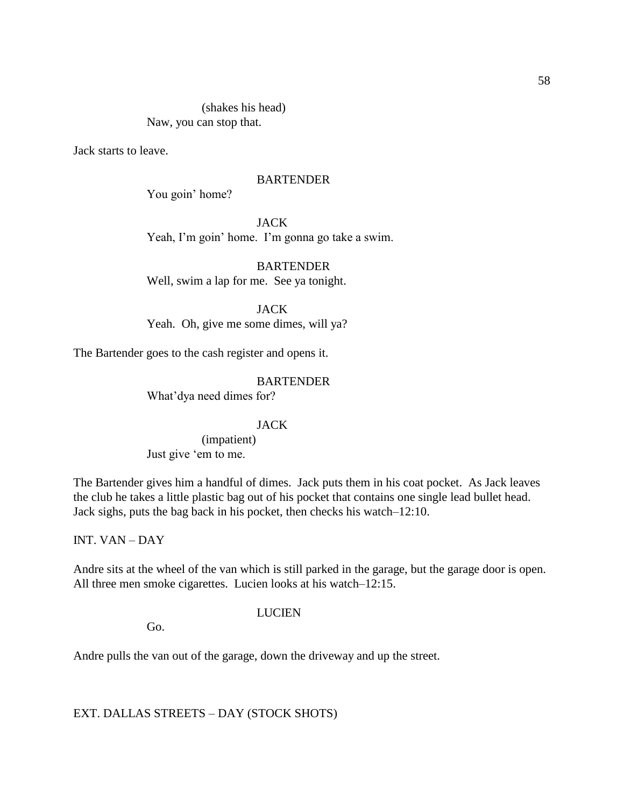### (shakes his head) Naw, you can stop that.

Jack starts to leave.

### **BARTENDER**

You goin' home?

JACK Yeah, I'm goin' home. I'm gonna go take a swim.

BARTENDER Well, swim a lap for me. See ya tonight.

JACK Yeah. Oh, give me some dimes, will ya?

The Bartender goes to the cash register and opens it.

#### BARTENDER

What"dya need dimes for?

#### JACK

(impatient) Just give "em to me.

The Bartender gives him a handful of dimes. Jack puts them in his coat pocket. As Jack leaves the club he takes a little plastic bag out of his pocket that contains one single lead bullet head. Jack sighs, puts the bag back in his pocket, then checks his watch–12:10.

INT. VAN – DAY

Andre sits at the wheel of the van which is still parked in the garage, but the garage door is open. All three men smoke cigarettes. Lucien looks at his watch–12:15.

Go.

### **LUCIEN**

Andre pulls the van out of the garage, down the driveway and up the street.

EXT. DALLAS STREETS – DAY (STOCK SHOTS)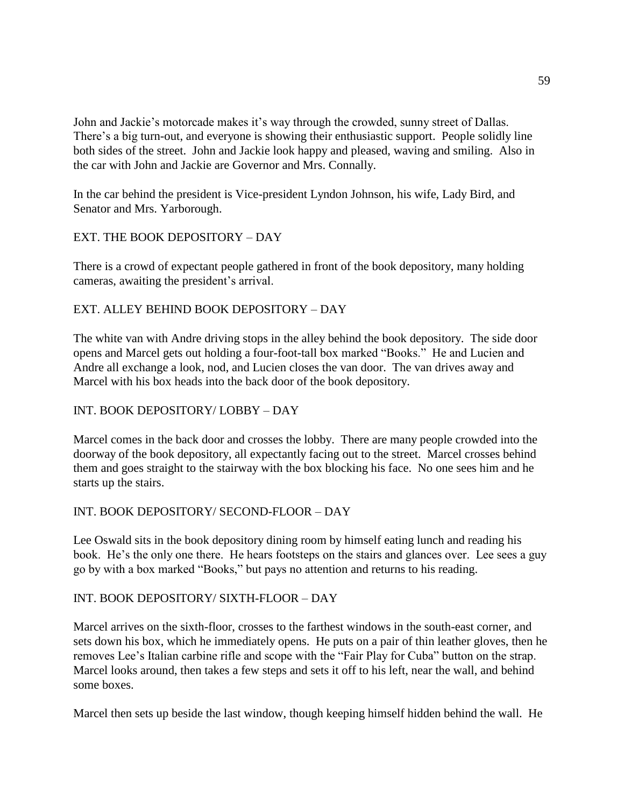John and Jackie's motorcade makes it's way through the crowded, sunny street of Dallas. There's a big turn-out, and everyone is showing their enthusiastic support. People solidly line both sides of the street. John and Jackie look happy and pleased, waving and smiling. Also in the car with John and Jackie are Governor and Mrs. Connally.

In the car behind the president is Vice-president Lyndon Johnson, his wife, Lady Bird, and Senator and Mrs. Yarborough.

### EXT. THE BOOK DEPOSITORY – DAY

There is a crowd of expectant people gathered in front of the book depository, many holding cameras, awaiting the president's arrival.

### EXT. ALLEY BEHIND BOOK DEPOSITORY – DAY

The white van with Andre driving stops in the alley behind the book depository. The side door opens and Marcel gets out holding a four-foot-tall box marked "Books." He and Lucien and Andre all exchange a look, nod, and Lucien closes the van door. The van drives away and Marcel with his box heads into the back door of the book depository.

### INT. BOOK DEPOSITORY/ LOBBY – DAY

Marcel comes in the back door and crosses the lobby. There are many people crowded into the doorway of the book depository, all expectantly facing out to the street. Marcel crosses behind them and goes straight to the stairway with the box blocking his face. No one sees him and he starts up the stairs.

### INT. BOOK DEPOSITORY/ SECOND-FLOOR – DAY

Lee Oswald sits in the book depository dining room by himself eating lunch and reading his book. He's the only one there. He hears footsteps on the stairs and glances over. Lee sees a guy go by with a box marked "Books," but pays no attention and returns to his reading.

### INT. BOOK DEPOSITORY/ SIXTH-FLOOR – DAY

Marcel arrives on the sixth-floor, crosses to the farthest windows in the south-east corner, and sets down his box, which he immediately opens. He puts on a pair of thin leather gloves, then he removes Lee"s Italian carbine rifle and scope with the "Fair Play for Cuba" button on the strap. Marcel looks around, then takes a few steps and sets it off to his left, near the wall, and behind some boxes.

Marcel then sets up beside the last window, though keeping himself hidden behind the wall. He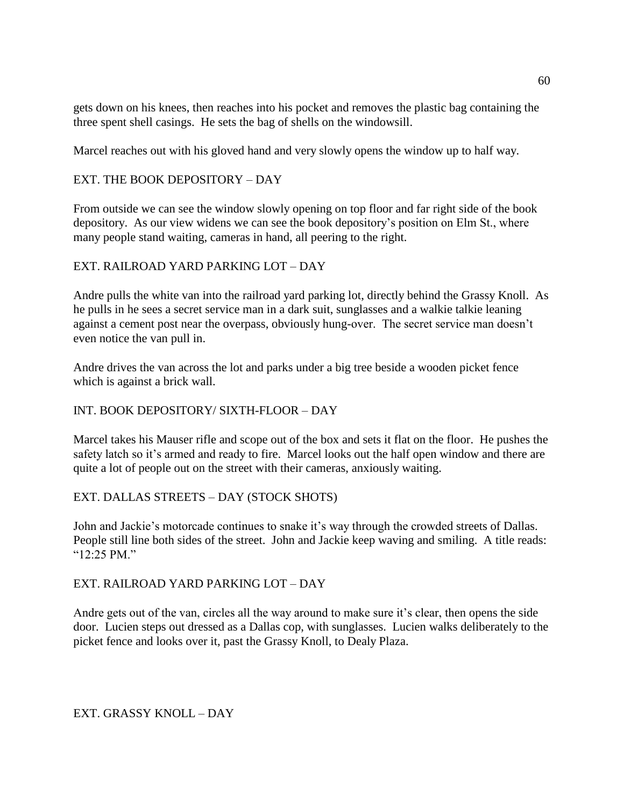gets down on his knees, then reaches into his pocket and removes the plastic bag containing the three spent shell casings. He sets the bag of shells on the windowsill.

Marcel reaches out with his gloved hand and very slowly opens the window up to half way.

### EXT. THE BOOK DEPOSITORY – DAY

From outside we can see the window slowly opening on top floor and far right side of the book depository. As our view widens we can see the book depository"s position on Elm St., where many people stand waiting, cameras in hand, all peering to the right.

### EXT. RAILROAD YARD PARKING LOT – DAY

Andre pulls the white van into the railroad yard parking lot, directly behind the Grassy Knoll. As he pulls in he sees a secret service man in a dark suit, sunglasses and a walkie talkie leaning against a cement post near the overpass, obviously hung-over. The secret service man doesn"t even notice the van pull in.

Andre drives the van across the lot and parks under a big tree beside a wooden picket fence which is against a brick wall.

### INT. BOOK DEPOSITORY/ SIXTH-FLOOR – DAY

Marcel takes his Mauser rifle and scope out of the box and sets it flat on the floor. He pushes the safety latch so it's armed and ready to fire. Marcel looks out the half open window and there are quite a lot of people out on the street with their cameras, anxiously waiting.

### EXT. DALLAS STREETS – DAY (STOCK SHOTS)

John and Jackie's motorcade continues to snake it's way through the crowded streets of Dallas. People still line both sides of the street. John and Jackie keep waving and smiling. A title reads: "12:25 PM."

### EXT. RAILROAD YARD PARKING LOT – DAY

Andre gets out of the van, circles all the way around to make sure it"s clear, then opens the side door. Lucien steps out dressed as a Dallas cop, with sunglasses. Lucien walks deliberately to the picket fence and looks over it, past the Grassy Knoll, to Dealy Plaza.

EXT. GRASSY KNOLL – DAY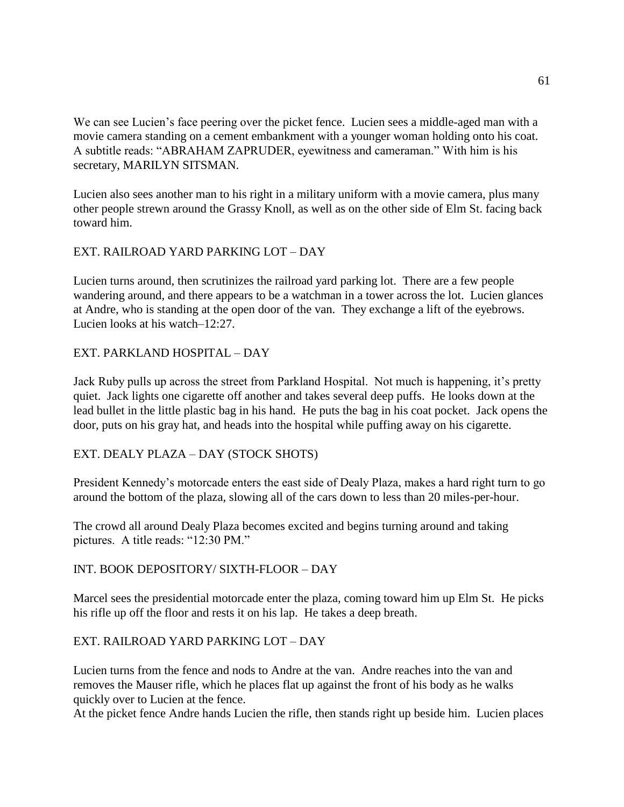We can see Lucien's face peering over the picket fence. Lucien sees a middle-aged man with a movie camera standing on a cement embankment with a younger woman holding onto his coat. A subtitle reads: "ABRAHAM ZAPRUDER, eyewitness and cameraman." With him is his secretary, MARILYN SITSMAN.

Lucien also sees another man to his right in a military uniform with a movie camera, plus many other people strewn around the Grassy Knoll, as well as on the other side of Elm St. facing back toward him.

### EXT. RAILROAD YARD PARKING LOT – DAY

Lucien turns around, then scrutinizes the railroad yard parking lot. There are a few people wandering around, and there appears to be a watchman in a tower across the lot. Lucien glances at Andre, who is standing at the open door of the van. They exchange a lift of the eyebrows. Lucien looks at his watch–12:27.

### EXT. PARKLAND HOSPITAL – DAY

Jack Ruby pulls up across the street from Parkland Hospital. Not much is happening, it's pretty quiet. Jack lights one cigarette off another and takes several deep puffs. He looks down at the lead bullet in the little plastic bag in his hand. He puts the bag in his coat pocket. Jack opens the door, puts on his gray hat, and heads into the hospital while puffing away on his cigarette.

### EXT. DEALY PLAZA – DAY (STOCK SHOTS)

President Kennedy"s motorcade enters the east side of Dealy Plaza, makes a hard right turn to go around the bottom of the plaza, slowing all of the cars down to less than 20 miles-per-hour.

The crowd all around Dealy Plaza becomes excited and begins turning around and taking pictures. A title reads: "12:30 PM."

### INT. BOOK DEPOSITORY/ SIXTH-FLOOR – DAY

Marcel sees the presidential motorcade enter the plaza, coming toward him up Elm St. He picks his rifle up off the floor and rests it on his lap. He takes a deep breath.

### EXT. RAILROAD YARD PARKING LOT – DAY

Lucien turns from the fence and nods to Andre at the van. Andre reaches into the van and removes the Mauser rifle, which he places flat up against the front of his body as he walks quickly over to Lucien at the fence.

At the picket fence Andre hands Lucien the rifle, then stands right up beside him. Lucien places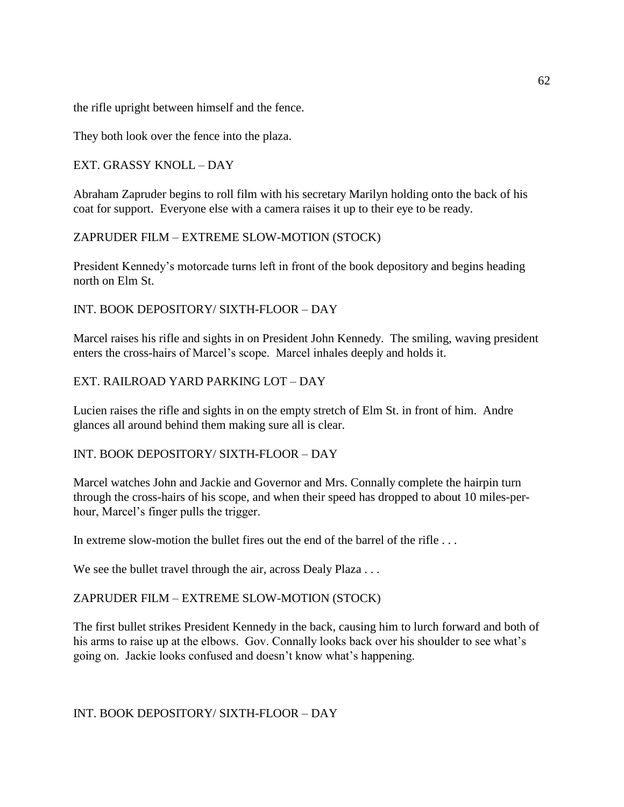the rifle upright between himself and the fence.

They both look over the fence into the plaza.

EXT. GRASSY KNOLL – DAY

Abraham Zapruder begins to roll film with his secretary Marilyn holding onto the back of his coat for support. Everyone else with a camera raises it up to their eye to be ready.

### ZAPRUDER FILM – EXTREME SLOW-MOTION (STOCK)

President Kennedy"s motorcade turns left in front of the book depository and begins heading north on Elm St.

### INT. BOOK DEPOSITORY/ SIXTH-FLOOR – DAY

Marcel raises his rifle and sights in on President John Kennedy. The smiling, waving president enters the cross-hairs of Marcel's scope. Marcel inhales deeply and holds it.

### EXT. RAILROAD YARD PARKING LOT – DAY

Lucien raises the rifle and sights in on the empty stretch of Elm St. in front of him. Andre glances all around behind them making sure all is clear.

### INT. BOOK DEPOSITORY/ SIXTH-FLOOR – DAY

Marcel watches John and Jackie and Governor and Mrs. Connally complete the hairpin turn through the cross-hairs of his scope, and when their speed has dropped to about 10 miles-perhour, Marcel's finger pulls the trigger.

In extreme slow-motion the bullet fires out the end of the barrel of the rifle . . .

We see the bullet travel through the air, across Dealy Plaza . . .

### ZAPRUDER FILM – EXTREME SLOW-MOTION (STOCK)

The first bullet strikes President Kennedy in the back, causing him to lurch forward and both of his arms to raise up at the elbows. Gov. Connally looks back over his shoulder to see what's going on. Jackie looks confused and doesn"t know what"s happening.

### INT. BOOK DEPOSITORY/ SIXTH-FLOOR – DAY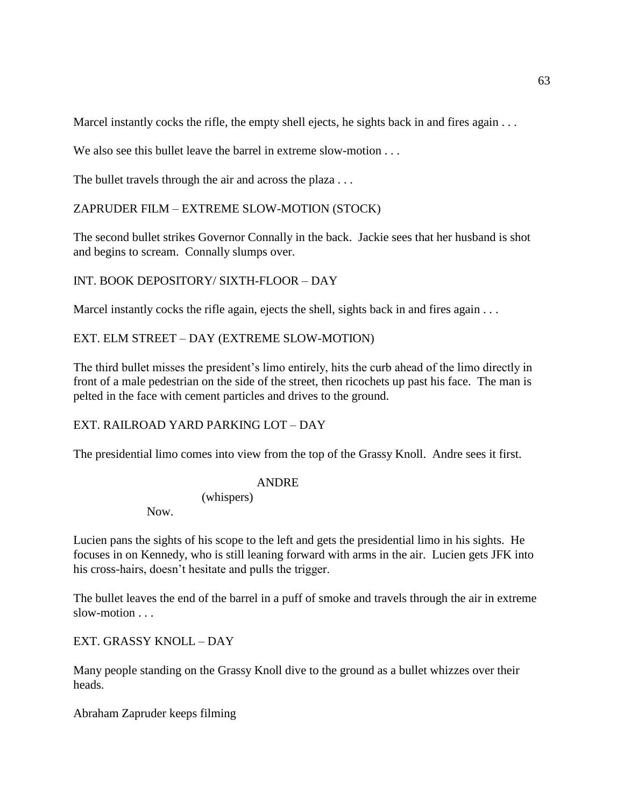Marcel instantly cocks the rifle, the empty shell ejects, he sights back in and fires again . . .

We also see this bullet leave the barrel in extreme slow-motion . . .

The bullet travels through the air and across the plaza . . .

### ZAPRUDER FILM – EXTREME SLOW-MOTION (STOCK)

The second bullet strikes Governor Connally in the back. Jackie sees that her husband is shot and begins to scream. Connally slumps over.

### INT. BOOK DEPOSITORY/ SIXTH-FLOOR – DAY

Marcel instantly cocks the rifle again, ejects the shell, sights back in and fires again . . .

### EXT. ELM STREET – DAY (EXTREME SLOW-MOTION)

The third bullet misses the president"s limo entirely, hits the curb ahead of the limo directly in front of a male pedestrian on the side of the street, then ricochets up past his face. The man is pelted in the face with cement particles and drives to the ground.

### EXT. RAILROAD YARD PARKING LOT – DAY

The presidential limo comes into view from the top of the Grassy Knoll. Andre sees it first.

### ANDRE

(whispers)

Now.

Lucien pans the sights of his scope to the left and gets the presidential limo in his sights. He focuses in on Kennedy, who is still leaning forward with arms in the air. Lucien gets JFK into his cross-hairs, doesn"t hesitate and pulls the trigger.

The bullet leaves the end of the barrel in a puff of smoke and travels through the air in extreme slow-motion . . .

EXT. GRASSY KNOLL – DAY

Many people standing on the Grassy Knoll dive to the ground as a bullet whizzes over their heads.

Abraham Zapruder keeps filming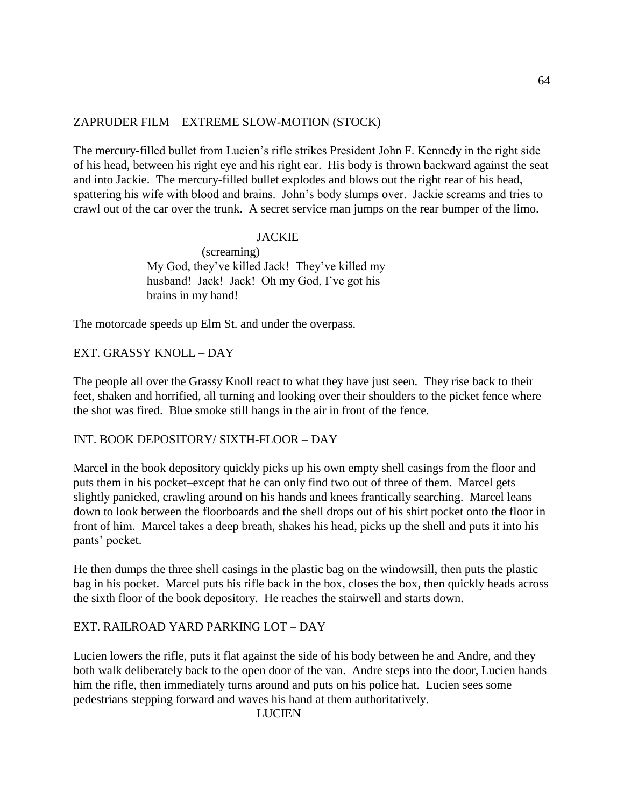### ZAPRUDER FILM – EXTREME SLOW-MOTION (STOCK)

The mercury-filled bullet from Lucien"s rifle strikes President John F. Kennedy in the right side of his head, between his right eye and his right ear. His body is thrown backward against the seat and into Jackie. The mercury-filled bullet explodes and blows out the right rear of his head, spattering his wife with blood and brains. John"s body slumps over. Jackie screams and tries to crawl out of the car over the trunk. A secret service man jumps on the rear bumper of the limo.

### JACKIE

(screaming) My God, they"ve killed Jack! They"ve killed my husband! Jack! Jack! Oh my God, I've got his brains in my hand!

The motorcade speeds up Elm St. and under the overpass.

### EXT. GRASSY KNOLL – DAY

The people all over the Grassy Knoll react to what they have just seen. They rise back to their feet, shaken and horrified, all turning and looking over their shoulders to the picket fence where the shot was fired. Blue smoke still hangs in the air in front of the fence.

### INT. BOOK DEPOSITORY/ SIXTH-FLOOR – DAY

Marcel in the book depository quickly picks up his own empty shell casings from the floor and puts them in his pocket–except that he can only find two out of three of them. Marcel gets slightly panicked, crawling around on his hands and knees frantically searching. Marcel leans down to look between the floorboards and the shell drops out of his shirt pocket onto the floor in front of him. Marcel takes a deep breath, shakes his head, picks up the shell and puts it into his pants" pocket.

He then dumps the three shell casings in the plastic bag on the windowsill, then puts the plastic bag in his pocket. Marcel puts his rifle back in the box, closes the box, then quickly heads across the sixth floor of the book depository. He reaches the stairwell and starts down.

### EXT. RAILROAD YARD PARKING LOT – DAY

Lucien lowers the rifle, puts it flat against the side of his body between he and Andre, and they both walk deliberately back to the open door of the van. Andre steps into the door, Lucien hands him the rifle, then immediately turns around and puts on his police hat. Lucien sees some pedestrians stepping forward and waves his hand at them authoritatively.

### **LUCIEN**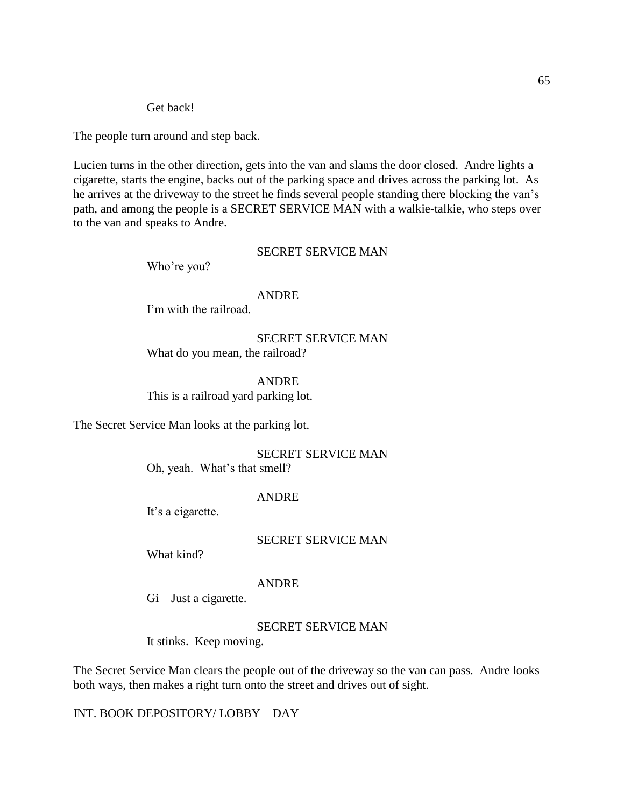#### Get back!

The people turn around and step back.

Lucien turns in the other direction, gets into the van and slams the door closed. Andre lights a cigarette, starts the engine, backs out of the parking space and drives across the parking lot. As he arrives at the driveway to the street he finds several people standing there blocking the van"s path, and among the people is a SECRET SERVICE MAN with a walkie-talkie, who steps over to the van and speaks to Andre.

### SECRET SERVICE MAN

Who"re you?

#### ANDRE

I'm with the railroad.

SECRET SERVICE MAN What do you mean, the railroad?

ANDRE This is a railroad yard parking lot.

The Secret Service Man looks at the parking lot.

### SECRET SERVICE MAN

Oh, yeah. What's that smell?

#### ANDRE

It's a cigarette.

SECRET SERVICE MAN

What kind?

#### ANDRE

Gi– Just a cigarette.

### SECRET SERVICE MAN

It stinks. Keep moving.

The Secret Service Man clears the people out of the driveway so the van can pass. Andre looks both ways, then makes a right turn onto the street and drives out of sight.

INT. BOOK DEPOSITORY/ LOBBY – DAY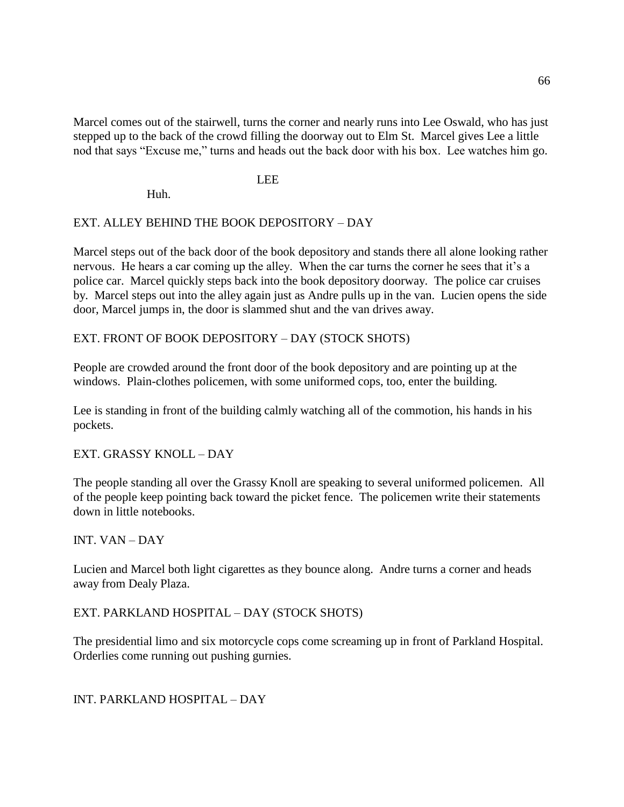Marcel comes out of the stairwell, turns the corner and nearly runs into Lee Oswald, who has just stepped up to the back of the crowd filling the doorway out to Elm St. Marcel gives Lee a little nod that says "Excuse me," turns and heads out the back door with his box. Lee watches him go.

LEE

Huh.

### EXT. ALLEY BEHIND THE BOOK DEPOSITORY – DAY

Marcel steps out of the back door of the book depository and stands there all alone looking rather nervous. He hears a car coming up the alley. When the car turns the corner he sees that it's a police car. Marcel quickly steps back into the book depository doorway. The police car cruises by. Marcel steps out into the alley again just as Andre pulls up in the van. Lucien opens the side door, Marcel jumps in, the door is slammed shut and the van drives away.

### EXT. FRONT OF BOOK DEPOSITORY – DAY (STOCK SHOTS)

People are crowded around the front door of the book depository and are pointing up at the windows. Plain-clothes policemen, with some uniformed cops, too, enter the building.

Lee is standing in front of the building calmly watching all of the commotion, his hands in his pockets.

### EXT. GRASSY KNOLL – DAY

The people standing all over the Grassy Knoll are speaking to several uniformed policemen. All of the people keep pointing back toward the picket fence. The policemen write their statements down in little notebooks.

INT. VAN – DAY

Lucien and Marcel both light cigarettes as they bounce along. Andre turns a corner and heads away from Dealy Plaza.

### EXT. PARKLAND HOSPITAL – DAY (STOCK SHOTS)

The presidential limo and six motorcycle cops come screaming up in front of Parkland Hospital. Orderlies come running out pushing gurnies.

INT. PARKLAND HOSPITAL – DAY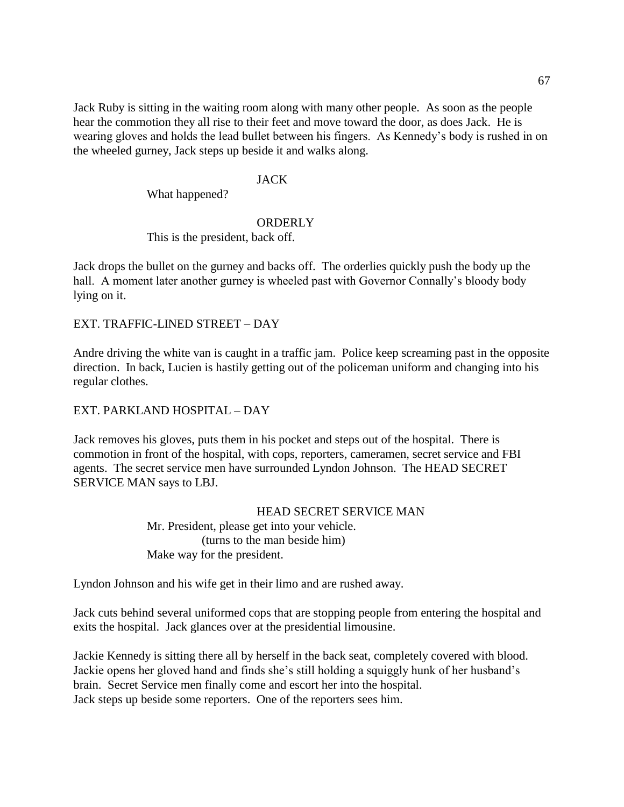Jack Ruby is sitting in the waiting room along with many other people. As soon as the people hear the commotion they all rise to their feet and move toward the door, as does Jack. He is wearing gloves and holds the lead bullet between his fingers. As Kennedy"s body is rushed in on the wheeled gurney, Jack steps up beside it and walks along.

### JACK

What happened?

#### **ORDERLY**

This is the president, back off.

Jack drops the bullet on the gurney and backs off. The orderlies quickly push the body up the hall. A moment later another gurney is wheeled past with Governor Connally's bloody body lying on it.

### EXT. TRAFFIC-LINED STREET – DAY

Andre driving the white van is caught in a traffic jam. Police keep screaming past in the opposite direction. In back, Lucien is hastily getting out of the policeman uniform and changing into his regular clothes.

### EXT. PARKLAND HOSPITAL – DAY

Jack removes his gloves, puts them in his pocket and steps out of the hospital. There is commotion in front of the hospital, with cops, reporters, cameramen, secret service and FBI agents. The secret service men have surrounded Lyndon Johnson. The HEAD SECRET SERVICE MAN says to LBJ.

> HEAD SECRET SERVICE MAN Mr. President, please get into your vehicle. (turns to the man beside him) Make way for the president.

Lyndon Johnson and his wife get in their limo and are rushed away.

Jack cuts behind several uniformed cops that are stopping people from entering the hospital and exits the hospital. Jack glances over at the presidential limousine.

Jackie Kennedy is sitting there all by herself in the back seat, completely covered with blood. Jackie opens her gloved hand and finds she's still holding a squiggly hunk of her husband's brain. Secret Service men finally come and escort her into the hospital. Jack steps up beside some reporters. One of the reporters sees him.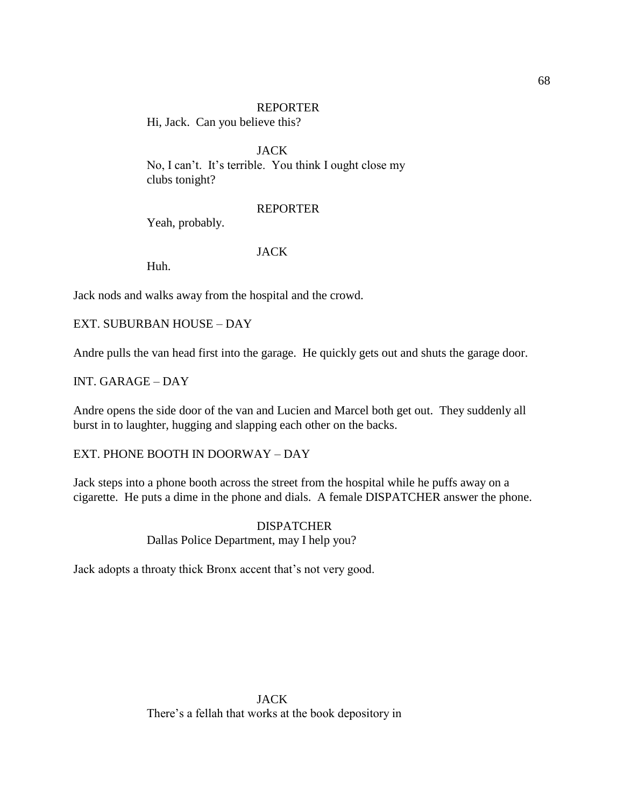### REPORTER

Hi, Jack. Can you believe this?

JACK No, I can't. It's terrible. You think I ought close my clubs tonight?

### REPORTER

Yeah, probably.

### JACK

Huh.

Jack nods and walks away from the hospital and the crowd.

### EXT. SUBURBAN HOUSE – DAY

Andre pulls the van head first into the garage. He quickly gets out and shuts the garage door.

### INT. GARAGE – DAY

Andre opens the side door of the van and Lucien and Marcel both get out. They suddenly all burst in to laughter, hugging and slapping each other on the backs.

### EXT. PHONE BOOTH IN DOORWAY – DAY

Jack steps into a phone booth across the street from the hospital while he puffs away on a cigarette. He puts a dime in the phone and dials. A female DISPATCHER answer the phone.

> DISPATCHER Dallas Police Department, may I help you?

Jack adopts a throaty thick Bronx accent that"s not very good.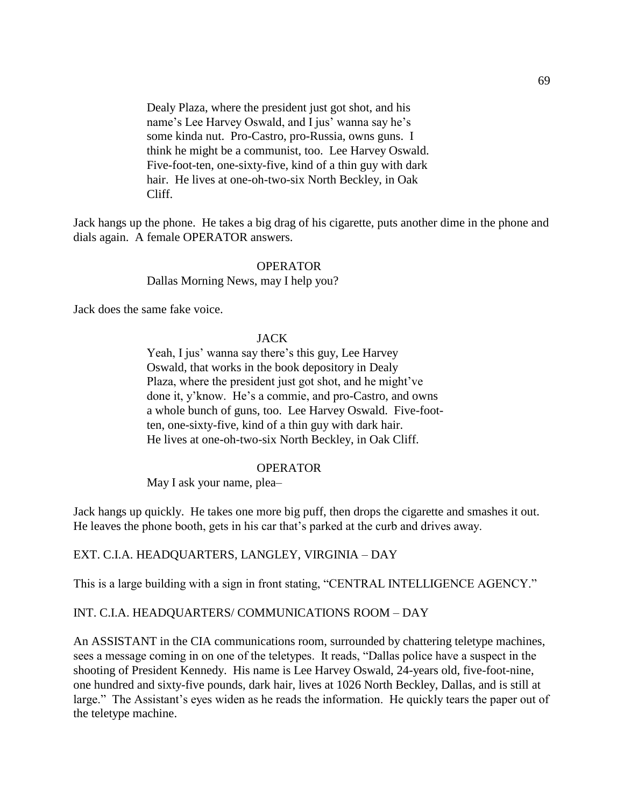Dealy Plaza, where the president just got shot, and his name's Lee Harvey Oswald, and I jus' wanna say he's some kinda nut. Pro-Castro, pro-Russia, owns guns. I think he might be a communist, too. Lee Harvey Oswald. Five-foot-ten, one-sixty-five, kind of a thin guy with dark hair. He lives at one-oh-two-six North Beckley, in Oak Cliff.

Jack hangs up the phone. He takes a big drag of his cigarette, puts another dime in the phone and dials again. A female OPERATOR answers.

### **OPERATOR**

Dallas Morning News, may I help you?

Jack does the same fake voice.

### JACK

Yeah, I jus' wanna say there's this guy, Lee Harvey Oswald, that works in the book depository in Dealy Plaza, where the president just got shot, and he might've done it, y'know. He's a commie, and pro-Castro, and owns a whole bunch of guns, too. Lee Harvey Oswald. Five-footten, one-sixty-five, kind of a thin guy with dark hair. He lives at one-oh-two-six North Beckley, in Oak Cliff.

#### OPERATOR

May I ask your name, plea–

Jack hangs up quickly. He takes one more big puff, then drops the cigarette and smashes it out. He leaves the phone booth, gets in his car that's parked at the curb and drives away.

### EXT. C.I.A. HEADQUARTERS, LANGLEY, VIRGINIA – DAY

This is a large building with a sign in front stating, "CENTRAL INTELLIGENCE AGENCY."

#### INT. C.I.A. HEADQUARTERS/ COMMUNICATIONS ROOM – DAY

An ASSISTANT in the CIA communications room, surrounded by chattering teletype machines, sees a message coming in on one of the teletypes. It reads, "Dallas police have a suspect in the shooting of President Kennedy. His name is Lee Harvey Oswald, 24-years old, five-foot-nine, one hundred and sixty-five pounds, dark hair, lives at 1026 North Beckley, Dallas, and is still at large." The Assistant's eyes widen as he reads the information. He quickly tears the paper out of the teletype machine.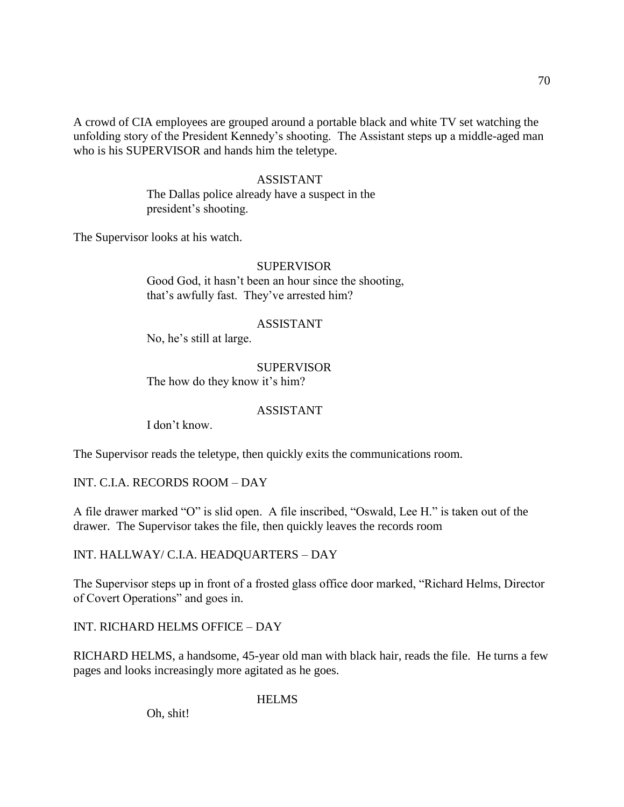A crowd of CIA employees are grouped around a portable black and white TV set watching the unfolding story of the President Kennedy"s shooting. The Assistant steps up a middle-aged man who is his SUPERVISOR and hands him the teletype.

### ASSISTANT

The Dallas police already have a suspect in the president"s shooting.

The Supervisor looks at his watch.

### **SUPERVISOR**

Good God, it hasn"t been an hour since the shooting, that's awfully fast. They've arrested him?

#### ASSISTANT

No, he's still at large.

#### SUPERVISOR

The how do they know it's him?

### ASSISTANT

I don"t know.

The Supervisor reads the teletype, then quickly exits the communications room.

INT. C.I.A. RECORDS ROOM – DAY

A file drawer marked "O" is slid open. A file inscribed, "Oswald, Lee H." is taken out of the drawer. The Supervisor takes the file, then quickly leaves the records room

INT. HALLWAY/ C.I.A. HEADQUARTERS – DAY

The Supervisor steps up in front of a frosted glass office door marked, "Richard Helms, Director of Covert Operations" and goes in.

INT. RICHARD HELMS OFFICE – DAY

RICHARD HELMS, a handsome, 45-year old man with black hair, reads the file. He turns a few pages and looks increasingly more agitated as he goes.

HELMS

Oh, shit!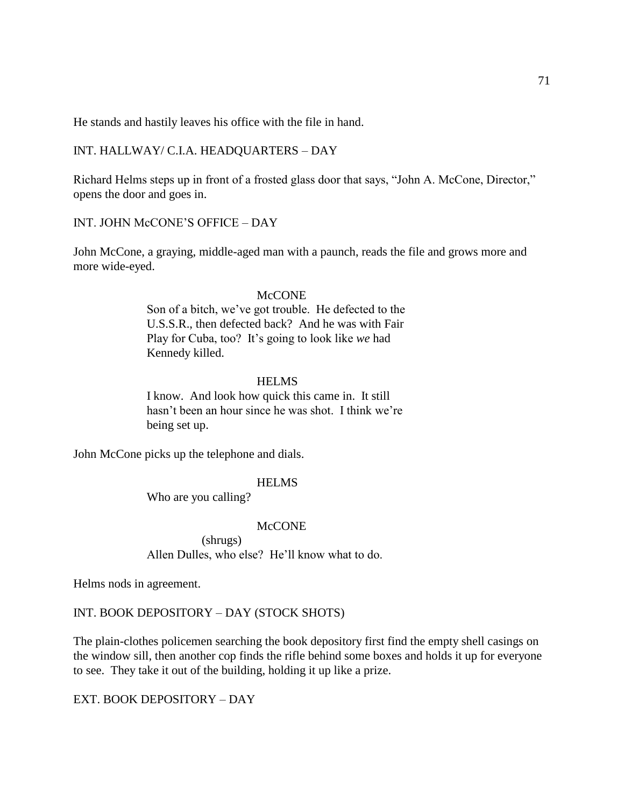He stands and hastily leaves his office with the file in hand.

### INT. HALLWAY/ C.I.A. HEADQUARTERS – DAY

Richard Helms steps up in front of a frosted glass door that says, "John A. McCone, Director," opens the door and goes in.

### INT. JOHN McCONE"S OFFICE – DAY

John McCone, a graying, middle-aged man with a paunch, reads the file and grows more and more wide-eyed.

#### **McCONE**

Son of a bitch, we've got trouble. He defected to the U.S.S.R., then defected back? And he was with Fair Play for Cuba, too? It's going to look like *we* had Kennedy killed.

### **HELMS**

I know. And look how quick this came in. It still hasn't been an hour since he was shot. I think we're being set up.

John McCone picks up the telephone and dials.

### **HELMS**

Who are you calling?

#### McCONE

(shrugs) Allen Dulles, who else? He'll know what to do.

Helms nods in agreement.

#### INT. BOOK DEPOSITORY – DAY (STOCK SHOTS)

The plain-clothes policemen searching the book depository first find the empty shell casings on the window sill, then another cop finds the rifle behind some boxes and holds it up for everyone to see. They take it out of the building, holding it up like a prize.

EXT. BOOK DEPOSITORY – DAY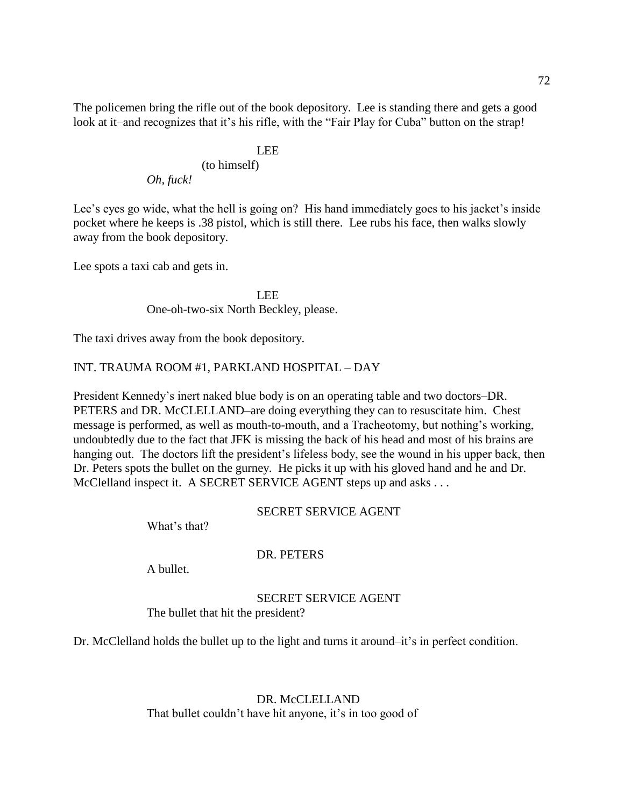The policemen bring the rifle out of the book depository. Lee is standing there and gets a good look at it–and recognizes that it's his rifle, with the "Fair Play for Cuba" button on the strap!

> LEE (to himself) *Oh, fuck!*

Lee's eyes go wide, what the hell is going on? His hand immediately goes to his jacket's inside pocket where he keeps is .38 pistol, which is still there. Lee rubs his face, then walks slowly away from the book depository.

Lee spots a taxi cab and gets in.

LEE One-oh-two-six North Beckley, please.

The taxi drives away from the book depository.

### INT. TRAUMA ROOM #1, PARKLAND HOSPITAL – DAY

President Kennedy"s inert naked blue body is on an operating table and two doctors–DR. PETERS and DR. McCLELLAND–are doing everything they can to resuscitate him. Chest message is performed, as well as mouth-to-mouth, and a Tracheotomy, but nothing"s working, undoubtedly due to the fact that JFK is missing the back of his head and most of his brains are hanging out. The doctors lift the president's lifeless body, see the wound in his upper back, then Dr. Peters spots the bullet on the gurney. He picks it up with his gloved hand and he and Dr. McClelland inspect it. A SECRET SERVICE AGENT steps up and asks . . .

### SECRET SERVICE AGENT

What's that?

### DR. PETERS

A bullet.

SECRET SERVICE AGENT The bullet that hit the president?

Dr. McClelland holds the bullet up to the light and turns it around–it's in perfect condition.

### DR. McCLELLAND That bullet couldn't have hit anyone, it's in too good of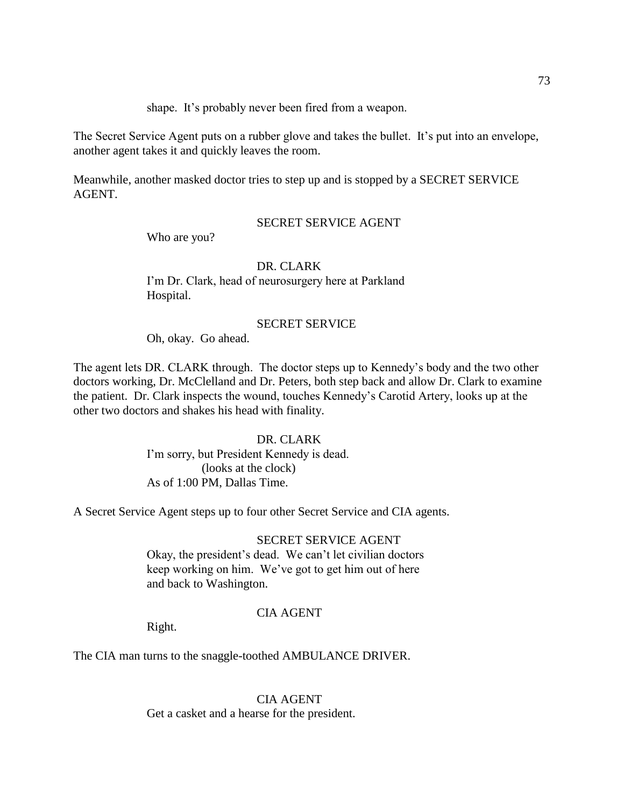shape. It's probably never been fired from a weapon.

The Secret Service Agent puts on a rubber glove and takes the bullet. It's put into an envelope, another agent takes it and quickly leaves the room.

Meanwhile, another masked doctor tries to step up and is stopped by a SECRET SERVICE AGENT.

#### SECRET SERVICE AGENT

Who are you?

DR. CLARK

I"m Dr. Clark, head of neurosurgery here at Parkland Hospital.

#### SECRET SERVICE

Oh, okay. Go ahead.

The agent lets DR. CLARK through. The doctor steps up to Kennedy"s body and the two other doctors working, Dr. McClelland and Dr. Peters, both step back and allow Dr. Clark to examine the patient. Dr. Clark inspects the wound, touches Kennedy"s Carotid Artery, looks up at the other two doctors and shakes his head with finality.

## DR. CLARK I'm sorry, but President Kennedy is dead. (looks at the clock)

As of 1:00 PM, Dallas Time.

A Secret Service Agent steps up to four other Secret Service and CIA agents.

### SECRET SERVICE AGENT

Okay, the president's dead. We can't let civilian doctors keep working on him. We've got to get him out of here and back to Washington.

### CIA AGENT

Right.

The CIA man turns to the snaggle-toothed AMBULANCE DRIVER.

CIA AGENT Get a casket and a hearse for the president.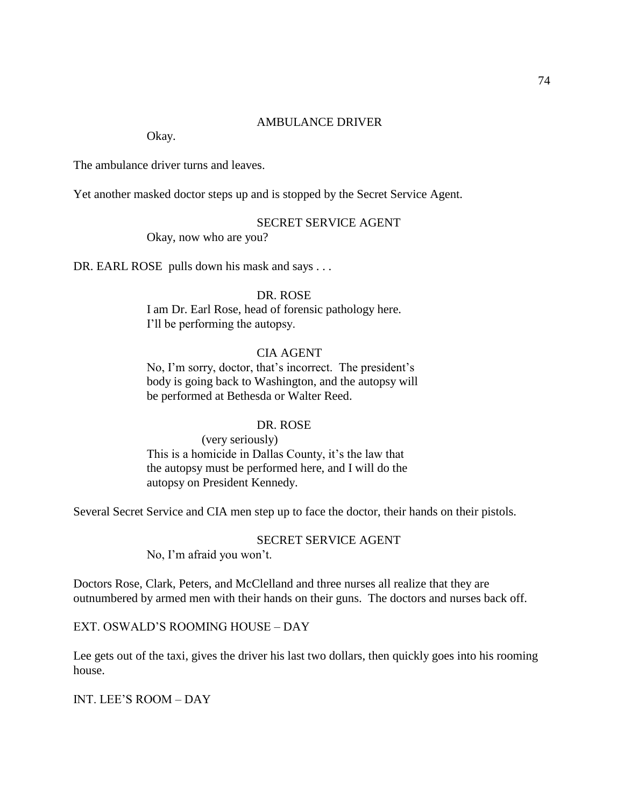#### AMBULANCE DRIVER

Okay.

The ambulance driver turns and leaves.

Yet another masked doctor steps up and is stopped by the Secret Service Agent.

#### SECRET SERVICE AGENT

Okay, now who are you?

DR. EARL ROSE pulls down his mask and says . . .

#### DR. ROSE

I am Dr. Earl Rose, head of forensic pathology here. I"ll be performing the autopsy.

### CIA AGENT

No, I'm sorry, doctor, that's incorrect. The president's body is going back to Washington, and the autopsy will be performed at Bethesda or Walter Reed.

#### DR. ROSE

(very seriously) This is a homicide in Dallas County, it's the law that the autopsy must be performed here, and I will do the autopsy on President Kennedy.

Several Secret Service and CIA men step up to face the doctor, their hands on their pistols.

SECRET SERVICE AGENT

No, I'm afraid you won't.

Doctors Rose, Clark, Peters, and McClelland and three nurses all realize that they are outnumbered by armed men with their hands on their guns. The doctors and nurses back off.

EXT. OSWALD"S ROOMING HOUSE – DAY

Lee gets out of the taxi, gives the driver his last two dollars, then quickly goes into his rooming house.

INT. LEE"S ROOM – DAY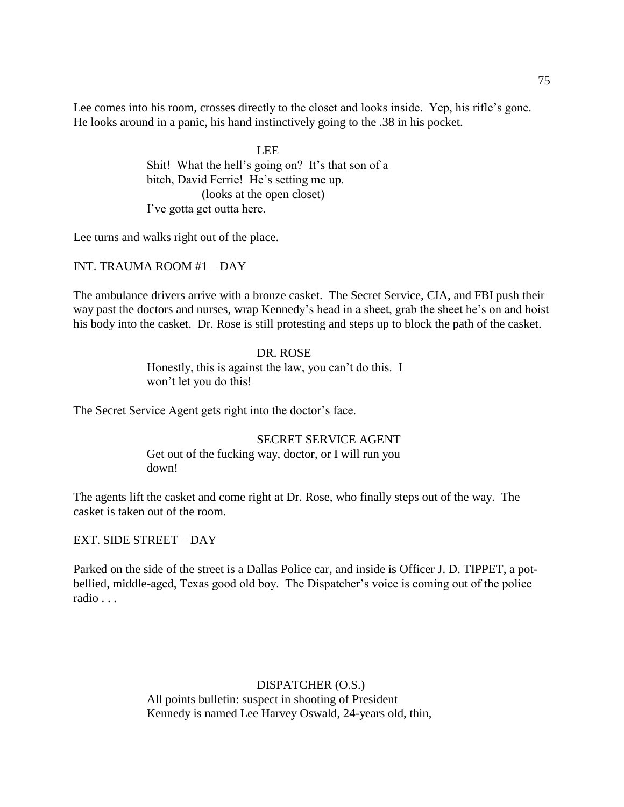Lee comes into his room, crosses directly to the closet and looks inside. Yep, his rifle's gone. He looks around in a panic, his hand instinctively going to the .38 in his pocket.

> LEE Shit! What the hell's going on? It's that son of a bitch, David Ferrie! He's setting me up. (looks at the open closet) I've gotta get outta here.

Lee turns and walks right out of the place.

INT. TRAUMA ROOM #1 – DAY

The ambulance drivers arrive with a bronze casket. The Secret Service, CIA, and FBI push their way past the doctors and nurses, wrap Kennedy"s head in a sheet, grab the sheet he"s on and hoist his body into the casket. Dr. Rose is still protesting and steps up to block the path of the casket.

> DR. ROSE Honestly, this is against the law, you can't do this. I won"t let you do this!

The Secret Service Agent gets right into the doctor's face.

SECRET SERVICE AGENT Get out of the fucking way, doctor, or I will run you down!

The agents lift the casket and come right at Dr. Rose, who finally steps out of the way. The casket is taken out of the room.

EXT. SIDE STREET – DAY

Parked on the side of the street is a Dallas Police car, and inside is Officer J. D. TIPPET, a potbellied, middle-aged, Texas good old boy. The Dispatcher's voice is coming out of the police radio . . .

> DISPATCHER (O.S.) All points bulletin: suspect in shooting of President Kennedy is named Lee Harvey Oswald, 24-years old, thin,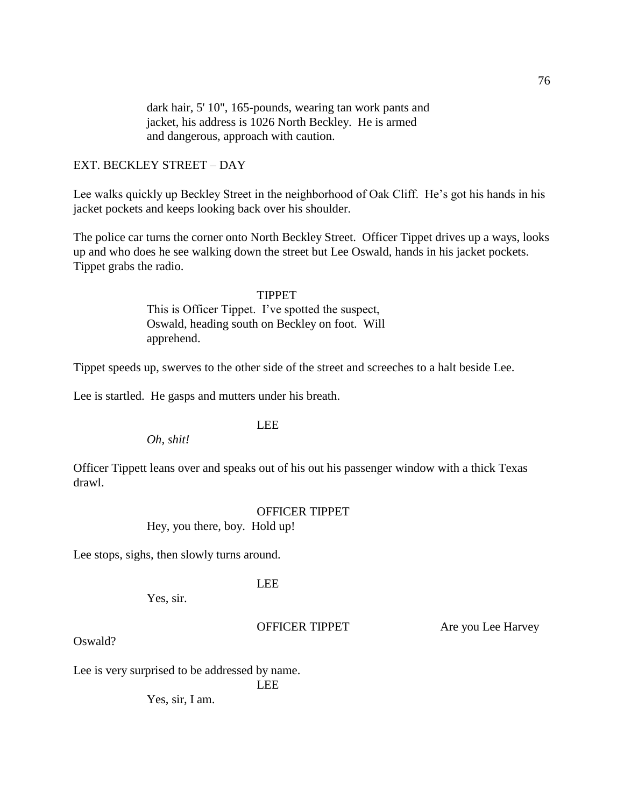dark hair, 5' 10", 165-pounds, wearing tan work pants and jacket, his address is 1026 North Beckley. He is armed and dangerous, approach with caution.

### EXT. BECKLEY STREET – DAY

Lee walks quickly up Beckley Street in the neighborhood of Oak Cliff. He's got his hands in his jacket pockets and keeps looking back over his shoulder.

The police car turns the corner onto North Beckley Street. Officer Tippet drives up a ways, looks up and who does he see walking down the street but Lee Oswald, hands in his jacket pockets. Tippet grabs the radio.

#### TIPPET

This is Officer Tippet. I've spotted the suspect, Oswald, heading south on Beckley on foot. Will apprehend.

Tippet speeds up, swerves to the other side of the street and screeches to a halt beside Lee.

Lee is startled. He gasps and mutters under his breath.

#### LEE

*Oh, shit!*

Officer Tippett leans over and speaks out of his out his passenger window with a thick Texas drawl.

#### OFFICER TIPPET

Hey, you there, boy. Hold up!

Lee stops, sighs, then slowly turns around.

### LEE

Yes, sir.

OFFICER TIPPET Are you Lee Harvey

Oswald?

Lee is very surprised to be addressed by name. LEE

Yes, sir, I am.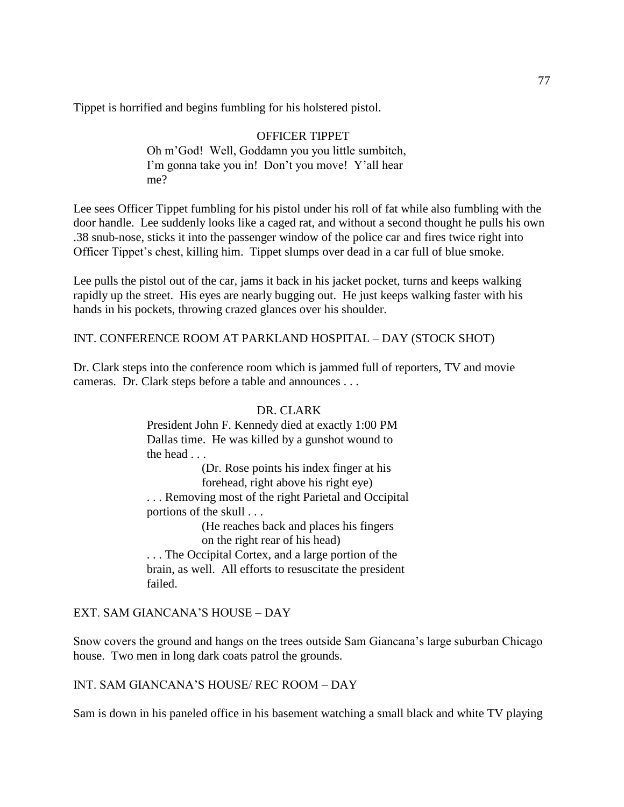Tippet is horrified and begins fumbling for his holstered pistol.

### OFFICER TIPPET Oh m"God! Well, Goddamn you you little sumbitch, I'm gonna take you in! Don't you move! Y'all hear me?

Lee sees Officer Tippet fumbling for his pistol under his roll of fat while also fumbling with the door handle. Lee suddenly looks like a caged rat, and without a second thought he pulls his own .38 snub-nose, sticks it into the passenger window of the police car and fires twice right into Officer Tippet's chest, killing him. Tippet slumps over dead in a car full of blue smoke.

Lee pulls the pistol out of the car, jams it back in his jacket pocket, turns and keeps walking rapidly up the street. His eyes are nearly bugging out. He just keeps walking faster with his hands in his pockets, throwing crazed glances over his shoulder.

### INT. CONFERENCE ROOM AT PARKLAND HOSPITAL – DAY (STOCK SHOT)

Dr. Clark steps into the conference room which is jammed full of reporters, TV and movie cameras. Dr. Clark steps before a table and announces . . .

### DR. CLARK

President John F. Kennedy died at exactly 1:00 PM Dallas time. He was killed by a gunshot wound to the head . . .

> (Dr. Rose points his index finger at his forehead, right above his right eye)

. . . Removing most of the right Parietal and Occipital portions of the skull . . .

(He reaches back and places his fingers on the right rear of his head) . . . The Occipital Cortex, and a large portion of the

brain, as well. All efforts to resuscitate the president failed.

### EXT. SAM GIANCANA"S HOUSE – DAY

Snow covers the ground and hangs on the trees outside Sam Giancana"s large suburban Chicago house. Two men in long dark coats patrol the grounds.

### INT. SAM GIANCANA"S HOUSE/ REC ROOM – DAY

Sam is down in his paneled office in his basement watching a small black and white TV playing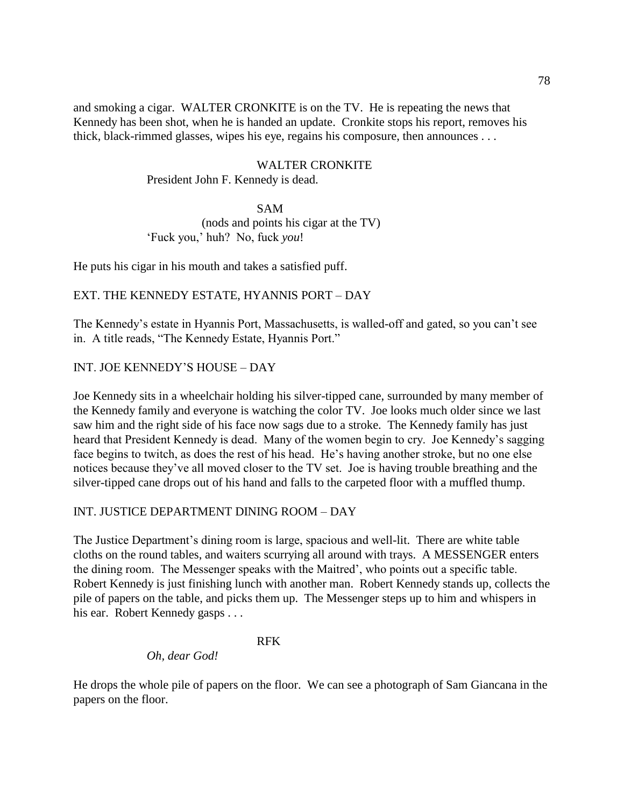and smoking a cigar. WALTER CRONKITE is on the TV. He is repeating the news that Kennedy has been shot, when he is handed an update. Cronkite stops his report, removes his thick, black-rimmed glasses, wipes his eye, regains his composure, then announces . . .

### WALTER CRONKITE

President John F. Kennedy is dead.

SAM (nods and points his cigar at the TV) "Fuck you," huh? No, fuck *you*!

He puts his cigar in his mouth and takes a satisfied puff.

### EXT. THE KENNEDY ESTATE, HYANNIS PORT – DAY

The Kennedy's estate in Hyannis Port, Massachusetts, is walled-off and gated, so you can't see in. A title reads, "The Kennedy Estate, Hyannis Port."

### INT. JOE KENNEDY"S HOUSE – DAY

Joe Kennedy sits in a wheelchair holding his silver-tipped cane, surrounded by many member of the Kennedy family and everyone is watching the color TV. Joe looks much older since we last saw him and the right side of his face now sags due to a stroke. The Kennedy family has just heard that President Kennedy is dead. Many of the women begin to cry. Joe Kennedy"s sagging face begins to twitch, as does the rest of his head. He"s having another stroke, but no one else notices because they"ve all moved closer to the TV set. Joe is having trouble breathing and the silver-tipped cane drops out of his hand and falls to the carpeted floor with a muffled thump.

### INT. JUSTICE DEPARTMENT DINING ROOM – DAY

The Justice Department's dining room is large, spacious and well-lit. There are white table cloths on the round tables, and waiters scurrying all around with trays. A MESSENGER enters the dining room. The Messenger speaks with the Maitred", who points out a specific table. Robert Kennedy is just finishing lunch with another man. Robert Kennedy stands up, collects the pile of papers on the table, and picks them up. The Messenger steps up to him and whispers in his ear. Robert Kennedy gasps . . .

### RFK

*Oh, dear God!*

He drops the whole pile of papers on the floor. We can see a photograph of Sam Giancana in the papers on the floor.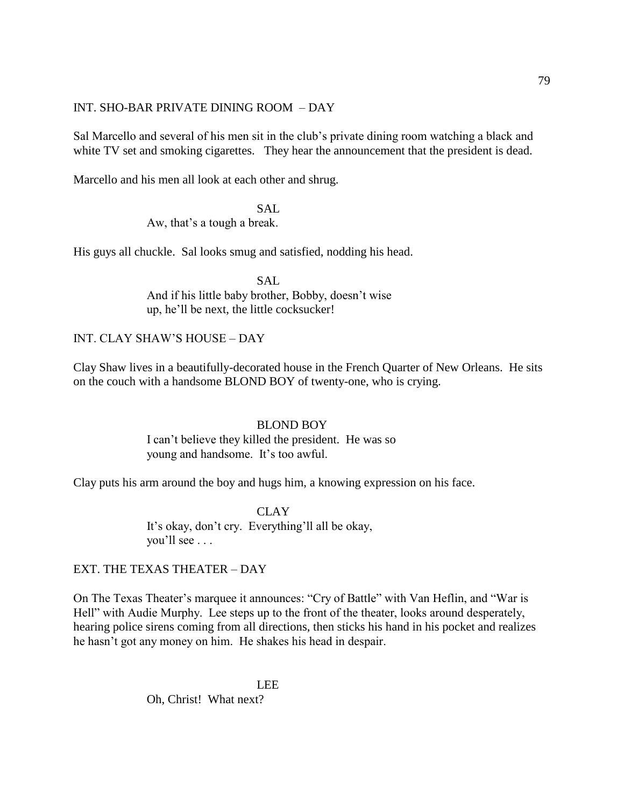### INT. SHO-BAR PRIVATE DINING ROOM – DAY

Sal Marcello and several of his men sit in the club's private dining room watching a black and white TV set and smoking cigarettes. They hear the announcement that the president is dead.

Marcello and his men all look at each other and shrug.

SAL

Aw, that"s a tough a break.

His guys all chuckle. Sal looks smug and satisfied, nodding his head.

SAL And if his little baby brother, Bobby, doesn"t wise up, he"ll be next, the little cocksucker!

### INT. CLAY SHAW"S HOUSE – DAY

Clay Shaw lives in a beautifully-decorated house in the French Quarter of New Orleans. He sits on the couch with a handsome BLOND BOY of twenty-one, who is crying.

#### BLOND BOY

I can"t believe they killed the president. He was so young and handsome. It's too awful.

Clay puts his arm around the boy and hugs him, a knowing expression on his face.

CLAY It"s okay, don"t cry. Everything"ll all be okay, you"ll see . . .

### EXT. THE TEXAS THEATER – DAY

On The Texas Theater's marquee it announces: "Cry of Battle" with Van Heflin, and "War is Hell" with Audie Murphy. Lee steps up to the front of the theater, looks around desperately, hearing police sirens coming from all directions, then sticks his hand in his pocket and realizes he hasn"t got any money on him. He shakes his head in despair.

> LEE Oh, Christ! What next?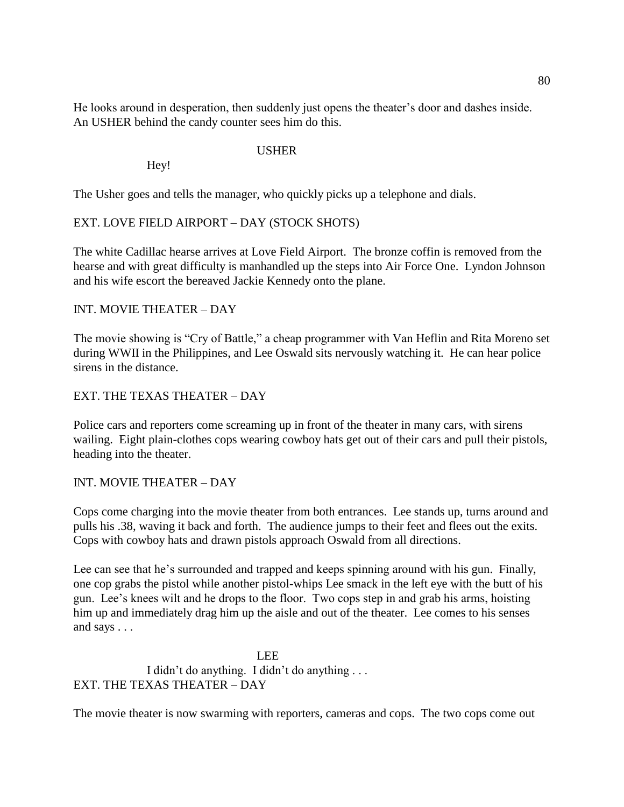He looks around in desperation, then suddenly just opens the theater"s door and dashes inside. An USHER behind the candy counter sees him do this.

The Usher goes and tells the manager, who quickly picks up a telephone and dials.

USHER

### EXT. LOVE FIELD AIRPORT – DAY (STOCK SHOTS)

The white Cadillac hearse arrives at Love Field Airport. The bronze coffin is removed from the hearse and with great difficulty is manhandled up the steps into Air Force One. Lyndon Johnson and his wife escort the bereaved Jackie Kennedy onto the plane.

### INT. MOVIE THEATER – DAY

Hey!

The movie showing is "Cry of Battle," a cheap programmer with Van Heflin and Rita Moreno set during WWII in the Philippines, and Lee Oswald sits nervously watching it. He can hear police sirens in the distance.

### EXT. THE TEXAS THEATER – DAY

Police cars and reporters come screaming up in front of the theater in many cars, with sirens wailing. Eight plain-clothes cops wearing cowboy hats get out of their cars and pull their pistols, heading into the theater.

### INT. MOVIE THEATER – DAY

Cops come charging into the movie theater from both entrances. Lee stands up, turns around and pulls his .38, waving it back and forth. The audience jumps to their feet and flees out the exits. Cops with cowboy hats and drawn pistols approach Oswald from all directions.

Lee can see that he's surrounded and trapped and keeps spinning around with his gun. Finally, one cop grabs the pistol while another pistol-whips Lee smack in the left eye with the butt of his gun. Lee"s knees wilt and he drops to the floor. Two cops step in and grab his arms, hoisting him up and immediately drag him up the aisle and out of the theater. Lee comes to his senses and says . . .

LEE I didn't do anything. I didn't do anything . . . EXT. THE TEXAS THEATER – DAY

The movie theater is now swarming with reporters, cameras and cops. The two cops come out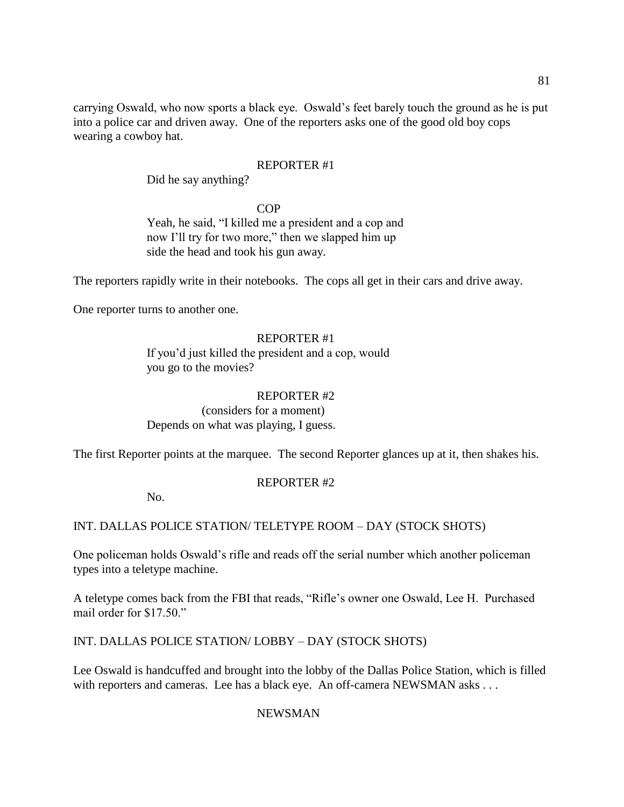carrying Oswald, who now sports a black eye. Oswald"s feet barely touch the ground as he is put into a police car and driven away. One of the reporters asks one of the good old boy cops wearing a cowboy hat.

### REPORTER #1

Did he say anything?

**COP** 

Yeah, he said, "I killed me a president and a cop and now I"ll try for two more," then we slapped him up side the head and took his gun away.

The reporters rapidly write in their notebooks. The cops all get in their cars and drive away.

One reporter turns to another one.

### REPORTER #1

If you"d just killed the president and a cop, would you go to the movies?

### REPORTER #2

(considers for a moment) Depends on what was playing, I guess.

The first Reporter points at the marquee. The second Reporter glances up at it, then shakes his.

No.

### REPORTER #2

INT. DALLAS POLICE STATION/ TELETYPE ROOM – DAY (STOCK SHOTS)

One policeman holds Oswald"s rifle and reads off the serial number which another policeman types into a teletype machine.

A teletype comes back from the FBI that reads, "Rifle"s owner one Oswald, Lee H. Purchased mail order for \$17.50."

INT. DALLAS POLICE STATION/ LOBBY – DAY (STOCK SHOTS)

Lee Oswald is handcuffed and brought into the lobby of the Dallas Police Station, which is filled with reporters and cameras. Lee has a black eye. An off-camera NEWSMAN asks . . .

### NEWSMAN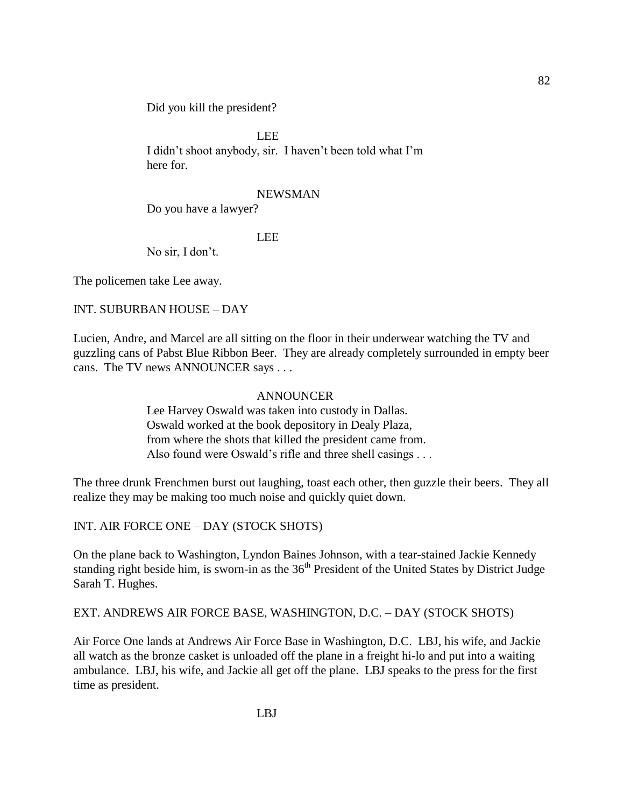Did you kill the president?

LEE I didn"t shoot anybody, sir. I haven"t been told what I"m here for.

#### NEWSMAN

Do you have a lawyer?

#### LEE

No sir, I don"t.

The policemen take Lee away.

INT. SUBURBAN HOUSE – DAY

Lucien, Andre, and Marcel are all sitting on the floor in their underwear watching the TV and guzzling cans of Pabst Blue Ribbon Beer. They are already completely surrounded in empty beer cans. The TV news ANNOUNCER says . . .

### ANNOUNCER

Lee Harvey Oswald was taken into custody in Dallas. Oswald worked at the book depository in Dealy Plaza, from where the shots that killed the president came from. Also found were Oswald's rifle and three shell casings . . .

The three drunk Frenchmen burst out laughing, toast each other, then guzzle their beers. They all realize they may be making too much noise and quickly quiet down.

### INT. AIR FORCE ONE – DAY (STOCK SHOTS)

On the plane back to Washington, Lyndon Baines Johnson, with a tear-stained Jackie Kennedy standing right beside him, is sworn-in as the 36<sup>th</sup> President of the United States by District Judge Sarah T. Hughes.

EXT. ANDREWS AIR FORCE BASE, WASHINGTON, D.C. – DAY (STOCK SHOTS)

Air Force One lands at Andrews Air Force Base in Washington, D.C. LBJ, his wife, and Jackie all watch as the bronze casket is unloaded off the plane in a freight hi-lo and put into a waiting ambulance. LBJ, his wife, and Jackie all get off the plane. LBJ speaks to the press for the first time as president.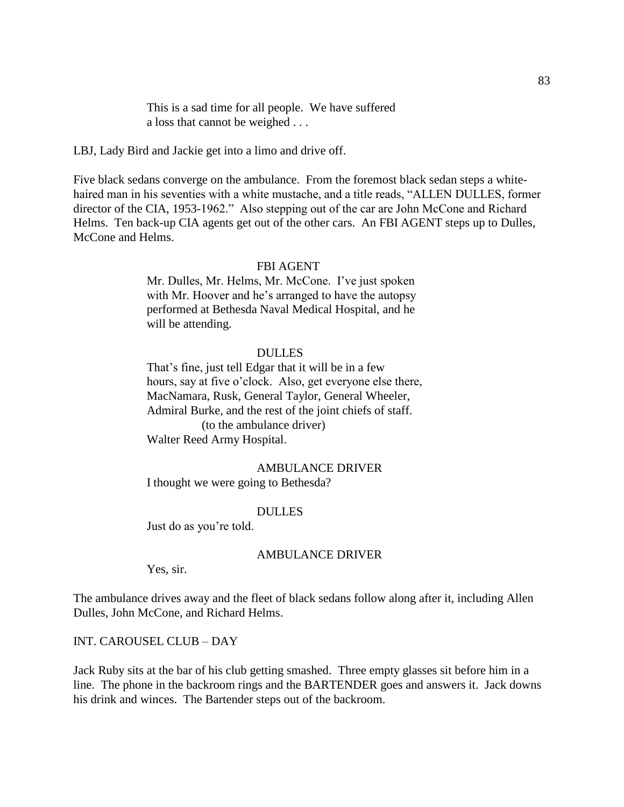This is a sad time for all people. We have suffered a loss that cannot be weighed . . .

LBJ, Lady Bird and Jackie get into a limo and drive off.

Five black sedans converge on the ambulance. From the foremost black sedan steps a whitehaired man in his seventies with a white mustache, and a title reads, "ALLEN DULLES, former director of the CIA, 1953-1962." Also stepping out of the car are John McCone and Richard Helms. Ten back-up CIA agents get out of the other cars. An FBI AGENT steps up to Dulles, McCone and Helms.

#### FBI AGENT

Mr. Dulles, Mr. Helms, Mr. McCone. I've just spoken with Mr. Hoover and he's arranged to have the autopsy performed at Bethesda Naval Medical Hospital, and he will be attending.

### DULLES

That's fine, just tell Edgar that it will be in a few hours, say at five o'clock. Also, get everyone else there, MacNamara, Rusk, General Taylor, General Wheeler, Admiral Burke, and the rest of the joint chiefs of staff. (to the ambulance driver) Walter Reed Army Hospital.

AMBULANCE DRIVER I thought we were going to Bethesda?

#### DULLES

Just do as you"re told.

#### AMBULANCE DRIVER

Yes, sir.

The ambulance drives away and the fleet of black sedans follow along after it, including Allen Dulles, John McCone, and Richard Helms.

### INT. CAROUSEL CLUB – DAY

Jack Ruby sits at the bar of his club getting smashed. Three empty glasses sit before him in a line. The phone in the backroom rings and the BARTENDER goes and answers it. Jack downs his drink and winces. The Bartender steps out of the backroom.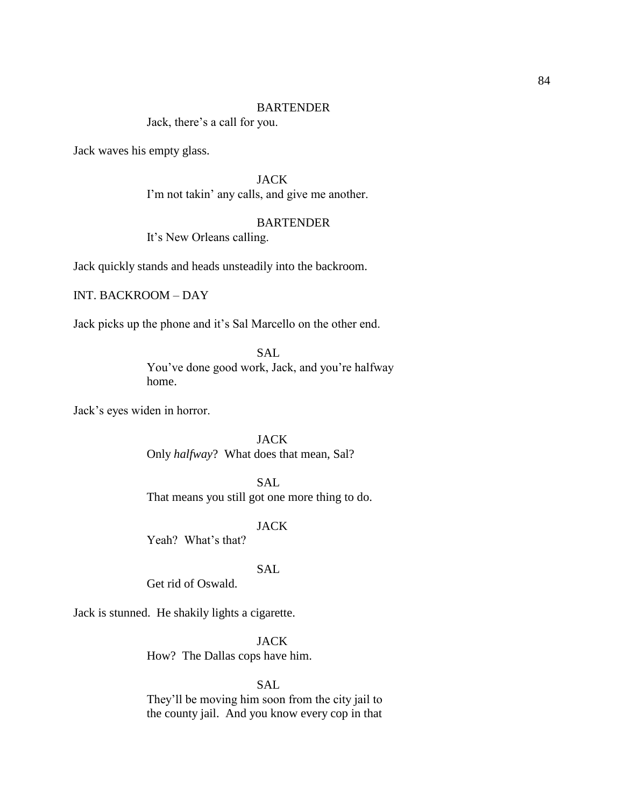### **BARTENDER**

Jack, there"s a call for you.

Jack waves his empty glass.

JACK I'm not takin' any calls, and give me another.

#### BARTENDER

It's New Orleans calling.

Jack quickly stands and heads unsteadily into the backroom.

INT. BACKROOM – DAY

Jack picks up the phone and it's Sal Marcello on the other end.

SAL You've done good work, Jack, and you're halfway home.

Jack"s eyes widen in horror.

JACK Only *halfway*? What does that mean, Sal?

SAL That means you still got one more thing to do.

#### JACK

Yeah? What's that?

### SAL

Get rid of Oswald.

Jack is stunned. He shakily lights a cigarette.

JACK How? The Dallas cops have him.

#### SAL

They"ll be moving him soon from the city jail to the county jail. And you know every cop in that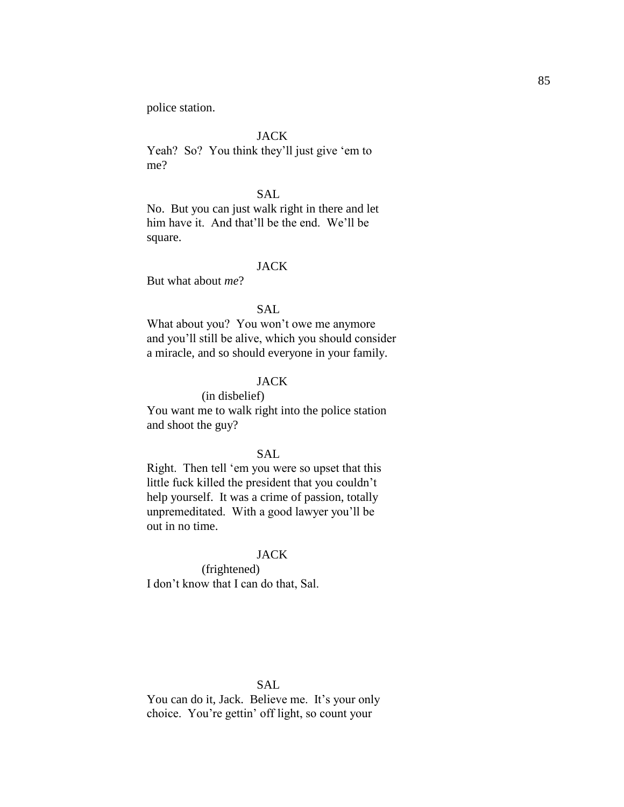police station.

### JACK

Yeah? So? You think they'll just give 'em to me?

#### SAL

No. But you can just walk right in there and let him have it. And that"ll be the end. We"ll be square.

#### JACK

But what about *me*?

### SAL

What about you? You won't owe me anymore and you"ll still be alive, which you should consider a miracle, and so should everyone in your family.

### JACK

(in disbelief) You want me to walk right into the police station and shoot the guy?

### SAL

Right. Then tell "em you were so upset that this little fuck killed the president that you couldn"t help yourself. It was a crime of passion, totally unpremeditated. With a good lawyer you"ll be out in no time.

### JACK

(frightened) I don"t know that I can do that, Sal.

#### SAL

You can do it, Jack. Believe me. It's your only choice. You"re gettin" off light, so count your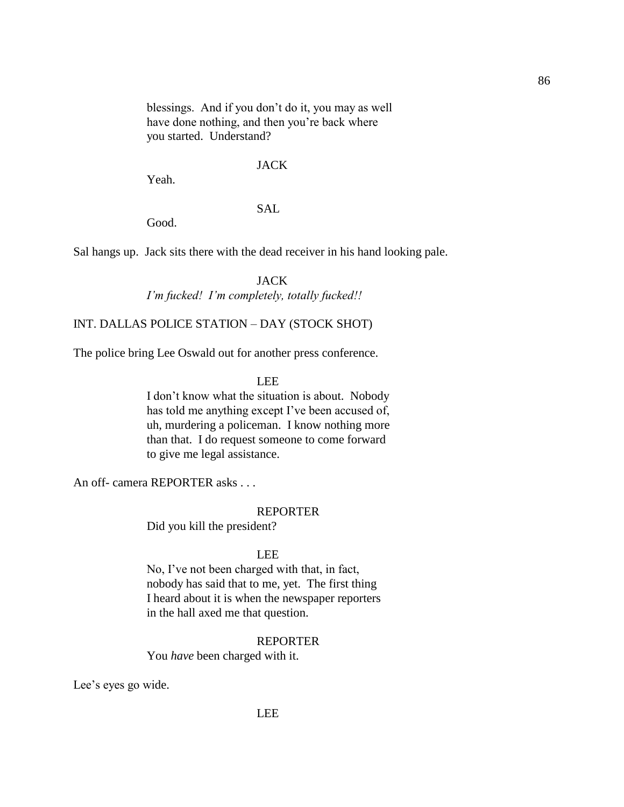blessings. And if you don"t do it, you may as well have done nothing, and then you're back where you started. Understand?

#### JACK

Yeah.

### SAL

Good.

Sal hangs up. Jack sits there with the dead receiver in his hand looking pale.

JACK *I'm fucked! I'm completely, totally fucked!!*

### INT. DALLAS POLICE STATION – DAY (STOCK SHOT)

The police bring Lee Oswald out for another press conference.

#### LEE

I don"t know what the situation is about. Nobody has told me anything except I've been accused of, uh, murdering a policeman. I know nothing more than that. I do request someone to come forward to give me legal assistance.

An off- camera REPORTER asks . . .

#### REPORTER

Did you kill the president?

#### LEE

No, I've not been charged with that, in fact, nobody has said that to me, yet. The first thing I heard about it is when the newspaper reporters in the hall axed me that question.

REPORTER

You *have* been charged with it.

Lee's eyes go wide.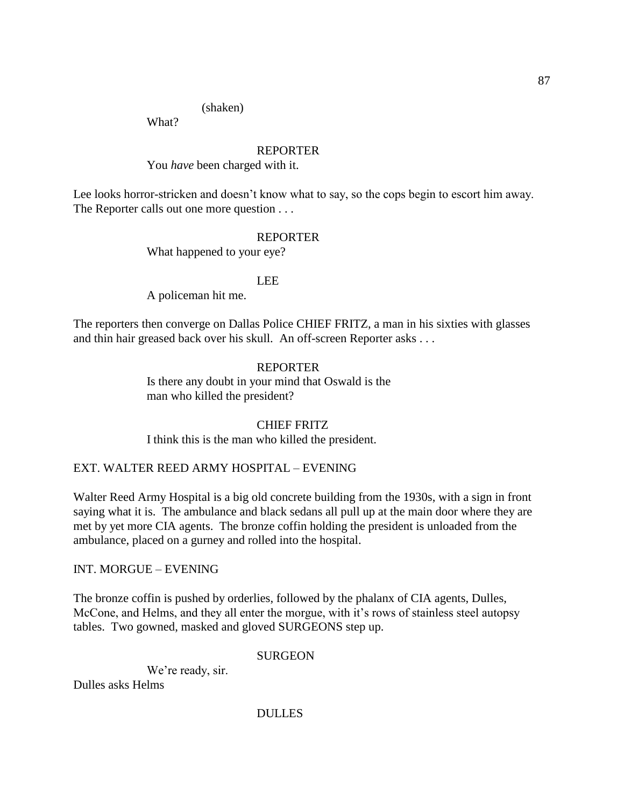(shaken)

What?

### REPORTER

You *have* been charged with it.

Lee looks horror-stricken and doesn't know what to say, so the cops begin to escort him away. The Reporter calls out one more question . . .

### REPORTER

What happened to your eye?

### LEE

A policeman hit me.

The reporters then converge on Dallas Police CHIEF FRITZ, a man in his sixties with glasses and thin hair greased back over his skull. An off-screen Reporter asks . . .

### REPORTER

Is there any doubt in your mind that Oswald is the man who killed the president?

### CHIEF FRITZ

I think this is the man who killed the president.

### EXT. WALTER REED ARMY HOSPITAL – EVENING

Walter Reed Army Hospital is a big old concrete building from the 1930s, with a sign in front saying what it is. The ambulance and black sedans all pull up at the main door where they are met by yet more CIA agents. The bronze coffin holding the president is unloaded from the ambulance, placed on a gurney and rolled into the hospital.

### INT. MORGUE – EVENING

The bronze coffin is pushed by orderlies, followed by the phalanx of CIA agents, Dulles, McCone, and Helms, and they all enter the morgue, with it's rows of stainless steel autopsy tables. Two gowned, masked and gloved SURGEONS step up.

**SURGEON** 

We're ready, sir. Dulles asks Helms

DULLES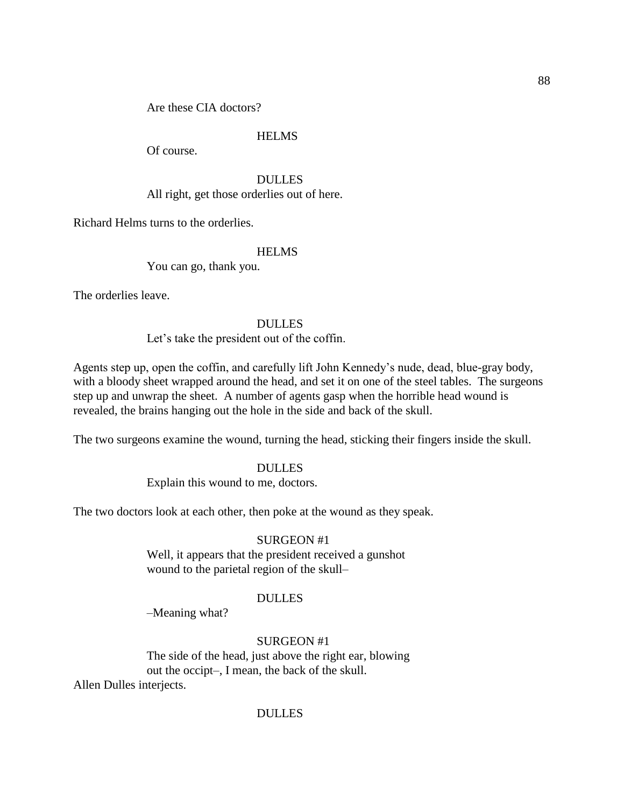Are these CIA doctors?

### **HELMS**

Of course.

DULLES All right, get those orderlies out of here.

Richard Helms turns to the orderlies.

### **HELMS**

You can go, thank you.

The orderlies leave.

#### DULLES

Let's take the president out of the coffin.

Agents step up, open the coffin, and carefully lift John Kennedy"s nude, dead, blue-gray body, with a bloody sheet wrapped around the head, and set it on one of the steel tables. The surgeons step up and unwrap the sheet. A number of agents gasp when the horrible head wound is revealed, the brains hanging out the hole in the side and back of the skull.

The two surgeons examine the wound, turning the head, sticking their fingers inside the skull.

DULLES Explain this wound to me, doctors.

The two doctors look at each other, then poke at the wound as they speak.

### SURGEON #1

Well, it appears that the president received a gunshot wound to the parietal region of the skull–

#### DULLES

–Meaning what?

### SURGEON #1

The side of the head, just above the right ear, blowing out the occipt–, I mean, the back of the skull. Allen Dulles interjects.

DULLES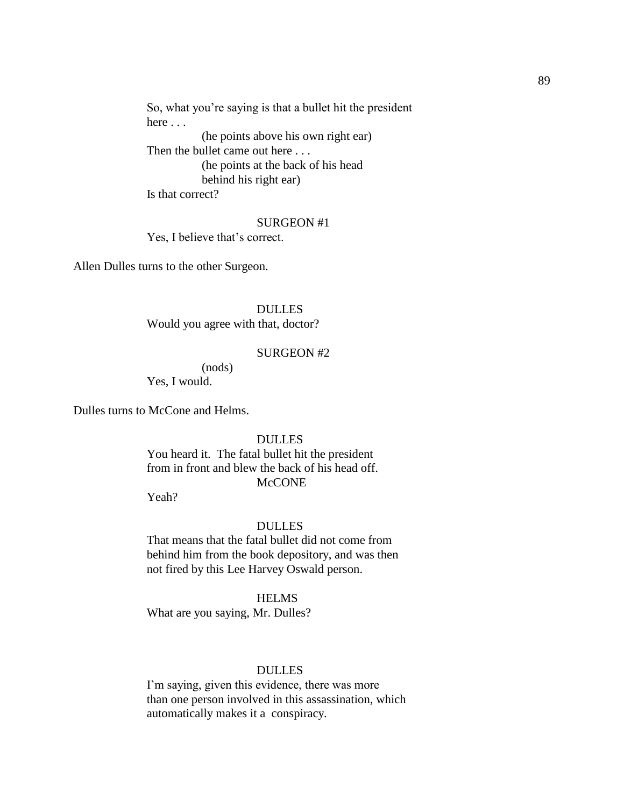So, what you're saying is that a bullet hit the president here . . .

(he points above his own right ear) Then the bullet came out here . . . (he points at the back of his head behind his right ear) Is that correct?

#### SURGEON #1

Yes, I believe that's correct.

Allen Dulles turns to the other Surgeon.

### DULLES Would you agree with that, doctor?

#### SURGEON #2

(nods) Yes, I would.

Dulles turns to McCone and Helms.

#### DULLES

You heard it. The fatal bullet hit the president from in front and blew the back of his head off. **McCONE** 

Yeah?

#### DULLES

That means that the fatal bullet did not come from behind him from the book depository, and was then not fired by this Lee Harvey Oswald person.

#### HELMS

What are you saying, Mr. Dulles?

#### DULLES

I'm saying, given this evidence, there was more than one person involved in this assassination, which automatically makes it a conspiracy.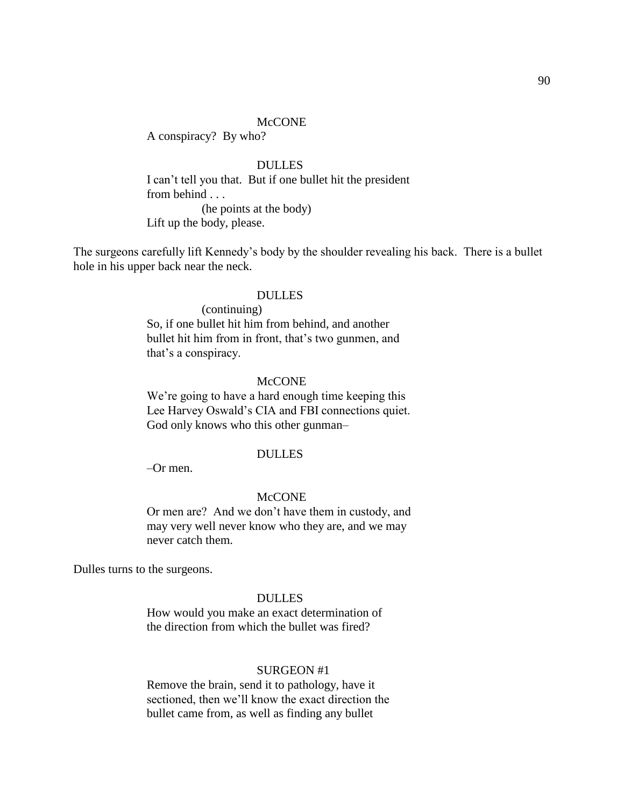#### McCONE

A conspiracy? By who?

DULLES I can"t tell you that. But if one bullet hit the president from behind . . . (he points at the body) Lift up the body, please.

The surgeons carefully lift Kennedy"s body by the shoulder revealing his back. There is a bullet hole in his upper back near the neck.

#### DULLES

(continuing)

So, if one bullet hit him from behind, and another bullet hit him from in front, that's two gunmen, and that's a conspiracy.

#### McCONE

We're going to have a hard enough time keeping this Lee Harvey Oswald's CIA and FBI connections quiet. God only knows who this other gunman–

### DULLES

–Or men.

#### McCONE

Or men are? And we don"t have them in custody, and may very well never know who they are, and we may never catch them.

Dulles turns to the surgeons.

#### DULLES

How would you make an exact determination of the direction from which the bullet was fired?

#### SURGEON #1

Remove the brain, send it to pathology, have it sectioned, then we"ll know the exact direction the bullet came from, as well as finding any bullet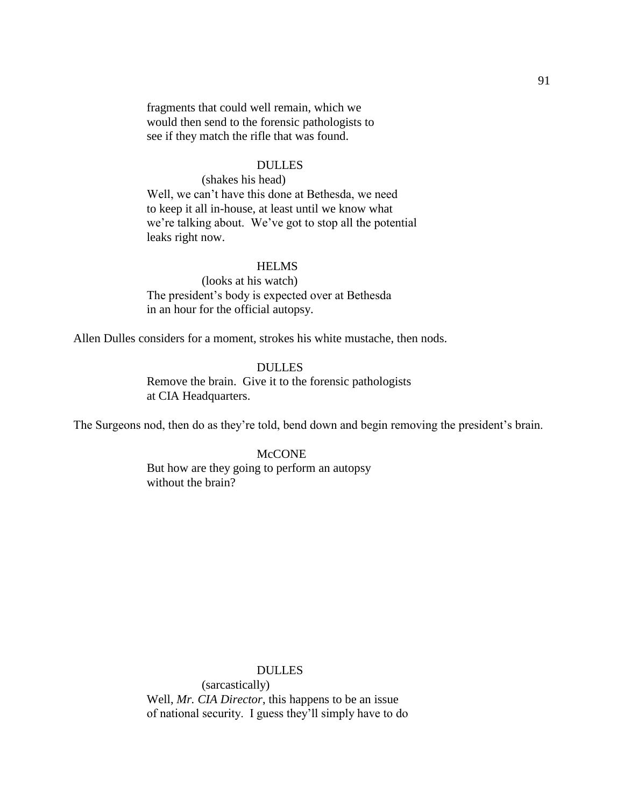fragments that could well remain, which we would then send to the forensic pathologists to see if they match the rifle that was found.

#### DULLES

### (shakes his head)

Well, we can"t have this done at Bethesda, we need to keep it all in-house, at least until we know what we're talking about. We've got to stop all the potential leaks right now.

#### **HELMS**

(looks at his watch) The president's body is expected over at Bethesda in an hour for the official autopsy.

Allen Dulles considers for a moment, strokes his white mustache, then nods.

#### DULLES

Remove the brain. Give it to the forensic pathologists at CIA Headquarters.

The Surgeons nod, then do as they're told, bend down and begin removing the president's brain.

#### **McCONE**

But how are they going to perform an autopsy without the brain?

#### DULLES

(sarcastically) Well, *Mr. CIA Director*, this happens to be an issue of national security. I guess they"ll simply have to do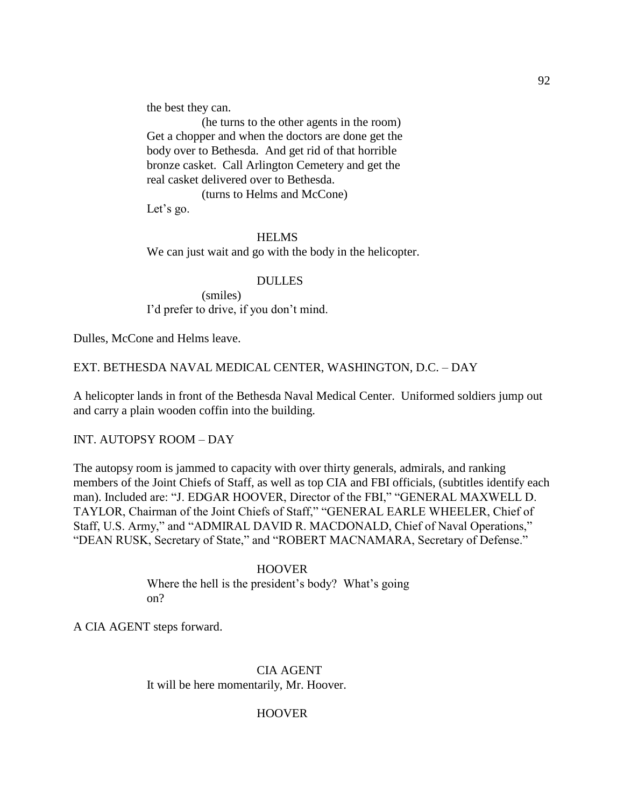the best they can.

(he turns to the other agents in the room) Get a chopper and when the doctors are done get the body over to Bethesda. And get rid of that horrible bronze casket. Call Arlington Cemetery and get the real casket delivered over to Bethesda.

(turns to Helms and McCone)

Let's go.

### HELMS

We can just wait and go with the body in the helicopter.

#### DULLES

(smiles) I'd prefer to drive, if you don't mind.

Dulles, McCone and Helms leave.

EXT. BETHESDA NAVAL MEDICAL CENTER, WASHINGTON, D.C. – DAY

A helicopter lands in front of the Bethesda Naval Medical Center. Uniformed soldiers jump out and carry a plain wooden coffin into the building.

INT. AUTOPSY ROOM – DAY

The autopsy room is jammed to capacity with over thirty generals, admirals, and ranking members of the Joint Chiefs of Staff, as well as top CIA and FBI officials, (subtitles identify each man). Included are: "J. EDGAR HOOVER, Director of the FBI," "GENERAL MAXWELL D. TAYLOR, Chairman of the Joint Chiefs of Staff," "GENERAL EARLE WHEELER, Chief of Staff, U.S. Army," and "ADMIRAL DAVID R. MACDONALD, Chief of Naval Operations," "DEAN RUSK, Secretary of State," and "ROBERT MACNAMARA, Secretary of Defense."

#### **HOOVER**

Where the hell is the president's body? What's going on?

A CIA AGENT steps forward.

CIA AGENT It will be here momentarily, Mr. Hoover.

### **HOOVER**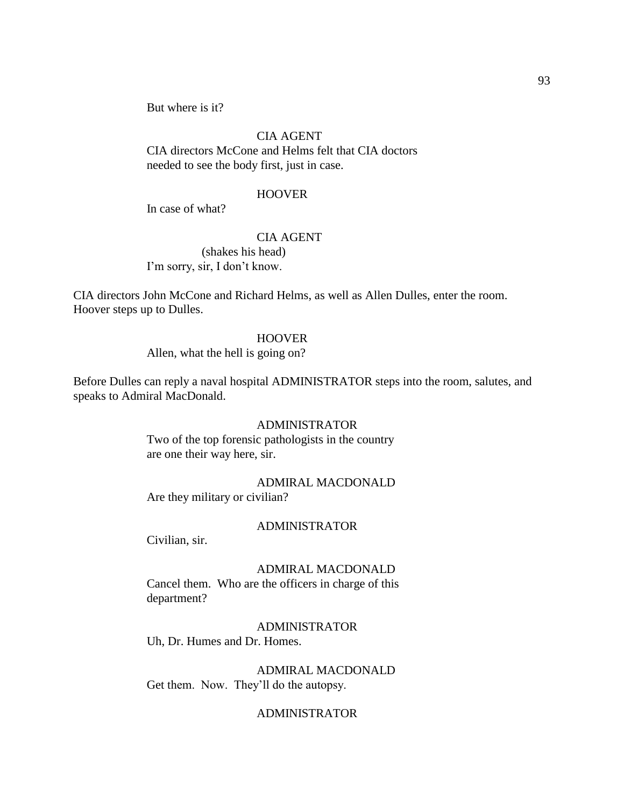But where is it?

### CIA AGENT

CIA directors McCone and Helms felt that CIA doctors needed to see the body first, just in case.

#### HOOVER

In case of what?

### CIA AGENT

(shakes his head) I'm sorry, sir, I don't know.

CIA directors John McCone and Richard Helms, as well as Allen Dulles, enter the room. Hoover steps up to Dulles.

### HOOVER

Allen, what the hell is going on?

Before Dulles can reply a naval hospital ADMINISTRATOR steps into the room, salutes, and speaks to Admiral MacDonald.

#### ADMINISTRATOR

Two of the top forensic pathologists in the country are one their way here, sir.

#### ADMIRAL MACDONALD

Are they military or civilian?

#### ADMINISTRATOR

Civilian, sir.

ADMIRAL MACDONALD Cancel them. Who are the officers in charge of this department?

ADMINISTRATOR Uh, Dr. Humes and Dr. Homes.

ADMIRAL MACDONALD Get them. Now. They"ll do the autopsy.

#### ADMINISTRATOR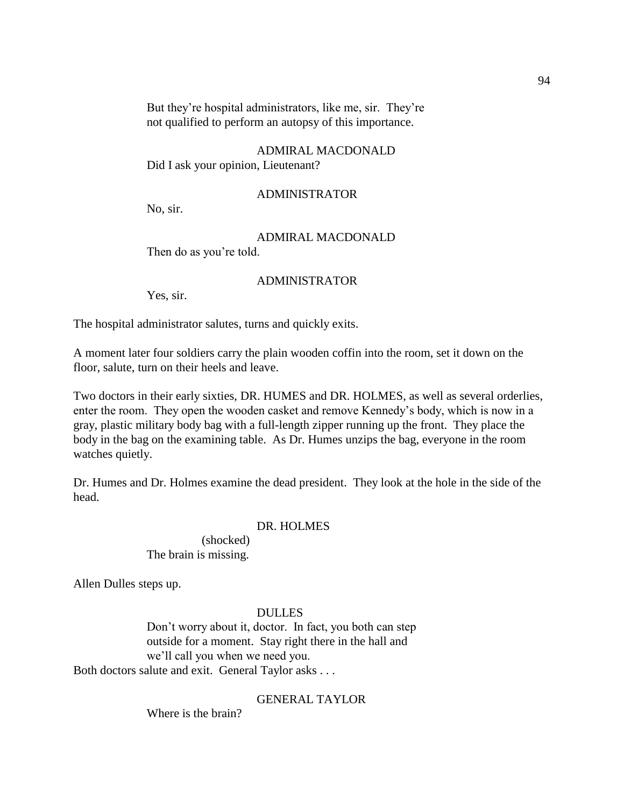But they"re hospital administrators, like me, sir. They"re not qualified to perform an autopsy of this importance.

ADMIRAL MACDONALD Did I ask your opinion, Lieutenant?

#### ADMINISTRATOR

No, sir.

### ADMIRAL MACDONALD

Then do as you're told.

### ADMINISTRATOR

Yes, sir.

The hospital administrator salutes, turns and quickly exits.

A moment later four soldiers carry the plain wooden coffin into the room, set it down on the floor, salute, turn on their heels and leave.

Two doctors in their early sixties, DR. HUMES and DR. HOLMES, as well as several orderlies, enter the room. They open the wooden casket and remove Kennedy"s body, which is now in a gray, plastic military body bag with a full-length zipper running up the front. They place the body in the bag on the examining table. As Dr. Humes unzips the bag, everyone in the room watches quietly.

Dr. Humes and Dr. Holmes examine the dead president. They look at the hole in the side of the head.

#### DR. HOLMES

(shocked) The brain is missing.

Allen Dulles steps up.

### DULLES

Don"t worry about it, doctor. In fact, you both can step outside for a moment. Stay right there in the hall and we"ll call you when we need you. Both doctors salute and exit. General Taylor asks . . .

#### GENERAL TAYLOR

Where is the brain?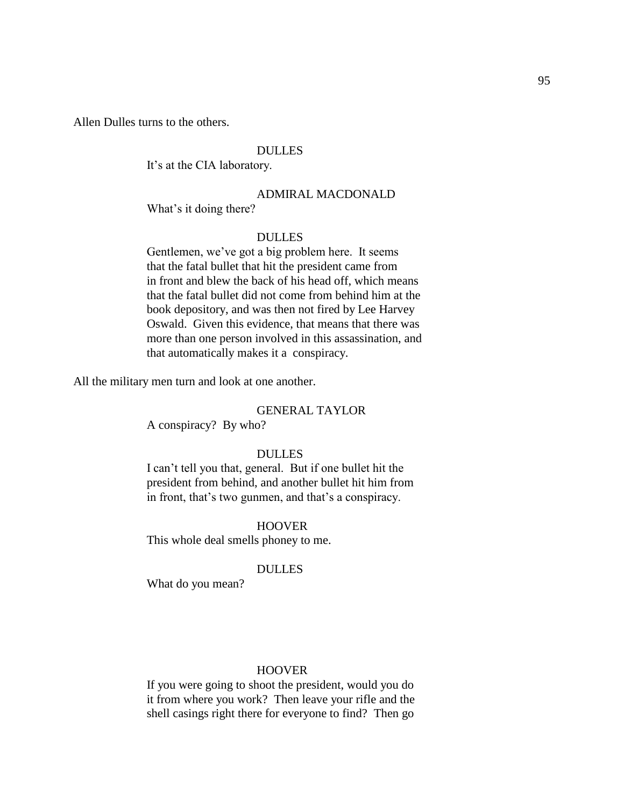Allen Dulles turns to the others.

### DULLES

It"s at the CIA laboratory.

#### ADMIRAL MACDONALD

What's it doing there?

#### DULLES

Gentlemen, we've got a big problem here. It seems that the fatal bullet that hit the president came from in front and blew the back of his head off, which means that the fatal bullet did not come from behind him at the book depository, and was then not fired by Lee Harvey Oswald. Given this evidence, that means that there was more than one person involved in this assassination, and that automatically makes it a conspiracy.

All the military men turn and look at one another.

#### GENERAL TAYLOR

A conspiracy? By who?

### DULLES

I can"t tell you that, general. But if one bullet hit the president from behind, and another bullet hit him from in front, that's two gunmen, and that's a conspiracy.

#### HOOVER

This whole deal smells phoney to me.

#### DULLES

What do you mean?

#### HOOVER

If you were going to shoot the president, would you do it from where you work? Then leave your rifle and the shell casings right there for everyone to find? Then go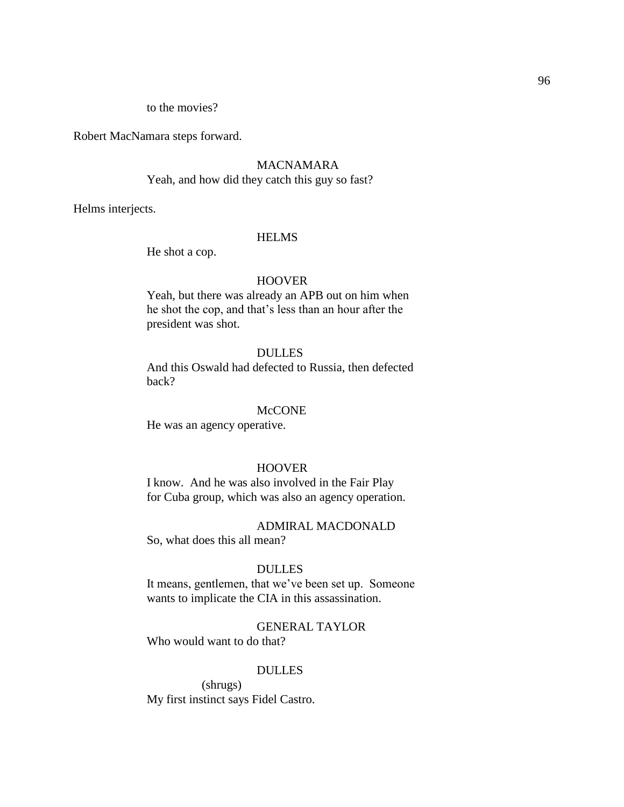to the movies?

Robert MacNamara steps forward.

### MACNAMARA Yeah, and how did they catch this guy so fast?

Helms interjects.

#### HELMS

He shot a cop.

#### HOOVER

Yeah, but there was already an APB out on him when he shot the cop, and that"s less than an hour after the president was shot.

### DULLES

And this Oswald had defected to Russia, then defected back?

### **McCONE**

He was an agency operative.

#### HOOVER

I know. And he was also involved in the Fair Play for Cuba group, which was also an agency operation.

#### ADMIRAL MACDONALD

So, what does this all mean?

#### DULLES

It means, gentlemen, that we"ve been set up. Someone wants to implicate the CIA in this assassination.

# GENERAL TAYLOR

Who would want to do that?

#### DULLES

(shrugs) My first instinct says Fidel Castro.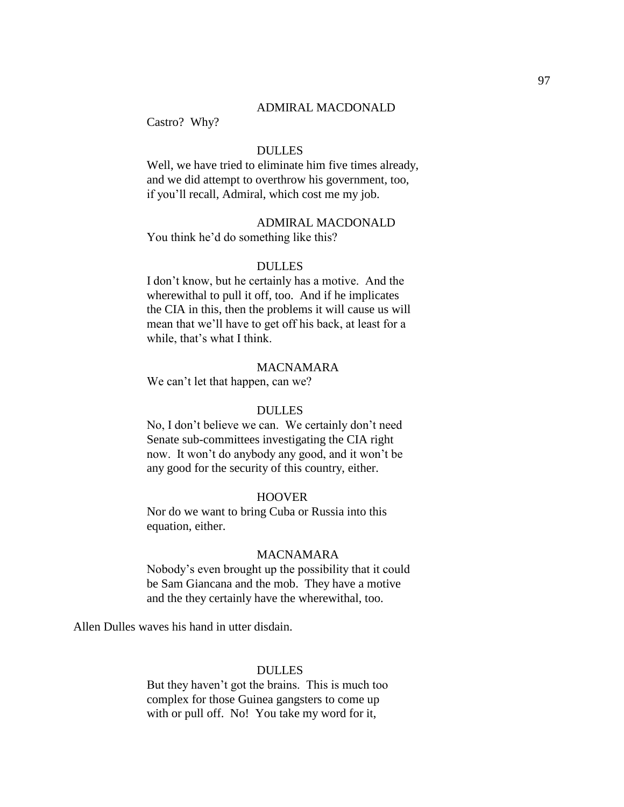#### ADMIRAL MACDONALD

Castro? Why?

### DULLES

Well, we have tried to eliminate him five times already, and we did attempt to overthrow his government, too, if you"ll recall, Admiral, which cost me my job.

#### ADMIRAL MACDONALD

You think he'd do something like this?

#### DULLES

I don"t know, but he certainly has a motive. And the wherewithal to pull it off, too. And if he implicates the CIA in this, then the problems it will cause us will mean that we"ll have to get off his back, at least for a while, that's what I think.

#### MACNAMARA

We can't let that happen, can we?

#### DULLES

No, I don"t believe we can. We certainly don"t need Senate sub-committees investigating the CIA right now. It won't do anybody any good, and it won't be any good for the security of this country, either.

#### **HOOVER**

Nor do we want to bring Cuba or Russia into this equation, either.

### MACNAMARA

Nobody"s even brought up the possibility that it could be Sam Giancana and the mob. They have a motive and the they certainly have the wherewithal, too.

Allen Dulles waves his hand in utter disdain.

#### DULLES

But they haven"t got the brains. This is much too complex for those Guinea gangsters to come up with or pull off. No! You take my word for it,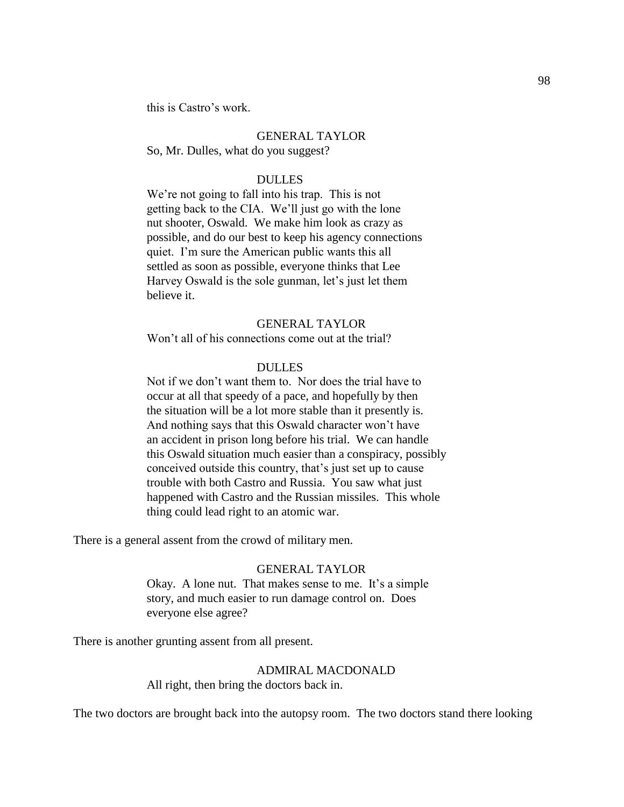this is Castro"s work.

#### GENERAL TAYLOR

So, Mr. Dulles, what do you suggest?

### DULLES

We're not going to fall into his trap. This is not getting back to the CIA. We"ll just go with the lone nut shooter, Oswald. We make him look as crazy as possible, and do our best to keep his agency connections quiet. I'm sure the American public wants this all settled as soon as possible, everyone thinks that Lee Harvey Oswald is the sole gunman, let's just let them believe it.

#### GENERAL TAYLOR

Won't all of his connections come out at the trial?

#### DULLES

Not if we don"t want them to. Nor does the trial have to occur at all that speedy of a pace, and hopefully by then the situation will be a lot more stable than it presently is. And nothing says that this Oswald character won"t have an accident in prison long before his trial. We can handle this Oswald situation much easier than a conspiracy, possibly conceived outside this country, that's just set up to cause trouble with both Castro and Russia. You saw what just happened with Castro and the Russian missiles. This whole thing could lead right to an atomic war.

There is a general assent from the crowd of military men.

#### GENERAL TAYLOR

Okay. A lone nut. That makes sense to me. It's a simple story, and much easier to run damage control on. Does everyone else agree?

There is another grunting assent from all present.

#### ADMIRAL MACDONALD

All right, then bring the doctors back in.

The two doctors are brought back into the autopsy room. The two doctors stand there looking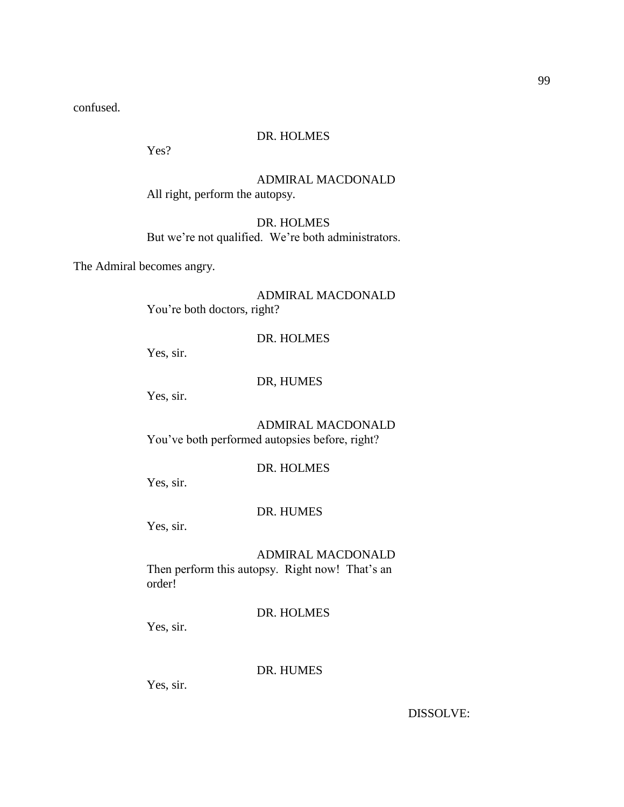confused.

### DR. HOLMES

Yes?

ADMIRAL MACDONALD All right, perform the autopsy.

DR. HOLMES But we're not qualified. We're both administrators.

The Admiral becomes angry.

ADMIRAL MACDONALD You're both doctors, right?

#### DR. HOLMES

Yes, sir.

#### DR, HUMES

Yes, sir.

ADMIRAL MACDONALD You've both performed autopsies before, right?

#### DR. HOLMES

Yes, sir.

#### DR. HUMES

Yes, sir.

ADMIRAL MACDONALD Then perform this autopsy. Right now! That's an order!

### DR. HOLMES

Yes, sir.

#### DR. HUMES

Yes, sir.

DISSOLVE: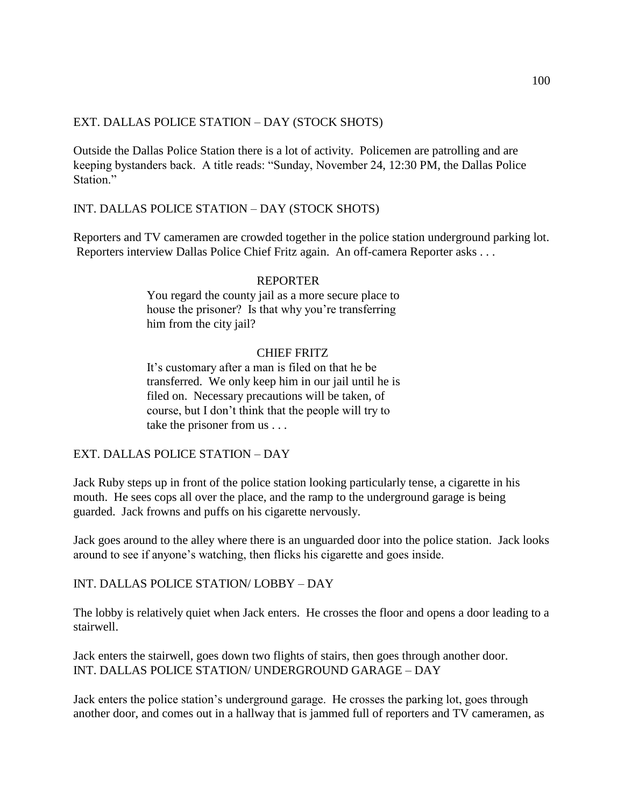### EXT. DALLAS POLICE STATION – DAY (STOCK SHOTS)

Outside the Dallas Police Station there is a lot of activity. Policemen are patrolling and are keeping bystanders back. A title reads: "Sunday, November 24, 12:30 PM, the Dallas Police Station."

### INT. DALLAS POLICE STATION – DAY (STOCK SHOTS)

Reporters and TV cameramen are crowded together in the police station underground parking lot. Reporters interview Dallas Police Chief Fritz again. An off-camera Reporter asks . . .

### REPORTER

You regard the county jail as a more secure place to house the prisoner? Is that why you're transferring him from the city jail?

### CHIEF FRITZ

It"s customary after a man is filed on that he be transferred. We only keep him in our jail until he is filed on. Necessary precautions will be taken, of course, but I don"t think that the people will try to take the prisoner from us . . .

### EXT. DALLAS POLICE STATION – DAY

Jack Ruby steps up in front of the police station looking particularly tense, a cigarette in his mouth. He sees cops all over the place, and the ramp to the underground garage is being guarded. Jack frowns and puffs on his cigarette nervously.

Jack goes around to the alley where there is an unguarded door into the police station. Jack looks around to see if anyone's watching, then flicks his cigarette and goes inside.

### INT. DALLAS POLICE STATION/ LOBBY – DAY

The lobby is relatively quiet when Jack enters. He crosses the floor and opens a door leading to a stairwell.

Jack enters the stairwell, goes down two flights of stairs, then goes through another door. INT. DALLAS POLICE STATION/ UNDERGROUND GARAGE – DAY

Jack enters the police station"s underground garage. He crosses the parking lot, goes through another door, and comes out in a hallway that is jammed full of reporters and TV cameramen, as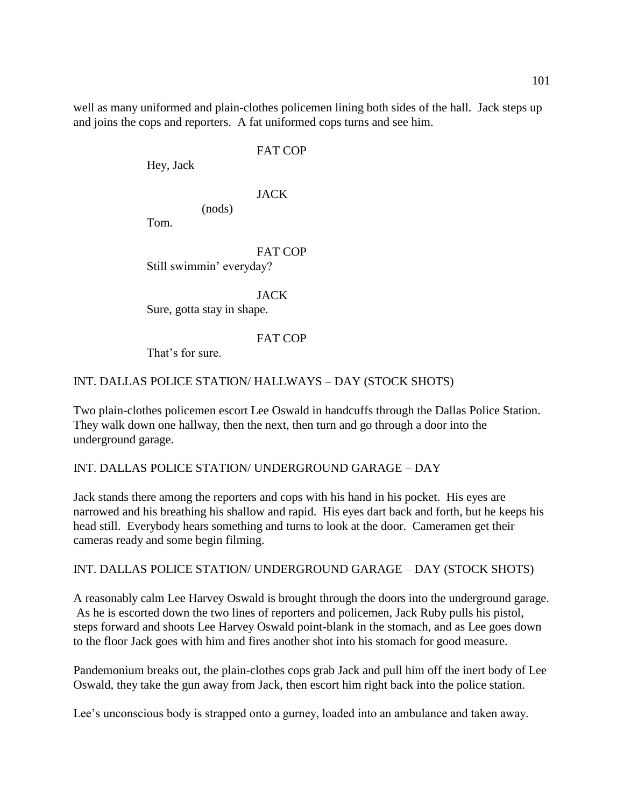well as many uniformed and plain-clothes policemen lining both sides of the hall. Jack steps up and joins the cops and reporters. A fat uniformed cops turns and see him.

FAT COP

Hey, Jack

JACK

(nods)

Tom.

FAT COP

Still swimmin' everyday?

JACK

Sure, gotta stay in shape.

FAT COP

That's for sure.

INT. DALLAS POLICE STATION/ HALLWAYS – DAY (STOCK SHOTS)

Two plain-clothes policemen escort Lee Oswald in handcuffs through the Dallas Police Station. They walk down one hallway, then the next, then turn and go through a door into the underground garage.

INT. DALLAS POLICE STATION/ UNDERGROUND GARAGE – DAY

Jack stands there among the reporters and cops with his hand in his pocket. His eyes are narrowed and his breathing his shallow and rapid. His eyes dart back and forth, but he keeps his head still. Everybody hears something and turns to look at the door. Cameramen get their cameras ready and some begin filming.

INT. DALLAS POLICE STATION/ UNDERGROUND GARAGE – DAY (STOCK SHOTS)

A reasonably calm Lee Harvey Oswald is brought through the doors into the underground garage. As he is escorted down the two lines of reporters and policemen, Jack Ruby pulls his pistol, steps forward and shoots Lee Harvey Oswald point-blank in the stomach, and as Lee goes down to the floor Jack goes with him and fires another shot into his stomach for good measure.

Pandemonium breaks out, the plain-clothes cops grab Jack and pull him off the inert body of Lee Oswald, they take the gun away from Jack, then escort him right back into the police station.

Lee's unconscious body is strapped onto a gurney, loaded into an ambulance and taken away.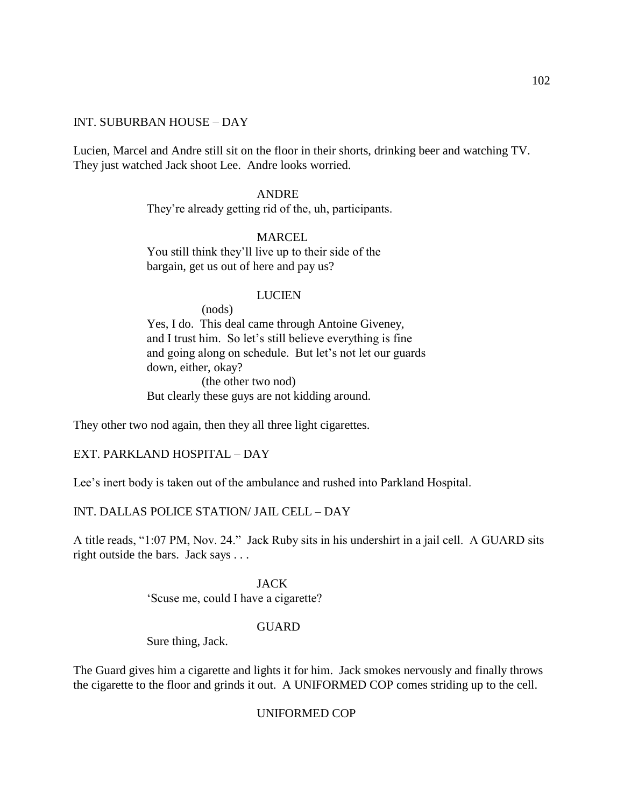### INT. SUBURBAN HOUSE – DAY

Lucien, Marcel and Andre still sit on the floor in their shorts, drinking beer and watching TV. They just watched Jack shoot Lee. Andre looks worried.

#### ANDRE

They're already getting rid of the, uh, participants.

#### MARCEL

You still think they"ll live up to their side of the bargain, get us out of here and pay us?

#### LUCIEN

(nods)

Yes, I do. This deal came through Antoine Giveney, and I trust him. So let's still believe everything is fine and going along on schedule. But let's not let our guards down, either, okay? (the other two nod) But clearly these guys are not kidding around.

They other two nod again, then they all three light cigarettes.

### EXT. PARKLAND HOSPITAL – DAY

Lee's inert body is taken out of the ambulance and rushed into Parkland Hospital.

### INT. DALLAS POLICE STATION/ JAIL CELL – DAY

A title reads, "1:07 PM, Nov. 24." Jack Ruby sits in his undershirt in a jail cell. A GUARD sits right outside the bars. Jack says . . .

#### JACK

"Scuse me, could I have a cigarette?

#### GUARD

Sure thing, Jack.

The Guard gives him a cigarette and lights it for him. Jack smokes nervously and finally throws the cigarette to the floor and grinds it out. A UNIFORMED COP comes striding up to the cell.

### UNIFORMED COP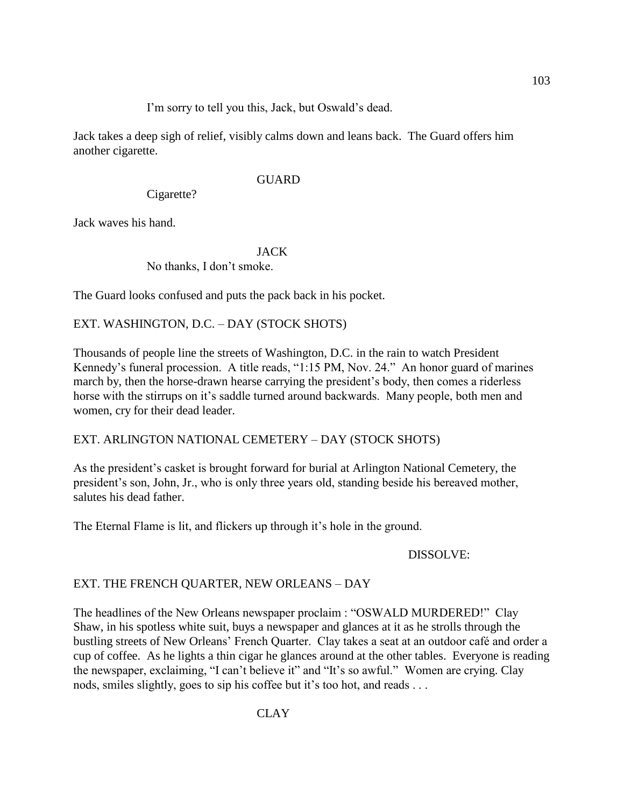I'm sorry to tell you this, Jack, but Oswald's dead.

Jack takes a deep sigh of relief, visibly calms down and leans back. The Guard offers him another cigarette.

### GUARD

Cigarette?

Jack waves his hand.

### JACK

No thanks, I don"t smoke.

The Guard looks confused and puts the pack back in his pocket.

### EXT. WASHINGTON, D.C. – DAY (STOCK SHOTS)

Thousands of people line the streets of Washington, D.C. in the rain to watch President Kennedy's funeral procession. A title reads, "1:15 PM, Nov. 24." An honor guard of marines march by, then the horse-drawn hearse carrying the president's body, then comes a riderless horse with the stirrups on it's saddle turned around backwards. Many people, both men and women, cry for their dead leader.

### EXT. ARLINGTON NATIONAL CEMETERY – DAY (STOCK SHOTS)

As the president's casket is brought forward for burial at Arlington National Cemetery, the president's son, John, Jr., who is only three years old, standing beside his bereaved mother, salutes his dead father.

The Eternal Flame is lit, and flickers up through it's hole in the ground.

### DISSOLVE:

### EXT. THE FRENCH QUARTER, NEW ORLEANS – DAY

The headlines of the New Orleans newspaper proclaim : "OSWALD MURDERED!" Clay Shaw, in his spotless white suit, buys a newspaper and glances at it as he strolls through the bustling streets of New Orleans" French Quarter. Clay takes a seat at an outdoor café and order a cup of coffee. As he lights a thin cigar he glances around at the other tables. Everyone is reading the newspaper, exclaiming, "I can't believe it" and "It's so awful." Women are crying. Clay nods, smiles slightly, goes to sip his coffee but it's too hot, and reads ...

### **CLAY**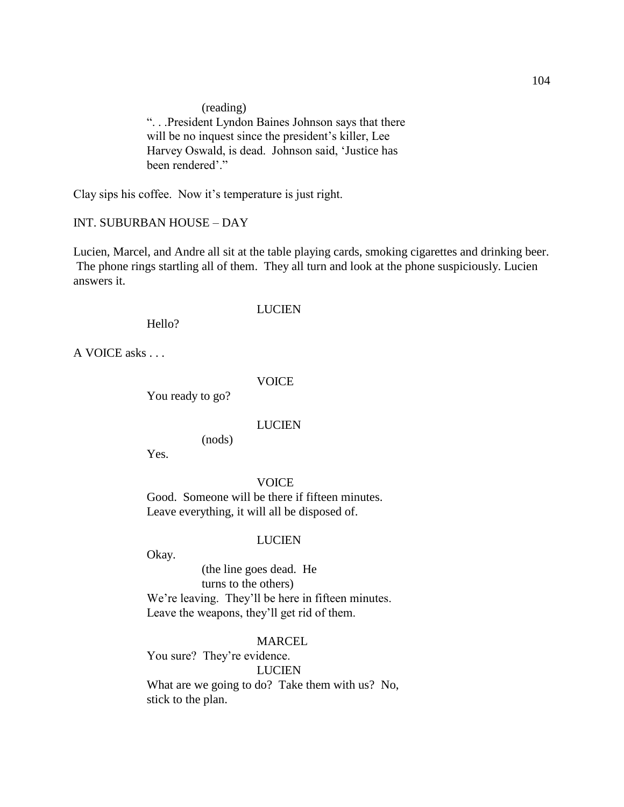(reading) ". . .President Lyndon Baines Johnson says that there will be no inquest since the president's killer, Lee Harvey Oswald, is dead. Johnson said, "Justice has been rendered'."

Clay sips his coffee. Now it"s temperature is just right.

#### INT. SUBURBAN HOUSE – DAY

Lucien, Marcel, and Andre all sit at the table playing cards, smoking cigarettes and drinking beer. The phone rings startling all of them. They all turn and look at the phone suspiciously. Lucien answers it.

#### LUCIEN

Hello?

A VOICE asks . . .

#### VOICE

You ready to go?

#### LUCIEN

(nods)

Yes.

#### VOICE

Good. Someone will be there if fifteen minutes. Leave everything, it will all be disposed of.

#### LUCIEN

Okay.

(the line goes dead. He turns to the others) We're leaving. They'll be here in fifteen minutes. Leave the weapons, they"ll get rid of them.

#### MARCEL

You sure? They're evidence. LUCIEN What are we going to do? Take them with us? No, stick to the plan.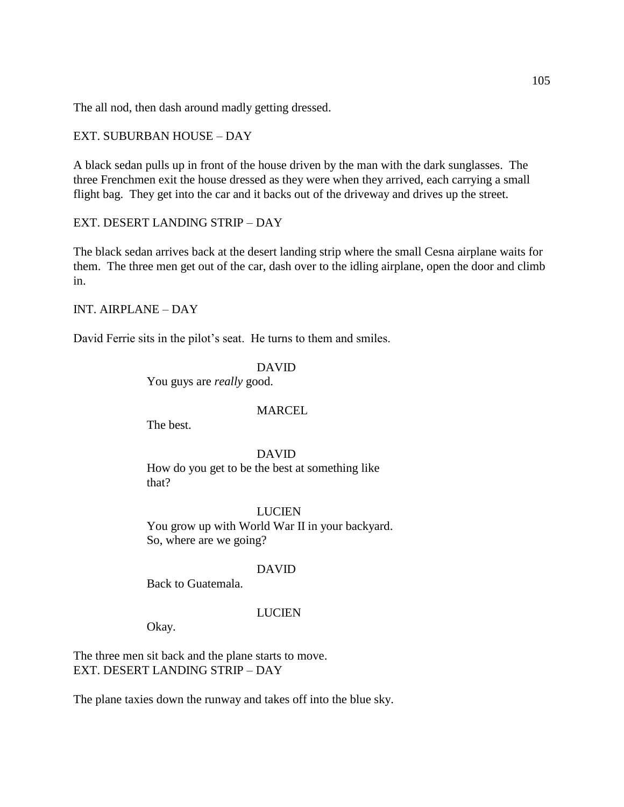The all nod, then dash around madly getting dressed.

### EXT. SUBURBAN HOUSE – DAY

A black sedan pulls up in front of the house driven by the man with the dark sunglasses. The three Frenchmen exit the house dressed as they were when they arrived, each carrying a small flight bag. They get into the car and it backs out of the driveway and drives up the street.

### EXT. DESERT LANDING STRIP – DAY

The black sedan arrives back at the desert landing strip where the small Cesna airplane waits for them. The three men get out of the car, dash over to the idling airplane, open the door and climb in.

INT. AIRPLANE – DAY

David Ferrie sits in the pilot's seat. He turns to them and smiles.

DAVID

You guys are *really* good.

### MARCEL

The best.

#### DAVID

How do you get to be the best at something like that?

#### LUCIEN

You grow up with World War II in your backyard. So, where are we going?

#### DAVID

Back to Guatemala.

### **LUCIEN**

Okay.

The three men sit back and the plane starts to move. EXT. DESERT LANDING STRIP – DAY

The plane taxies down the runway and takes off into the blue sky.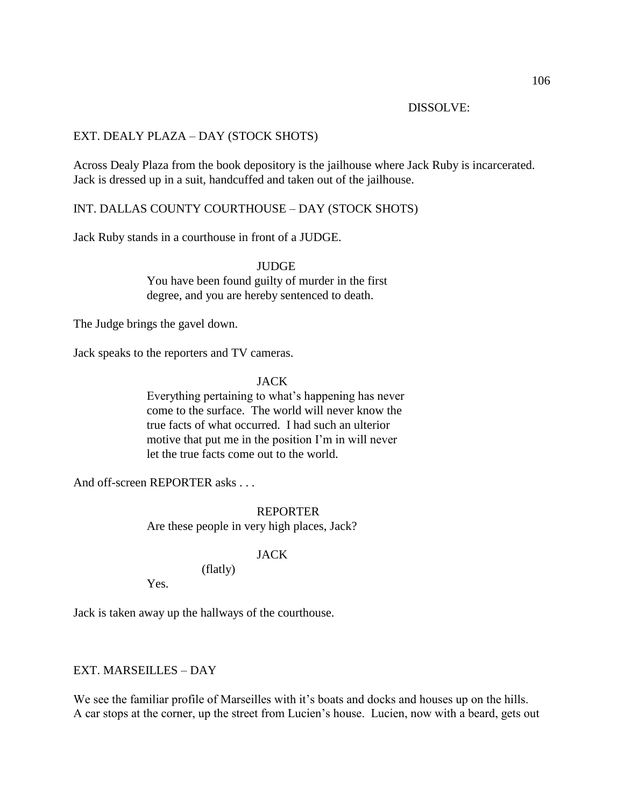#### DISSOLVE:

#### EXT. DEALY PLAZA – DAY (STOCK SHOTS)

Across Dealy Plaza from the book depository is the jailhouse where Jack Ruby is incarcerated. Jack is dressed up in a suit, handcuffed and taken out of the jailhouse.

### INT. DALLAS COUNTY COURTHOUSE – DAY (STOCK SHOTS)

Jack Ruby stands in a courthouse in front of a JUDGE.

JUDGE You have been found guilty of murder in the first degree, and you are hereby sentenced to death.

The Judge brings the gavel down.

Jack speaks to the reporters and TV cameras.

#### JACK

Everything pertaining to what"s happening has never come to the surface. The world will never know the true facts of what occurred. I had such an ulterior motive that put me in the position I"m in will never let the true facts come out to the world.

And off-screen REPORTER asks . . .

REPORTER Are these people in very high places, Jack?

### JACK

Yes.

Jack is taken away up the hallways of the courthouse.

(flatly)

#### EXT. MARSEILLES – DAY

We see the familiar profile of Marseilles with it's boats and docks and houses up on the hills. A car stops at the corner, up the street from Lucien's house. Lucien, now with a beard, gets out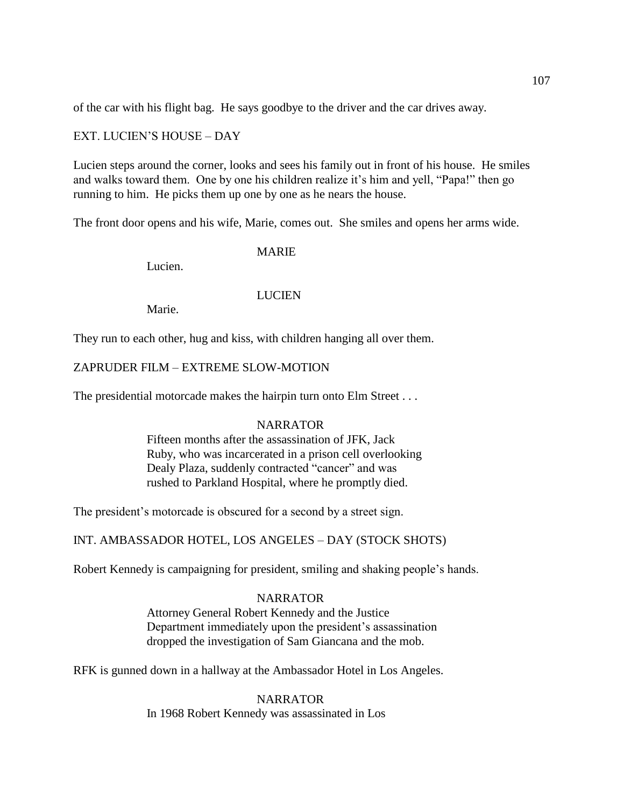of the car with his flight bag. He says goodbye to the driver and the car drives away.

### EXT. LUCIEN"S HOUSE – DAY

Lucien steps around the corner, looks and sees his family out in front of his house. He smiles and walks toward them. One by one his children realize it's him and yell, "Papa!" then go running to him. He picks them up one by one as he nears the house.

The front door opens and his wife, Marie, comes out. She smiles and opens her arms wide.

### MARIE

Lucien.

#### LUCIEN

Marie.

They run to each other, hug and kiss, with children hanging all over them.

### ZAPRUDER FILM – EXTREME SLOW-MOTION

The presidential motorcade makes the hairpin turn onto Elm Street . . .

#### NARRATOR

Fifteen months after the assassination of JFK, Jack Ruby, who was incarcerated in a prison cell overlooking Dealy Plaza, suddenly contracted "cancer" and was rushed to Parkland Hospital, where he promptly died.

The president's motorcade is obscured for a second by a street sign.

### INT. AMBASSADOR HOTEL, LOS ANGELES – DAY (STOCK SHOTS)

Robert Kennedy is campaigning for president, smiling and shaking people"s hands.

#### **NARRATOR**

Attorney General Robert Kennedy and the Justice Department immediately upon the president's assassination dropped the investigation of Sam Giancana and the mob.

RFK is gunned down in a hallway at the Ambassador Hotel in Los Angeles.

#### **NARRATOR**

In 1968 Robert Kennedy was assassinated in Los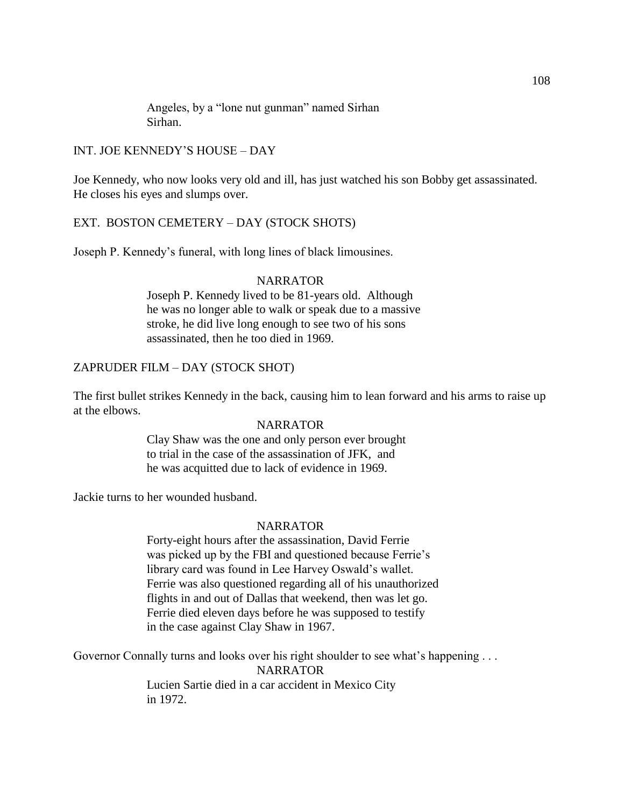Angeles, by a "lone nut gunman" named Sirhan Sirhan.

### INT. JOE KENNEDY"S HOUSE – DAY

Joe Kennedy, who now looks very old and ill, has just watched his son Bobby get assassinated. He closes his eyes and slumps over.

### EXT. BOSTON CEMETERY – DAY (STOCK SHOTS)

Joseph P. Kennedy"s funeral, with long lines of black limousines.

### NARRATOR

Joseph P. Kennedy lived to be 81-years old. Although he was no longer able to walk or speak due to a massive stroke, he did live long enough to see two of his sons assassinated, then he too died in 1969.

### ZAPRUDER FILM – DAY (STOCK SHOT)

The first bullet strikes Kennedy in the back, causing him to lean forward and his arms to raise up at the elbows.

### NARRATOR

Clay Shaw was the one and only person ever brought to trial in the case of the assassination of JFK, and he was acquitted due to lack of evidence in 1969.

Jackie turns to her wounded husband.

### NARRATOR

Forty-eight hours after the assassination, David Ferrie was picked up by the FBI and questioned because Ferrie's library card was found in Lee Harvey Oswald"s wallet. Ferrie was also questioned regarding all of his unauthorized flights in and out of Dallas that weekend, then was let go. Ferrie died eleven days before he was supposed to testify in the case against Clay Shaw in 1967.

Governor Connally turns and looks over his right shoulder to see what's happening ... **NARRATOR** Lucien Sartie died in a car accident in Mexico City in 1972.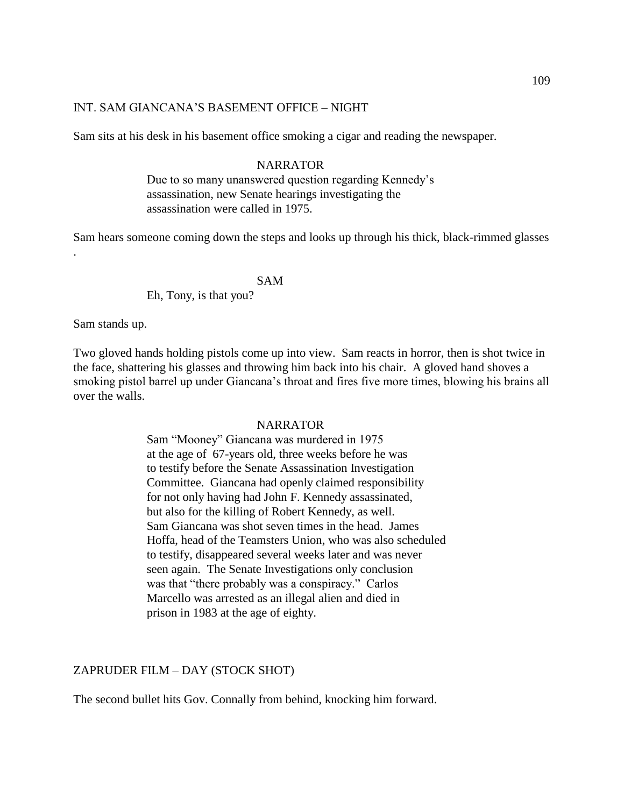## INT. SAM GIANCANA"S BASEMENT OFFICE – NIGHT

Sam sits at his desk in his basement office smoking a cigar and reading the newspaper.

### **NARRATOR**

Due to so many unanswered question regarding Kennedy"s assassination, new Senate hearings investigating the assassination were called in 1975.

Sam hears someone coming down the steps and looks up through his thick, black-rimmed glasses

SAM Eh, Tony, is that you?

Sam stands up.

.

Two gloved hands holding pistols come up into view. Sam reacts in horror, then is shot twice in the face, shattering his glasses and throwing him back into his chair. A gloved hand shoves a smoking pistol barrel up under Giancana's throat and fires five more times, blowing his brains all over the walls.

### NARRATOR

Sam "Mooney" Giancana was murdered in 1975 at the age of 67-years old, three weeks before he was to testify before the Senate Assassination Investigation Committee. Giancana had openly claimed responsibility for not only having had John F. Kennedy assassinated, but also for the killing of Robert Kennedy, as well. Sam Giancana was shot seven times in the head. James Hoffa, head of the Teamsters Union, who was also scheduled to testify, disappeared several weeks later and was never seen again. The Senate Investigations only conclusion was that "there probably was a conspiracy." Carlos Marcello was arrested as an illegal alien and died in prison in 1983 at the age of eighty.

## ZAPRUDER FILM – DAY (STOCK SHOT)

The second bullet hits Gov. Connally from behind, knocking him forward.